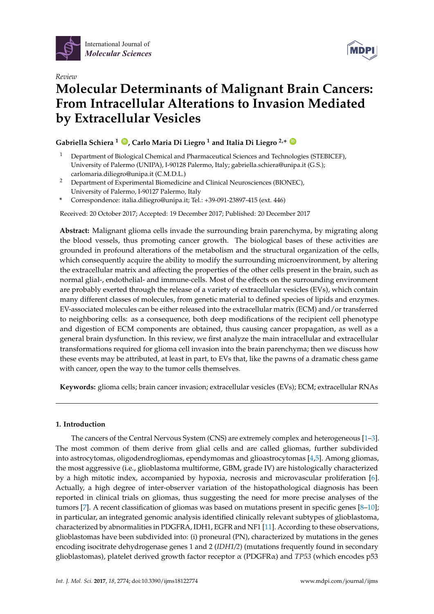



# *Review* **Molecular Determinants of Malignant Brain Cancers: From Intracellular Alterations to Invasion Mediated by Extracellular Vesicles**

# **Gabriella Schiera <sup>1</sup> [ID](https://orcid.org/0000-0002-8638-6455) , Carlo Maria Di Liegro <sup>1</sup> and Italia Di Liegro 2,\* [ID](https://orcid.org/0000-0002-0546-1274)**

- <sup>1</sup> Department of Biological Chemical and Pharmaceutical Sciences and Technologies (STEBICEF), University of Palermo (UNIPA), I-90128 Palermo, Italy; gabriella.schiera@unipa.it (G.S.); carlomaria.diliegro@unipa.it (C.M.D.L.)
- <sup>2</sup> Department of Experimental Biomedicine and Clinical Neurosciences (BIONEC), University of Palermo, I-90127 Palermo, Italy
- **\*** Correspondence: italia.diliegro@unipa.it; Tel.: +39-091-23897-415 (ext. 446)

Received: 20 October 2017; Accepted: 19 December 2017; Published: 20 December 2017

**Abstract:** Malignant glioma cells invade the surrounding brain parenchyma, by migrating along the blood vessels, thus promoting cancer growth. The biological bases of these activities are grounded in profound alterations of the metabolism and the structural organization of the cells, which consequently acquire the ability to modify the surrounding microenvironment, by altering the extracellular matrix and affecting the properties of the other cells present in the brain, such as normal glial-, endothelial- and immune-cells. Most of the effects on the surrounding environment are probably exerted through the release of a variety of extracellular vesicles (EVs), which contain many different classes of molecules, from genetic material to defined species of lipids and enzymes. EV-associated molecules can be either released into the extracellular matrix (ECM) and/or transferred to neighboring cells: as a consequence, both deep modifications of the recipient cell phenotype and digestion of ECM components are obtained, thus causing cancer propagation, as well as a general brain dysfunction. In this review, we first analyze the main intracellular and extracellular transformations required for glioma cell invasion into the brain parenchyma; then we discuss how these events may be attributed, at least in part, to EVs that, like the pawns of a dramatic chess game with cancer, open the way to the tumor cells themselves.

**Keywords:** glioma cells; brain cancer invasion; extracellular vesicles (EVs); ECM; extracellular RNAs

# **1. Introduction**

The cancers of the Central Nervous System (CNS) are extremely complex and heterogeneous [\[1–](#page-19-0)[3\]](#page-19-1). The most common of them derive from glial cells and are called gliomas, further subdivided into astrocytomas, oligodendrogliomas, ependymomas and glioastrocytomas [\[4,](#page-19-2)[5\]](#page-19-3). Among gliomas, the most aggressive (i.e., glioblastoma multiforme, GBM, grade IV) are histologically characterized by a high mitotic index, accompanied by hypoxia, necrosis and microvascular proliferation [\[6\]](#page-19-4). Actually, a high degree of inter-observer variation of the histopathological diagnosis has been reported in clinical trials on gliomas, thus suggesting the need for more precise analyses of the tumors [\[7\]](#page-19-5). A recent classification of gliomas was based on mutations present in specific genes [\[8](#page-19-6)[–10\]](#page-20-0); in particular, an integrated genomic analysis identified clinically relevant subtypes of glioblastoma, characterized by abnormalities in PDGFRA, IDH1, EGFR and NF1 [\[11\]](#page-20-1). According to these observations, glioblastomas have been subdivided into: (i) proneural (PN), characterized by mutations in the genes encoding isocitrate dehydrogenase genes 1 and 2 (*IDH1/2*) (mutations frequently found in secondary glioblastomas), platelet derived growth factor receptor α (PDGFRα) and *TP53* (which encodes p53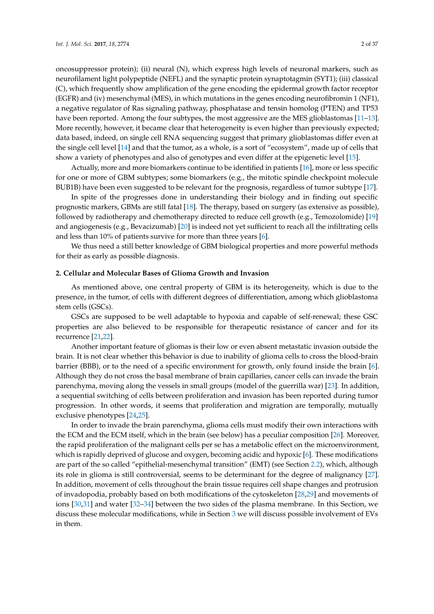oncosuppressor protein); (ii) neural (N), which express high levels of neuronal markers, such as neurofilament light polypeptide (NEFL) and the synaptic protein synaptotagmin (SYT1); (iii) classical (C), which frequently show amplification of the gene encoding the epidermal growth factor receptor (EGFR) and (iv) mesenchymal (MES), in which mutations in the genes encoding neurofibromin 1 (NF1), a negative regulator of Ras signaling pathway, phosphatase and tensin homolog (PTEN) and TP53 have been reported. Among the four subtypes, the most aggressive are the MES glioblastomas [\[11–](#page-20-1)[13\]](#page-20-2). More recently, however, it became clear that heterogeneity is even higher than previously expected; data based, indeed, on single cell RNA sequencing suggest that primary glioblastomas differ even at the single cell level [\[14\]](#page-20-3) and that the tumor, as a whole, is a sort of "ecosystem", made up of cells that

Actually, more and more biomarkers continue to be identified in patients [\[16\]](#page-20-5), more or less specific for one or more of GBM subtypes; some biomarkers (e.g., the mitotic spindle checkpoint molecule BUB1B) have been even suggested to be relevant for the prognosis, regardless of tumor subtype [\[17\]](#page-20-6).

show a variety of phenotypes and also of genotypes and even differ at the epigenetic level [\[15\]](#page-20-4).

In spite of the progresses done in understanding their biology and in finding out specific prognostic markers, GBMs are still fatal [\[18\]](#page-20-7). The therapy, based on surgery (as extensive as possible), followed by radiotherapy and chemotherapy directed to reduce cell growth (e.g., Temozolomide) [\[19\]](#page-20-8) and angiogenesis (e.g., Bevacizumab) [\[20\]](#page-20-9) is indeed not yet sufficient to reach all the infiltrating cells and less than 10% of patients survive for more than three years [\[6\]](#page-19-4).

We thus need a still better knowledge of GBM biological properties and more powerful methods for their as early as possible diagnosis.

#### **2. Cellular and Molecular Bases of Glioma Growth and Invasion**

As mentioned above, one central property of GBM is its heterogeneity, which is due to the presence, in the tumor, of cells with different degrees of differentiation, among which glioblastoma stem cells (GSCs).

GSCs are supposed to be well adaptable to hypoxia and capable of self-renewal; these GSC properties are also believed to be responsible for therapeutic resistance of cancer and for its recurrence [\[21,](#page-20-10)[22\]](#page-20-11).

Another important feature of gliomas is their low or even absent metastatic invasion outside the brain. It is not clear whether this behavior is due to inability of glioma cells to cross the blood-brain barrier (BBB), or to the need of a specific environment for growth, only found inside the brain [\[6\]](#page-19-4). Although they do not cross the basal membrane of brain capillaries, cancer cells can invade the brain parenchyma, moving along the vessels in small groups (model of the guerrilla war) [\[23\]](#page-20-12). In addition, a sequential switching of cells between proliferation and invasion has been reported during tumor progression. In other words, it seems that proliferation and migration are temporally, mutually exclusive phenotypes [\[24,](#page-20-13)[25\]](#page-20-14).

In order to invade the brain parenchyma, glioma cells must modify their own interactions with the ECM and the ECM itself, which in the brain (see below) has a peculiar composition [\[26\]](#page-20-15). Moreover, the rapid proliferation of the malignant cells per se has a metabolic effect on the microenvironment, which is rapidly deprived of glucose and oxygen, becoming acidic and hypoxic [\[6\]](#page-19-4). These modifications are part of the so called "epithelial-mesenchymal transition" (EMT) (see Section [2.2\)](#page-4-0), which, although its role in glioma is still controversial, seems to be determinant for the degree of malignancy [\[27\]](#page-20-16). In addition, movement of cells throughout the brain tissue requires cell shape changes and protrusion of invadopodia, probably based on both modifications of the cytoskeleton [\[28,](#page-20-17)[29\]](#page-20-18) and movements of ions [\[30](#page-20-19)[,31\]](#page-21-0) and water [\[32](#page-21-1)[–34\]](#page-21-2) between the two sides of the plasma membrane. In this Section, we discuss these molecular modifications, while in Section [3](#page-13-0) we will discuss possible involvement of EVs in them.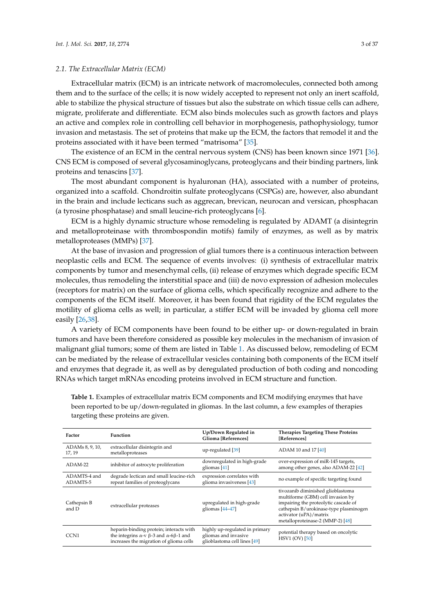#### *2.1. The Extracellular Matrix (ECM)*

Extracellular matrix (ECM) is an intricate network of macromolecules, connected both among them and to the surface of the cells; it is now widely accepted to represent not only an inert scaffold, able to stabilize the physical structure of tissues but also the substrate on which tissue cells can adhere, migrate, proliferate and differentiate. ECM also binds molecules such as growth factors and plays an active and complex role in controlling cell behavior in morphogenesis, pathophysiology, tumor invasion and metastasis. The set of proteins that make up the ECM, the factors that remodel it and the proteins associated with it have been termed "matrisoma" [\[35\]](#page-21-3).

The existence of an ECM in the central nervous system (CNS) has been known since 1971 [\[36\]](#page-21-4). CNS ECM is composed of several glycosaminoglycans, proteoglycans and their binding partners, link proteins and tenascins [\[37\]](#page-21-5).

The most abundant component is hyaluronan (HA), associated with a number of proteins, organized into a scaffold. Chondroitin sulfate proteoglycans (CSPGs) are, however, also abundant in the brain and include lecticans such as aggrecan, brevican, neurocan and versican, phosphacan (a tyrosine phosphatase) and small leucine-rich proteoglycans [\[6\]](#page-19-4).

ECM is a highly dynamic structure whose remodeling is regulated by ADAMT (a disintegrin and metalloproteinase with thrombospondin motifs) family of enzymes, as well as by matrix metalloproteases (MMPs) [\[37\]](#page-21-5).

At the base of invasion and progression of glial tumors there is a continuous interaction between neoplastic cells and ECM. The sequence of events involves: (i) synthesis of extracellular matrix components by tumor and mesenchymal cells, (ii) release of enzymes which degrade specific ECM molecules, thus remodeling the interstitial space and (iii) de novo expression of adhesion molecules (receptors for matrix) on the surface of glioma cells, which specifically recognize and adhere to the components of the ECM itself. Moreover, it has been found that rigidity of the ECM regulates the motility of glioma cells as well; in particular, a stiffer ECM will be invaded by glioma cell more easily [\[26,](#page-20-15)[38\]](#page-21-6).

A variety of ECM components have been found to be either up- or down-regulated in brain tumors and have been therefore considered as possible key molecules in the mechanism of invasion of malignant glial tumors; some of them are listed in Table [1.](#page-3-0) As discussed below, remodeling of ECM can be mediated by the release of extracellular vesicles containing both components of the ECM itself and enzymes that degrade it, as well as by deregulated production of both coding and noncoding RNAs which target mRNAs encoding proteins involved in ECM structure and function.

**Table 1.** Examples of extracellular matrix ECM components and ECM modifying enzymes that have been reported to be up/down-regulated in gliomas. In the last column, a few examples of therapies targeting these proteins are given.

| Factor                    | <b>Function</b>                                                                                                                                           | Up/Down Regulated in<br>Glioma [References]                                            | <b>Therapies Targeting These Proteins</b><br>[References]                                                                                                                                                              |
|---------------------------|-----------------------------------------------------------------------------------------------------------------------------------------------------------|----------------------------------------------------------------------------------------|------------------------------------------------------------------------------------------------------------------------------------------------------------------------------------------------------------------------|
| ADAMs 8, 9, 10,<br>17, 19 | extracellular disintegrin and<br>metalloproteases                                                                                                         | up-regulated $[39]$                                                                    | ADAM 10 and 17 [40]                                                                                                                                                                                                    |
| $ADAM-22$                 | inhibitor of astrocyte proliferation                                                                                                                      | downregulated in high-grade<br>gliomas [41]                                            | over-expression of miR-145 targets,<br>among other genes, also ADAM-22 [42]                                                                                                                                            |
| ADAMTS-4 and<br>ADAMTS-5  | degrade lectican and small leucine-rich<br>repeat families of proteoglycans                                                                               | expression correlates with<br>glioma invasiveness [43]                                 | no example of specific targeting found                                                                                                                                                                                 |
| Cathepsin B<br>and D      | extracellular proteases                                                                                                                                   | upregulated in high-grade<br>gliomas $[44-47]$                                         | tivozanib diminished glioblastoma<br>multiforme (GBM) cell invasion by<br>impairing the proteolytic cascade of<br>cathepsin B/urokinase-type plasminogen<br>activator (uPA)/matrix<br>metalloproteinase-2 (MMP-2) [48] |
| CCN <sub>1</sub>          | heparin-binding protein; interacts with<br>the integrins $\alpha$ -v $\beta$ -3 and $\alpha$ -6 $\beta$ -1 and<br>increases the migration of glioma cells | highly up-regulated in primary<br>gliomas and invasive<br>glioblastoma cell lines [49] | potential therapy based on oncolytic<br><b>HSV1 (OV) [50]</b>                                                                                                                                                          |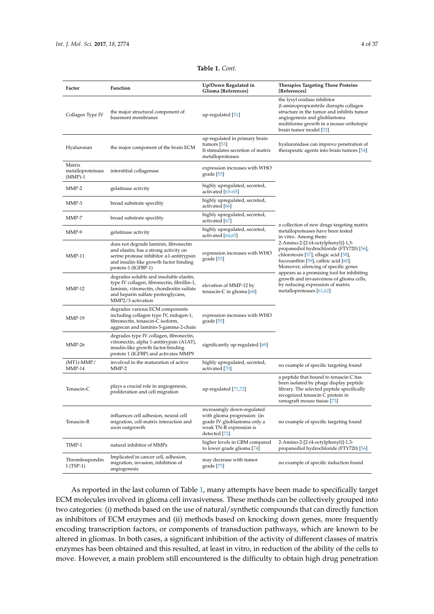<span id="page-3-0"></span>

| Factor                                   | Function                                                                                                                                                                                            | Up/Down Regulated in                                                                                                                    | <b>Therapies Targeting These Proteins</b>                                                                                                                                                                                       |  |
|------------------------------------------|-----------------------------------------------------------------------------------------------------------------------------------------------------------------------------------------------------|-----------------------------------------------------------------------------------------------------------------------------------------|---------------------------------------------------------------------------------------------------------------------------------------------------------------------------------------------------------------------------------|--|
|                                          |                                                                                                                                                                                                     | Glioma [References]                                                                                                                     | [References]                                                                                                                                                                                                                    |  |
| Collagen Type IV                         | the major structural component of<br>basement membranes                                                                                                                                             | up-regulated $[51]$                                                                                                                     | the lysyl oxidase inhibitor<br>$\beta$ -aminopropionitrile disrupts collagen<br>structure in the tumor and inhibits tumor<br>angiogenesis and glioblastoma<br>multiforme growth in a mouse orthotopic<br>brain tumor model [52] |  |
| Hyaluronan                               | the major component of the brain ECM                                                                                                                                                                | up-regulated in primary brain<br>tumors $[53]$<br>It stimulates secretion of matrix<br>metalloproteases                                 | hyaluronidase can improve penetration of<br>therapeutic agents into brain tumors [54]                                                                                                                                           |  |
| Matrix<br>metalloproteinase<br>$(MMP)-1$ | interstitial collagenase                                                                                                                                                                            | expression increases with WHO<br>grade [55]                                                                                             |                                                                                                                                                                                                                                 |  |
| $MMP-2$                                  | gelatinase activity                                                                                                                                                                                 | highly upregulated, secreted,<br>activated $[63-65]$                                                                                    |                                                                                                                                                                                                                                 |  |
| MMP-3                                    | broad substrate specifity                                                                                                                                                                           | highly upregulated, secreted,<br>activated [66]                                                                                         | a collection of new drugs targeting matrix<br>metalloproteases have been tested<br>in vitro. Among them:                                                                                                                        |  |
| MMP-7                                    | broad substrate specifity                                                                                                                                                                           | highly upregulated, secreted,<br>activated [67]                                                                                         |                                                                                                                                                                                                                                 |  |
| MMP-9                                    | gelatinase activity                                                                                                                                                                                 | highly upregulated, secreted,<br>activated $[64,65]$                                                                                    |                                                                                                                                                                                                                                 |  |
| $MMP-11$                                 | does not degrade laminin, fibronectin<br>and elastin; has a strong activity on<br>serine protease inhibitor $\alpha$ 1-antitrypsin<br>and insulin-like growth factor binding<br>protein-1 (IGFBP-1) | expression increases with WHO<br>grade [55]                                                                                             | 2-Amino-2-[2-(4-octylphenyl)]-1,3-<br>propanediol hydrochloride (FTY720) [56],<br>chlorotoxin [57], ellagic acid [58],<br>fucoxanthin [59], caffeic acid [60].<br>Moreover, silencing of specific genes                         |  |
| $MMP-12$                                 | degrades soluble and insoluble elastin,<br>type IV collagen, fibronectin, fibrillin-1,<br>laminin, vitronectin, chondroitin sulfate<br>and heparin sulfate proteoglycans,<br>MMP2/3 activation      | elevation of MMP-12 by<br>tenascin-C in glioma [68]                                                                                     | appears as a promising tool for inhibiting<br>growth and invasiveness of glioma cells,<br>by reducing expression of matrix<br>metalloproteases [61,62]                                                                          |  |
| $MMP-19$                                 | degrades various ECM components<br>including collagen type IV, nidogen-1,<br>fibronectin, tenascin-C isoform,<br>aggrecan and laminin-5-gamma-2-chain                                               | expression increases with WHO<br>grade [55]                                                                                             |                                                                                                                                                                                                                                 |  |
| MMP-26                                   | degrades type IV collagen, fibronectin,<br>vitronectin, alpha 1-antitrypsin (A1AT),<br>insulin-like growth factor-binding<br>protein 1 (IGFBP) and activates MMP9                                   | significantly up-regulated [69]                                                                                                         |                                                                                                                                                                                                                                 |  |
| $(MT1)$ -MMP/<br>$MMP-14$                | involved in the maturation of active<br>$MMP-2$                                                                                                                                                     | highly upregulated, secreted,<br>activated [70]                                                                                         | no example of specific targeting found                                                                                                                                                                                          |  |
| Tenascin-C                               | plays a crucial role in angiogenesis,<br>proliferation and cell migration                                                                                                                           | up-regulated [71,72]                                                                                                                    | a peptide that bound to tenascin C has<br>been isolated by phage display peptide<br>library. The selected peptide specifically<br>recognized tenascin C protein in<br>xenograft mouse tissue [73]                               |  |
| Tenascin-R                               | influences cell adhesion, neural cell<br>migration, cell-matrix interaction and<br>axon outgrowth                                                                                                   | increasingly down-regulated<br>with glioma progression: (in<br>grade IV glioblastoma only a<br>weak TN-R expression is<br>detected [72] | no example of specific targeting found                                                                                                                                                                                          |  |
| TIMP-1                                   | natural inhibitor of MMPs                                                                                                                                                                           | higher levels in GBM compared<br>to lower grade glioma [74]                                                                             | 2-Amino-2-[2-(4-octylphenyl)]-1,3-<br>propanediol hydrochloride (FTY720) [56]                                                                                                                                                   |  |
| Thrombospondin<br>1 (TSP-1)              | Implicated in cancer cell, adhesion,<br>migration, invasion, inhibition of<br>angiogenesis                                                                                                          | may decrease with tumor<br>grade [75]                                                                                                   | no example of specific induction found                                                                                                                                                                                          |  |

## **Table 1.** *Cont.*

As reported in the last column of Table [1,](#page-3-0) many attempts have been made to specifically target ECM molecules involved in glioma cell invasiveness. These methods can be collectively grouped into two categories: (i) methods based on the use of natural/synthetic compounds that can directly function as inhibitors of ECM enzymes and (ii) methods based on knocking down genes, more frequently encoding transcription factors, or components of transduction pathways, which are known to be altered in gliomas. In both cases, a significant inhibition of the activity of different classes of matrix enzymes has been obtained and this resulted, at least in vitro, in reduction of the ability of the cells to move. However, a main problem still encountered is the difficulty to obtain high drug penetration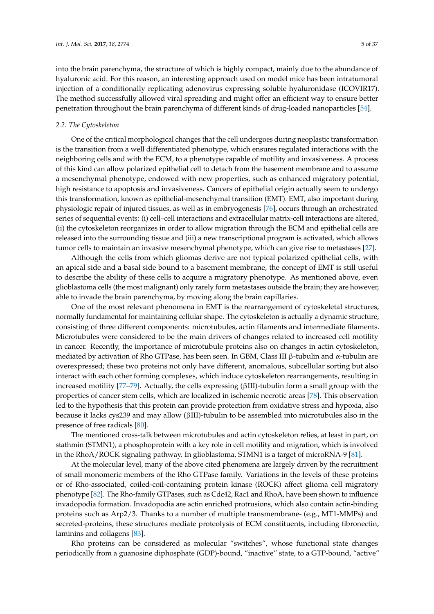into the brain parenchyma, the structure of which is highly compact, mainly due to the abundance of hyaluronic acid. For this reason, an interesting approach used on model mice has been intratumoral injection of a conditionally replicating adenovirus expressing soluble hyaluronidase (ICOVIR17). The method successfully allowed viral spreading and might offer an efficient way to ensure better penetration throughout the brain parenchyma of different kinds of drug-loaded nanoparticles [\[54\]](#page-22-3).

#### <span id="page-4-0"></span>*2.2. The Cytoskeleton*

One of the critical morphological changes that the cell undergoes during neoplastic transformation is the transition from a well differentiated phenotype, which ensures regulated interactions with the neighboring cells and with the ECM, to a phenotype capable of motility and invasiveness. A process of this kind can allow polarized epithelial cell to detach from the basement membrane and to assume a mesenchymal phenotype, endowed with new properties, such as enhanced migratory potential, high resistance to apoptosis and invasiveness. Cancers of epithelial origin actually seem to undergo this transformation, known as epithelial-mesenchymal transition (EMT). EMT, also important during physiologic repair of injured tissues, as well as in embryogenesis [\[76\]](#page-23-5), occurs through an orchestrated series of sequential events: (i) cell–cell interactions and extracellular matrix-cell interactions are altered, (ii) the cytoskeleton reorganizes in order to allow migration through the ECM and epithelial cells are released into the surrounding tissue and (iii) a new transcriptional program is activated, which allows tumor cells to maintain an invasive mesenchymal phenotype, which can give rise to metastases [\[27\]](#page-20-16).

Although the cells from which gliomas derive are not typical polarized epithelial cells, with an apical side and a basal side bound to a basement membrane, the concept of EMT is still useful to describe the ability of these cells to acquire a migratory phenotype. As mentioned above, even glioblastoma cells (the most malignant) only rarely form metastases outside the brain; they are however, able to invade the brain parenchyma, by moving along the brain capillaries.

One of the most relevant phenomena in EMT is the rearrangement of cytoskeletal structures, normally fundamental for maintaining cellular shape. The cytoskeleton is actually a dynamic structure, consisting of three different components: microtubules, actin filaments and intermediate filaments. Microtubules were considered to be the main drivers of changes related to increased cell motility in cancer. Recently, the importance of microtubule proteins also on changes in actin cytoskeleton, mediated by activation of Rho GTPase, has been seen. In GBM, Class III β-tubulin and  $α$ -tubulin are overexpressed; these two proteins not only have different, anomalous, subcellular sorting but also interact with each other forming complexes, which induce cytoskeleton rearrangements, resulting in increased motility [\[77](#page-23-6)[–79\]](#page-23-7). Actually, the cells expressing (βIII)-tubulin form a small group with the properties of cancer stem cells, which are localized in ischemic necrotic areas [\[78\]](#page-23-8). This observation led to the hypothesis that this protein can provide protection from oxidative stress and hypoxia, also because it lacks cys239 and may allow (βIII)-tubulin to be assembled into microtubules also in the presence of free radicals [\[80\]](#page-23-9).

The mentioned cross-talk between microtubules and actin cytoskeleton relies, at least in part, on stathmin (STMN1), a phosphoprotein with a key role in cell motility and migration, which is involved in the RhoA/ROCK signaling pathway. In glioblastoma, STMN1 is a target of microRNA-9 [\[81\]](#page-23-10).

At the molecular level, many of the above cited phenomena are largely driven by the recruitment of small monomeric members of the Rho GTPase family. Variations in the levels of these proteins or of Rho-associated, coiled-coil-containing protein kinase (ROCK) affect glioma cell migratory phenotype [\[82\]](#page-23-11). The Rho-family GTPases, such as Cdc42, Rac1 and RhoA, have been shown to influence invadopodia formation. Invadopodia are actin enriched protrusions, which also contain actin-binding proteins such as Arp2/3. Thanks to a number of multiple transmembrane- (e.g., MT1-MMPs) and secreted-proteins, these structures mediate proteolysis of ECM constituents, including fibronectin, laminins and collagens [\[83\]](#page-23-12).

Rho proteins can be considered as molecular "switches", whose functional state changes periodically from a guanosine diphosphate (GDP)-bound, "inactive" state, to a GTP-bound, "active"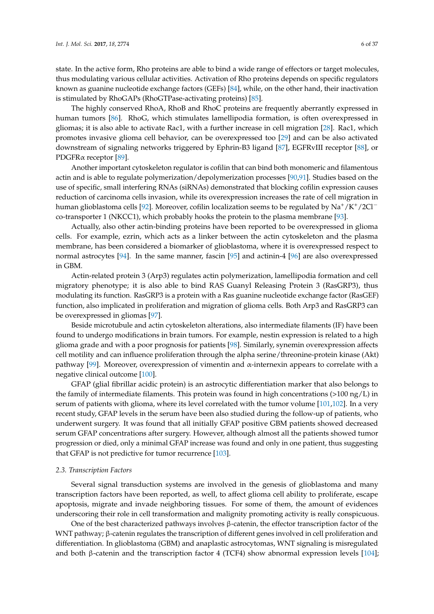state. In the active form, Rho proteins are able to bind a wide range of effectors or target molecules, thus modulating various cellular activities. Activation of Rho proteins depends on specific regulators known as guanine nucleotide exchange factors (GEFs) [\[84\]](#page-23-13), while, on the other hand, their inactivation is stimulated by RhoGAPs (RhoGTPase-activating proteins) [\[85\]](#page-23-14).

The highly conserved RhoA, RhoB and RhoC proteins are frequently aberrantly expressed in human tumors [\[86\]](#page-23-15). RhoG, which stimulates lamellipodia formation, is often overexpressed in gliomas; it is also able to activate Rac1, with a further increase in cell migration [\[28\]](#page-20-17). Rac1, which promotes invasive glioma cell behavior, can be overexpressed too [\[29\]](#page-20-18) and can be also activated downstream of signaling networks triggered by Ephrin-B3 ligand [\[87\]](#page-23-16), EGFRvIII receptor [\[88\]](#page-23-17), or PDGFRα receptor [\[89\]](#page-23-18).

Another important cytoskeleton regulator is cofilin that can bind both monomeric and filamentous actin and is able to regulate polymerization/depolymerization processes [\[90](#page-23-19)[,91\]](#page-23-20). Studies based on the use of specific, small interfering RNAs (siRNAs) demonstrated that blocking cofilin expression causes reduction of carcinoma cells invasion, while its overexpression increases the rate of cell migration in human glioblastoma cells [\[92\]](#page-24-0). Moreover, cofilin localization seems to be regulated by  $\text{Na}^+/K^+/2Cl^$ co-transporter 1 (NKCC1), which probably hooks the protein to the plasma membrane [\[93\]](#page-24-1).

Actually, also other actin-binding proteins have been reported to be overexpressed in glioma cells. For example, ezrin, which acts as a linker between the actin cytoskeleton and the plasma membrane, has been considered a biomarker of glioblastoma, where it is overexpressed respect to normal astrocytes [\[94\]](#page-24-2). In the same manner, fascin [\[95\]](#page-24-3) and actinin-4 [\[96\]](#page-24-4) are also overexpressed in GBM.

Actin-related protein 3 (Arp3) regulates actin polymerization, lamellipodia formation and cell migratory phenotype; it is also able to bind RAS Guanyl Releasing Protein 3 (RasGRP3), thus modulating its function. RasGRP3 is a protein with a Ras guanine nucleotide exchange factor (RasGEF) function, also implicated in proliferation and migration of glioma cells. Both Arp3 and RasGRP3 can be overexpressed in gliomas [\[97\]](#page-24-5).

Beside microtubule and actin cytoskeleton alterations, also intermediate filaments (IF) have been found to undergo modifications in brain tumors. For example, nestin expression is related to a high glioma grade and with a poor prognosis for patients [\[98\]](#page-24-6). Similarly, synemin overexpression affects cell motility and can influence proliferation through the alpha serine/threonine-protein kinase (Akt) pathway [\[99\]](#page-24-7). Moreover, overexpression of vimentin and α-internexin appears to correlate with a negative clinical outcome [\[100\]](#page-24-8).

GFAP (glial fibrillar acidic protein) is an astrocytic differentiation marker that also belongs to the family of intermediate filaments. This protein was found in high concentrations  $(>100 \text{ ng/L})$  in serum of patients with glioma, where its level correlated with the tumor volume [\[101](#page-24-9)[,102\]](#page-24-10). In a very recent study, GFAP levels in the serum have been also studied during the follow-up of patients, who underwent surgery. It was found that all initially GFAP positive GBM patients showed decreased serum GFAP concentrations after surgery. However, although almost all the patients showed tumor progression or died, only a minimal GFAP increase was found and only in one patient, thus suggesting that GFAP is not predictive for tumor recurrence [\[103\]](#page-24-11).

#### *2.3. Transcription Factors*

Several signal transduction systems are involved in the genesis of glioblastoma and many transcription factors have been reported, as well, to affect glioma cell ability to proliferate, escape apoptosis, migrate and invade neighboring tissues. For some of them, the amount of evidences underscoring their role in cell transformation and malignity promoting activity is really conspicuous.

One of the best characterized pathways involves β-catenin, the effector transcription factor of the WNT pathway; β-catenin regulates the transcription of different genes involved in cell proliferation and differentiation. In glioblastoma (GBM) and anaplastic astrocytomas, WNT signaling is misregulated and both β-catenin and the transcription factor 4 (TCF4) show abnormal expression levels [\[104\]](#page-24-12);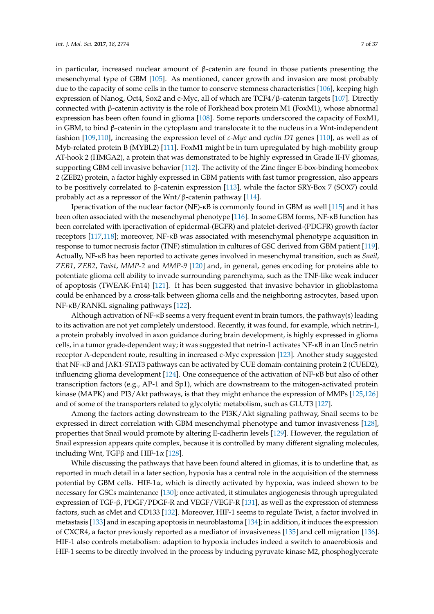in particular, increased nuclear amount of  $\beta$ -catenin are found in those patients presenting the mesenchymal type of GBM [\[105\]](#page-24-13). As mentioned, cancer growth and invasion are most probably due to the capacity of some cells in the tumor to conserve stemness characteristics [\[106\]](#page-24-14), keeping high expression of Nanog, Oct4, Sox2 and c-Myc, all of which are TCF4/β-catenin targets [\[107\]](#page-24-15). Directly connected with β-catenin activity is the role of Forkhead box protein M1 (FoxM1), whose abnormal expression has been often found in glioma [\[108\]](#page-24-16). Some reports underscored the capacity of FoxM1, in GBM, to bind β-catenin in the cytoplasm and translocate it to the nucleus in a Wnt-independent fashion [\[109,](#page-24-17)[110\]](#page-24-18), increasing the expression level of *c-Myc* and *cyclin D1* genes [\[110\]](#page-24-18), as well as of Myb-related protein B (MYBL2) [\[111\]](#page-25-0). FoxM1 might be in turn upregulated by high-mobility group AT-hook 2 (HMGA2), a protein that was demonstrated to be highly expressed in Grade II-IV gliomas, supporting GBM cell invasive behavior [\[112\]](#page-25-1). The activity of the Zinc finger E-box-binding homeobox 2 (ZEB2) protein, a factor highly expressed in GBM patients with fast tumor progression, also appears to be positively correlated to β-catenin expression [\[113\]](#page-25-2), while the factor SRY-Box 7 (SOX7) could probably act as a repressor of the Wnt/ $\beta$ -catenin pathway [\[114\]](#page-25-3).

Iperactivation of the nuclear factor (NF)-κB is commonly found in GBM as well [\[115\]](#page-25-4) and it has been often associated with the mesenchymal phenotype [\[116\]](#page-25-5). In some GBM forms, NF-κB function has been correlated with iperactivation of epidermal-(EGFR) and platelet-derived-(PDGFR) growth factor receptors [\[117](#page-25-6)[,118\]](#page-25-7); moreover, NF-κB was associated with mesenchymal phenotype acquisition in response to tumor necrosis factor (TNF) stimulation in cultures of GSC derived from GBM patient [\[119\]](#page-25-8). Actually, NF-κB has been reported to activate genes involved in mesenchymal transition, such as *Snail*, *ZEB1*, *ZEB2*, *Twist*, *MMP-2* and *MMP-9* [\[120\]](#page-25-9) and, in general, genes encoding for proteins able to potentiate glioma cell ability to invade surrounding parenchyma, such as the TNF-like weak inducer of apoptosis (TWEAK-Fn14) [\[121\]](#page-25-10). It has been suggested that invasive behavior in glioblastoma could be enhanced by a cross-talk between glioma cells and the neighboring astrocytes, based upon NF-κB/RANKL signaling pathways [\[122\]](#page-25-11).

Although activation of NF-κB seems a very frequent event in brain tumors, the pathway(s) leading to its activation are not yet completely understood. Recently, it was found, for example, which netrin-1, a protein probably involved in axon guidance during brain development, is highly expressed in glioma cells, in a tumor grade-dependent way; it was suggested that netrin-1 activates NF-κB in an Unc5 netrin receptor A-dependent route, resulting in increased c-Myc expression [\[123\]](#page-25-12). Another study suggested that NF-κB and JAK1-STAT3 pathways can be activated by CUE domain-containing protein 2 (CUED2), influencing glioma development [\[124\]](#page-25-13). One consequence of the activation of NF-κB but also of other transcription factors (e.g., AP-1 and Sp1), which are downstream to the mitogen-activated protein kinase (MAPK) and PI3/Akt pathways, is that they might enhance the expression of MMPs [\[125](#page-25-14)[,126\]](#page-25-15) and of some of the transporters related to glycolytic metabolism, such as GLUT3 [\[127\]](#page-25-16).

Among the factors acting downstream to the PI3K/Akt signaling pathway, Snail seems to be expressed in direct correlation with GBM mesenchymal phenotype and tumor invasiveness [\[128\]](#page-25-17), properties that Snail would promote by altering E-cadherin levels [\[129\]](#page-25-18). However, the regulation of Snail expression appears quite complex, because it is controlled by many different signaling molecules, including Wnt, TGF $\beta$  and HIF-1 $\alpha$  [\[128\]](#page-25-17).

While discussing the pathways that have been found altered in gliomas, it is to underline that, as reported in much detail in a later section, hypoxia has a central role in the acquisition of the stemness potential by GBM cells. HIF-1α, which is directly activated by hypoxia, was indeed shown to be necessary for GSCs maintenance [\[130\]](#page-26-0); once activated, it stimulates angiogenesis through upregulated expression of TGF-β, PDGF/PDGF-R and VEGF/VEGF-R [\[131\]](#page-26-1), as well as the expression of stemness factors, such as cMet and CD133 [\[132\]](#page-26-2). Moreover, HIF-1 seems to regulate Twist, a factor involved in metastasis [\[133\]](#page-26-3) and in escaping apoptosis in neuroblastoma [\[134\]](#page-26-4); in addition, it induces the expression of CXCR4, a factor previously reported as a mediator of invasiveness [\[135\]](#page-26-5) and cell migration [\[136\]](#page-26-6). HIF-1 also controls metabolism: adaption to hypoxia includes indeed a switch to anaerobiosis and HIF-1 seems to be directly involved in the process by inducing pyruvate kinase M2, phosphoglycerate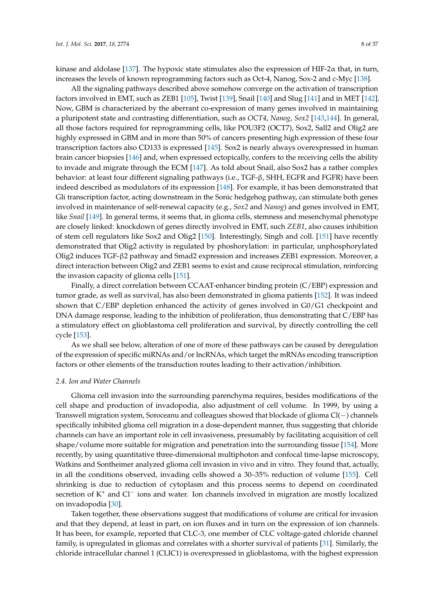kinase and aldolase [\[137\]](#page-26-7). The hypoxic state stimulates also the expression of HIF-2α that, in turn, increases the levels of known reprogramming factors such as Oct-4, Nanog, Sox-2 and c-Myc [\[138\]](#page-26-8).

All the signaling pathways described above somehow converge on the activation of transcription factors involved in EMT, such as ZEB1 [\[105\]](#page-24-13), Twist [\[139\]](#page-26-9), Snail [\[140\]](#page-26-10) and Slug [\[141\]](#page-26-11) and in MET [\[142\]](#page-26-12). Now, GBM is characterized by the aberrant co-expression of many genes involved in maintaining a pluripotent state and contrasting differentiation, such as *OCT4*, *Nanog*, *Sox2* [\[143,](#page-26-13)[144\]](#page-26-14). In general, all those factors required for reprogramming cells, like POU3F2 (OCT7), Sox2, Sall2 and Olig2 are highly expressed in GBM and in more than 50% of cancers presenting high expression of these four transcription factors also CD133 is expressed [\[145\]](#page-26-15). Sox2 is nearly always overexpressed in human brain cancer biopsies [\[146\]](#page-26-16) and, when expressed ectopically, confers to the receiving cells the ability to invade and migrate through the ECM [\[147\]](#page-26-17). As told about Snail, also Sox2 has a rather complex behavior: at least four different signaling pathways (i.e., TGF-β, SHH, EGFR and FGFR) have been indeed described as modulators of its expression [\[148\]](#page-26-18). For example, it has been demonstrated that Gli transcription factor, acting downstream in the Sonic hedgehog pathway, can stimulate both genes involved in maintenance of self-renewal capacity (e.g., *Sox2* and *Nanog*) and genes involved in EMT, like *Snail* [\[149\]](#page-26-19). In general terms, it seems that, in glioma cells, stemness and mesenchymal phenotype are closely linked: knockdown of genes directly involved in EMT, such *ZEB1*, also causes inhibition of stem cell regulators like Sox2 and Olig2 [\[150\]](#page-27-0). Interestingly, Singh and coll. [\[151\]](#page-27-1) have recently demonstrated that Olig2 activity is regulated by phoshorylation: in particular, unphosphorylated Olig2 induces TGF-β2 pathway and Smad2 expression and increases ZEB1 expression. Moreover, a direct interaction between Olig2 and ZEB1 seems to exist and cause reciprocal stimulation, reinforcing the invasion capacity of glioma cells [\[151\]](#page-27-1).

Finally, a direct correlation between CCAAT-enhancer binding protein (C/EBP) expression and tumor grade, as well as survival, has also been demonstrated in glioma patients [\[152\]](#page-27-2). It was indeed shown that C/EBP depletion enhanced the activity of genes involved in G0/G1 checkpoint and DNA damage response, leading to the inhibition of proliferation, thus demonstrating that C/EBP has a stimulatory effect on glioblastoma cell proliferation and survival, by directly controlling the cell cycle [\[153\]](#page-27-3).

As we shall see below, alteration of one of more of these pathways can be caused by deregulation of the expression of specific miRNAs and/or lncRNAs, which target the mRNAs encoding transcription factors or other elements of the transduction routes leading to their activation/inhibition.

#### *2.4. Ion and Water Channels*

Glioma cell invasion into the surrounding parenchyma requires, besides modifications of the cell shape and production of invadopodia, also adjustment of cell volume. In 1999, by using a Transwell migration system, Soroceanu and colleagues showed that blockade of glioma Cl(−) channels specifically inhibited glioma cell migration in a dose-dependent manner, thus suggesting that chloride channels can have an important role in cell invasiveness, presumably by facilitating acquisition of cell shape/volume more suitable for migration and penetration into the surrounding tissue [\[154\]](#page-27-4). More recently, by using quantitative three-dimensional multiphoton and confocal time-lapse microscopy, Watkins and Sontheimer analyzed glioma cell invasion in vivo and in vitro. They found that, actually, in all the conditions observed, invading cells showed a 30–35% reduction of volume [\[155\]](#page-27-5). Cell shrinking is due to reduction of cytoplasm and this process seems to depend on coordinated secretion of K<sup>+</sup> and Cl<sup>−</sup> ions and water. Ion channels involved in migration are mostly localized on invadopodia [\[30\]](#page-20-19).

Taken together, these observations suggest that modifications of volume are critical for invasion and that they depend, at least in part, on ion fluxes and in turn on the expression of ion channels. It has been, for example, reported that CLC-3, one member of CLC voltage-gated chloride channel family, is upregulated in gliomas and correlates with a shorter survival of patients [\[31\]](#page-21-0). Similarly, the chloride intracellular channel 1 (CLIC1) is overexpressed in glioblastoma, with the highest expression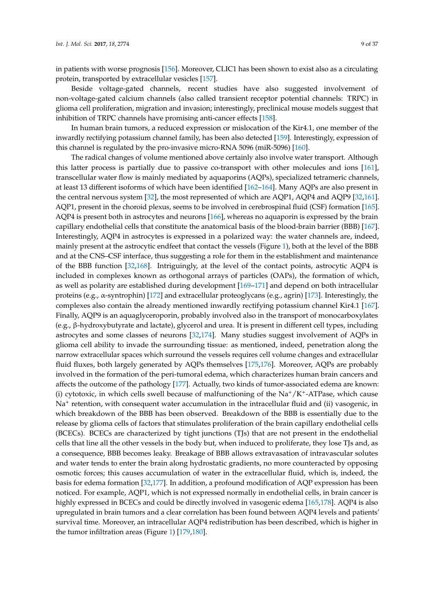in patients with worse prognosis [\[156\]](#page-27-6). Moreover, CLIC1 has been shown to exist also as a circulating protein, transported by extracellular vesicles [\[157\]](#page-27-7).

Beside voltage-gated channels, recent studies have also suggested involvement of non-voltage-gated calcium channels (also called transient receptor potential channels: TRPC) in glioma cell proliferation, migration and invasion; interestingly, preclinical mouse models suggest that inhibition of TRPC channels have promising anti-cancer effects [\[158\]](#page-27-8).

In human brain tumors, a reduced expression or mislocation of the Kir4.1, one member of the inwardly rectifying potassium channel family, has been also detected [\[159\]](#page-27-9). Interestingly, expression of this channel is regulated by the pro-invasive micro-RNA 5096 (miR-5096) [\[160\]](#page-27-10).

The radical changes of volume mentioned above certainly also involve water transport. Although this latter process is partially due to passive co-transport with other molecules and ions [\[161\]](#page-27-11), transcellular water flow is mainly mediated by aquaporins (AQPs), specialized tetrameric channels, at least 13 different isoforms of which have been identified [\[162–](#page-27-12)[164\]](#page-27-13). Many AQPs are also present in the central nervous system [\[32\]](#page-21-1), the most represented of which are AQP1, AQP4 and AQP9 [\[32,](#page-21-1)[161\]](#page-27-11). AQP1, present in the choroid plexus, seems to be involved in cerebrospinal fluid (CSF) formation [\[165\]](#page-27-14). AQP4 is present both in astrocytes and neurons [\[166\]](#page-27-15), whereas no aquaporin is expressed by the brain capillary endothelial cells that constitute the anatomical basis of the blood-brain barrier (BBB) [\[167\]](#page-27-16). Interestingly, AQP4 in astrocytes is expressed in a polarized way: the water channels are, indeed, mainly present at the astrocytic endfeet that contact the vessels (Figure [1\)](#page-9-0), both at the level of the BBB and at the CNS–CSF interface, thus suggesting a role for them in the establishment and maintenance of the BBB function [\[32](#page-21-1)[,168\]](#page-27-17). Intriguingly, at the level of the contact points, astrocytic AQP4 is included in complexes known as orthogonal arrays of particles (OAPs), the formation of which, as well as polarity are established during development [\[169](#page-27-18)[–171\]](#page-27-19) and depend on both intracellular proteins (e.g., α-syntrophin) [\[172\]](#page-28-0) and extracellular proteoglycans (e.g., agrin) [\[173\]](#page-28-1). Interestingly, the complexes also contain the already mentioned inwardly rectifying potassium channel Kir4.1 [\[167\]](#page-27-16). Finally, AQP9 is an aquaglyceroporin, probably involved also in the transport of monocarboxylates (e.g., β-hydroxybutyrate and lactate), glycerol and urea. It is present in different cell types, including astrocytes and some classes of neurons [\[32](#page-21-1)[,174\]](#page-28-2). Many studies suggest involvement of AQPs in glioma cell ability to invade the surrounding tissue: as mentioned, indeed, penetration along the narrow extracellular spaces which surround the vessels requires cell volume changes and extracellular fluid fluxes, both largely generated by AQPs themselves [\[175](#page-28-3)[,176\]](#page-28-4). Moreover, AQPs are probably involved in the formation of the peri-tumoral edema, which characterizes human brain cancers and affects the outcome of the pathology [\[177\]](#page-28-5). Actually, two kinds of tumor-associated edema are known: (i) cytotoxic, in which cells swell because of malfunctioning of the  $Na^+/K^+$ -ATPase, which cause Na<sup>+</sup> retention, with consequent water accumulation in the intracellular fluid and (ii) vasogenic, in which breakdown of the BBB has been observed. Breakdown of the BBB is essentially due to the release by glioma cells of factors that stimulates proliferation of the brain capillary endothelial cells (BCECs). BCECs are characterized by tight junctions (TJs) that are not present in the endothelial cells that line all the other vessels in the body but, when induced to proliferate, they lose TJs and, as a consequence, BBB becomes leaky. Breakage of BBB allows extravasation of intravascular solutes and water tends to enter the brain along hydrostatic gradients, no more counteracted by opposing osmotic forces; this causes accumulation of water in the extracellular fluid, which is, indeed, the basis for edema formation [\[32,](#page-21-1)[177\]](#page-28-5). In addition, a profound modification of AQP expression has been noticed. For example, AQP1, which is not expressed normally in endothelial cells, in brain cancer is highly expressed in BCECs and could be directly involved in vasogenic edema [\[165,](#page-27-14)[178\]](#page-28-6). AQP4 is also upregulated in brain tumors and a clear correlation has been found between AQP4 levels and patients' survival time. Moreover, an intracellular AQP4 redistribution has been described, which is higher in the tumor infiltration areas (Figure [1\)](#page-9-0) [\[179](#page-28-7)[,180\]](#page-28-8).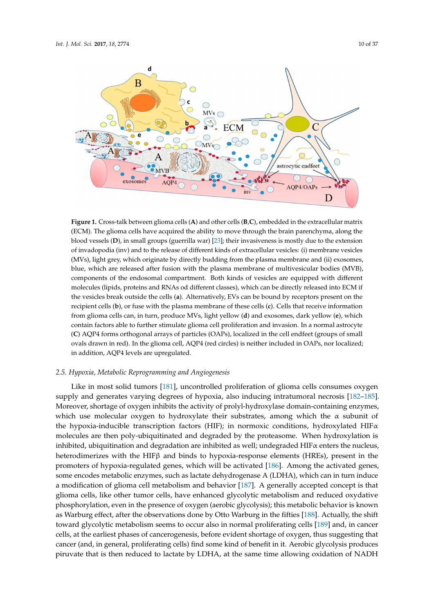<span id="page-9-0"></span>

(ECM). The glioma cells have acquired the ability to move through the brain parenchyma, along the blood vessels (**D**), in small groups (guerrilla war) [\[23\]](#page-20-12); their invasiveness is mostly due to the extension of invadopodia (inv) and to the release of different kinds of extracellular vesicles: (i) membrane vesicles (MVs), light grey, which originate by directly budding from the plasma membrane and (ii) exosomes, blue, which are released after fusion with the plasma membrane of multivesicular bodies (MVB), components of the endosomal compartment. Both kinds of vesicles are equipped with different molecules (lipids, proteins and RNAs od different classes), which can be directly released into ECM if the vesicles break outside the cells (a). Alternatively, EVs can be bound by receptors present on the recipient cells (b), or fuse with the plasma membrane of these cells (c). Cells that receive information from glioma cells can, in turn, produce MVs, light yellow (d) and exosomes, dark yellow (e), which contain factors able to further stimulate glioma cell proliferation and invasion. In a normal astrocyte (C) AQP4 forms orthogonal arrays of particles (OAPs), localized in the cell endfeet (groups of small ovals drawn in red). In the glioma cell, AQP4 (red circles) is neither included in OAPs, nor localized; in addition, AQP4 levels are upregulated. **Figure 1.** Cross-talk between glioma cells (**A**) and other cells (**B**,**C**), embedded in the extracellular matrix

#### *2.5. Hypoxia, Metabolic Reprogramming and Angiogenesis 2.5. Hypoxia, Metabolic Reprogramming and Angiogenesis*

supply and generates varying degrees of hypoxia, also inducing intratumoral necrosis [\[182–](#page-28-10)[185\]](#page-28-11). Moreover, shortage of oxygen inhibits the activity of prolyl-hydroxylase domain-containing enzymes, which use molecular oxygen to hydroxylate their substrates, among which the  $\alpha$  subunit of Like in most solid tumors [\[181\]](#page-28-9), uncontrolled proliferation of glioma cells consumes oxygen the hypoxia-inducible transcription factors (HIF); in normoxic conditions, hydroxylated HIF $\alpha$ molecules are then poly-ubiquitinated and degraded by the proteasome. When hydroxylation is inhibited, ubiquitination and degradation are inhibited as well; undegraded  $HIF\alpha$  enters the nucleus, heterodimerizes with the HIFβ and binds to hypoxia-response elements (HREs), present in the promoters of hypoxia-regulated genes, which will be activated [\[186\]](#page-28-12). Among the activated genes, some encodes metabolic enzymes, such as lactate dehydrogenase A (LDHA), which can in turn induce a modification of glioma cell metabolism and behavior [\[187\]](#page-28-13). A generally accepted concept is that glioma cells, like other tumor cells, have enhanced glycolytic metabolism and reduced oxydative phosphorylation, even in the presence of oxygen (aerobic glycolysis); this metabolic behavior is known as Warburg effect, after the observations done by Otto Warburg in the fifties [\[188\]](#page-28-14). Actually, the shift toward glycolytic metabolism seems to occur also in normal proliferating cells [\[189\]](#page-28-15) and, in cancer cells, at the earliest phases of cancerogenesis, before evident shortage of oxygen, thus suggesting that cancer (and, in general, proliferating cells) find some kind of benefit in it. Aerobic glycolysis produces piruvate that is then reduced to lactate by LDHA, at the same time allowing oxidation of NADH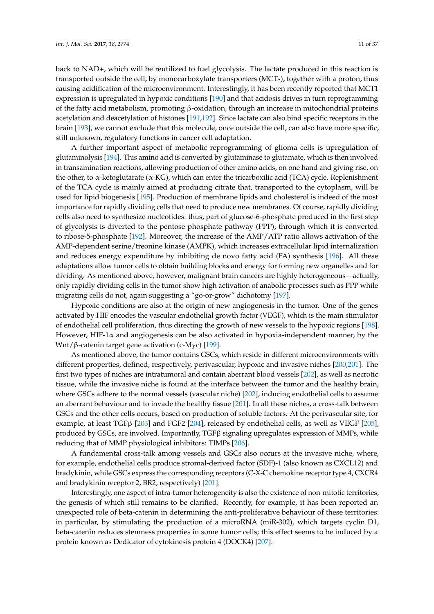back to NAD+, which will be reutilized to fuel glycolysis. The lactate produced in this reaction is transported outside the cell, by monocarboxylate transporters (MCTs), together with a proton, thus causing acidification of the microenvironment. Interestingly, it has been recently reported that MCT1 expression is upregulated in hypoxic conditions [\[190\]](#page-28-16) and that acidosis drives in turn reprogramming of the fatty acid metabolism, promoting β-oxidation, through an increase in mitochondrial proteins acetylation and deacetylation of histones [\[191](#page-28-17)[,192\]](#page-28-18). Since lactate can also bind specific receptors in the brain [\[193\]](#page-29-0), we cannot exclude that this molecule, once outside the cell, can also have more specific, still unknown, regulatory functions in cancer cell adaptation.

A further important aspect of metabolic reprogramming of glioma cells is upregulation of glutaminolysis [\[194\]](#page-29-1). This amino acid is converted by glutaminase to glutamate, which is then involved in transamination reactions, allowing production of other amino acids, on one hand and giving rise, on the other, to  $\alpha$ -ketoglutarate ( $\alpha$ -KG), which can enter the tricarboxilic acid (TCA) cycle. Replenishment of the TCA cycle is mainly aimed at producing citrate that, transported to the cytoplasm, will be used for lipid biogenesis [\[195\]](#page-29-2). Production of membrane lipids and cholesterol is indeed of the most importance for rapidly dividing cells that need to produce new membranes. Of course, rapidly dividing cells also need to synthesize nucleotides: thus, part of glucose-6-phosphate produced in the first step of glycolysis is diverted to the pentose phosphate pathway (PPP), through which it is converted to ribose-5-phosphate [\[192\]](#page-28-18). Moreover, the increase of the AMP/ATP ratio allows activation of the AMP-dependent serine/treonine kinase (AMPK), which increases extracellular lipid internalization and reduces energy expenditure by inhibiting de novo fatty acid (FA) synthesis [\[196\]](#page-29-3). All these adaptations allow tumor cells to obtain building blocks and energy for forming new organelles and for dividing. As mentioned above, however, malignant brain cancers are highly heterogeneous—actually, only rapidly dividing cells in the tumor show high activation of anabolic processes such as PPP while migrating cells do not, again suggesting a "go-or-grow" dichotomy [\[197\]](#page-29-4).

Hypoxic conditions are also at the origin of new angiogenesis in the tumor. One of the genes activated by HIF encodes the vascular endothelial growth factor (VEGF), which is the main stimulator of endothelial cell proliferation, thus directing the growth of new vessels to the hypoxic regions [\[198\]](#page-29-5). However, HIF-1 $\alpha$  and angiogenesis can be also activated in hypoxia-independent manner, by the Wnt/β-catenin target gene activation (c-Myc) [\[199\]](#page-29-6).

As mentioned above, the tumor contains GSCs, which reside in different microenvironments with different properties, defined, respectively, perivascular, hypoxic and invasive niches [\[200](#page-29-7)[,201\]](#page-29-8). The first two types of niches are intratumoral and contain aberrant blood vessels [\[202\]](#page-29-9), as well as necrotic tissue, while the invasive niche is found at the interface between the tumor and the healthy brain, where GSCs adhere to the normal vessels (vascular niche) [\[202\]](#page-29-9), inducing endothelial cells to assume an aberrant behaviour and to invade the healthy tissue [\[201\]](#page-29-8). In all these niches, a cross-talk between GSCs and the other cells occurs, based on production of soluble factors. At the perivascular site, for example, at least TGFβ [\[203\]](#page-29-10) and FGF2 [\[204\]](#page-29-11), released by endothelial cells, as well as VEGF [\[205\]](#page-29-12), produced by GSCs, are involved. Importantly, TGFβ signaling upregulates expression of MMPs, while reducing that of MMP physiological inhibitors: TIMPs [\[206\]](#page-29-13).

A fundamental cross-talk among vessels and GSCs also occurs at the invasive niche, where, for example, endothelial cells produce stromal-derived factor (SDF)-1 (also known as CXCL12) and bradykinin, while GSCs express the corresponding receptors (C-X-C chemokine receptor type 4, CXCR4 and bradykinin receptor 2, BR2, respectively) [\[201\]](#page-29-8).

Interestingly, one aspect of intra-tumor heterogeneity is also the existence of non-mitotic territories, the genesis of which still remains to be clarified. Recently, for example, it has been reported an unexpected role of beta-catenin in determining the anti-proliferative behaviour of these territories: in particular, by stimulating the production of a microRNA (miR-302), which targets cyclin D1, beta-catenin reduces stemness properties in some tumor cells; this effect seems to be induced by a protein known as Dedicator of cytokinesis protein 4 (DOCK4) [\[207\]](#page-29-14).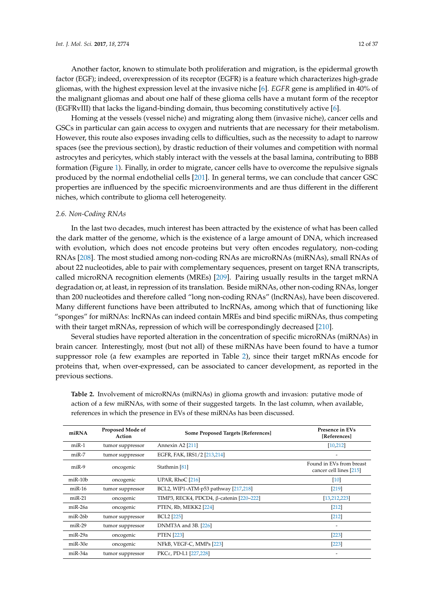Another factor, known to stimulate both proliferation and migration, is the epidermal growth factor (EGF); indeed, overexpression of its receptor (EGFR) is a feature which characterizes high-grade gliomas, with the highest expression level at the invasive niche [\[6\]](#page-19-4). *EGFR* gene is amplified in 40% of

(EGFRvIII) that lacks the ligand-binding domain, thus becoming constitutively active [\[6\]](#page-19-4). Homing at the vessels (vessel niche) and migrating along them (invasive niche), cancer cells and GSCs in particular can gain access to oxygen and nutrients that are necessary for their metabolism. However, this route also exposes invading cells to difficulties, such as the necessity to adapt to narrow spaces (see the previous section), by drastic reduction of their volumes and competition with normal astrocytes and pericytes, which stably interact with the vessels at the basal lamina, contributing to BBB formation (Figure [1\)](#page-9-0). Finally, in order to migrate, cancer cells have to overcome the repulsive signals produced by the normal endothelial cells [\[201\]](#page-29-8). In general terms, we can conclude that cancer GSC properties are influenced by the specific microenvironments and are thus different in the different niches, which contribute to glioma cell heterogeneity.

the malignant gliomas and about one half of these glioma cells have a mutant form of the receptor

#### <span id="page-11-0"></span>*2.6. Non-Coding RNAs*

In the last two decades, much interest has been attracted by the existence of what has been called the dark matter of the genome, which is the existence of a large amount of DNA, which increased with evolution, which does not encode proteins but very often encodes regulatory, non-coding RNAs [\[208\]](#page-29-15). The most studied among non-coding RNAs are microRNAs (miRNAs), small RNAs of about 22 nucleotides, able to pair with complementary sequences, present on target RNA transcripts, called microRNA recognition elements (MREs) [\[209\]](#page-29-16). Pairing usually results in the target mRNA degradation or, at least, in repression of its translation. Beside miRNAs, other non-coding RNAs, longer than 200 nucleotides and therefore called "long non-coding RNAs" (lncRNAs), have been discovered. Many different functions have been attributed to lncRNAs, among which that of functioning like "sponges" for miRNAs: lncRNAs can indeed contain MREs and bind specific miRNAs, thus competing with their target mRNAs, repression of which will be correspondingly decreased [\[210\]](#page-29-17).

Several studies have reported alteration in the concentration of specific microRNAs (miRNAs) in brain cancer. Interestingly, most (but not all) of these miRNAs have been found to have a tumor suppressor role (a few examples are reported in Table [2\)](#page-12-0), since their target mRNAs encode for proteins that, when over-expressed, can be associated to cancer development, as reported in the previous sections.

| miRNA         | Proposed Mode of<br>Action | <b>Some Proposed Targets [References]</b> | Presence in EVs<br>[References]                     |
|---------------|----------------------------|-------------------------------------------|-----------------------------------------------------|
| $miR-1$       | tumor suppressor           | Annexin A2 <sup>[211]</sup>               | [10, 212]                                           |
| $miR-7$       | tumor suppressor           | EGFR, FAK, IRS1/2 [213,214]               |                                                     |
| $miR-9$       | oncogenic                  | Stathmin <sup>[81]</sup>                  | Found in EVs from breast<br>cancer cell lines [215] |
| $m$ i $R-10b$ | oncogenic                  | UPAR, RhoC $[216]$                        | [10]                                                |
| $miR-16$      | tumor suppressor           | BCL2, WIP1-ATM-p53 pathway [217,218]      | [219]                                               |
| $miR-21$      | oncogenic                  | TIMP3, RECK4, PDCD4, β-catenin [220–222]  | [13, 212, 223]                                      |
| miR-26a       | oncogenic                  | PTEN, Rb, MEKK2 [224]                     | [212]                                               |
| $miR-26b$     | tumor suppressor           | <b>BCL2</b> [225]                         | [212]                                               |
| $miR-29$      | tumor suppressor           | DNMT3A and 3B. [226]                      | $\overline{\phantom{a}}$                            |
| miR-29a       | oncogenic                  | <b>PTEN</b> [223]                         | [223]                                               |
| miR-30e       | oncogenic                  | NFkB, VEGF-C, MMPs [223]                  | [223]                                               |
| miR-34a       | tumor suppressor           | PKCε, PD-L1 [227,228]                     |                                                     |

**Table 2.** Involvement of microRNAs (miRNAs) in glioma growth and invasion: putative mode of action of a few miRNAs, with some of their suggested targets. In the last column, when available, references in which the presence in EVs of these miRNAs has been discussed.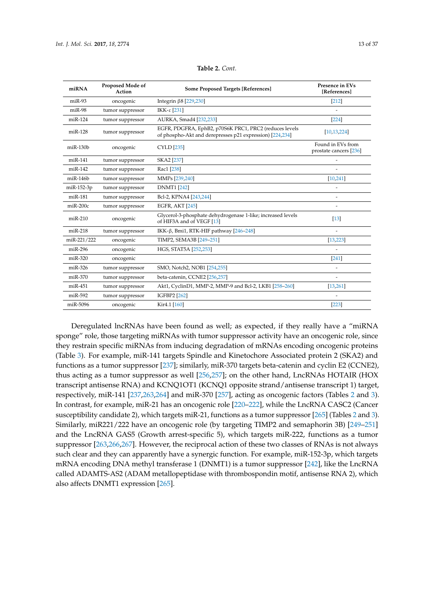<span id="page-12-0"></span>

| miRNA          | Proposed Mode of<br>Action | <b>Some Proposed Targets [References]</b>                                                                          | Presence in EVs<br>[References]             |
|----------------|----------------------------|--------------------------------------------------------------------------------------------------------------------|---------------------------------------------|
| $miR-93$       | oncogenic                  | Integrin $\beta$ 8 [229,230]                                                                                       | [212]                                       |
| $miR-98$       | tumor suppressor           | IKK-ε [231]                                                                                                        |                                             |
| $miR-124$      | tumor suppressor           | AURKA, Smad4 [232,233]                                                                                             | 224                                         |
| $miR-128$      | tumor suppressor           | EGFR, PDGFRA, EphB2, p70S6K PRC1, PRC2 (reduces levels<br>of phospho-Akt and derepresses p21 expression) [224,234] | [10, 13, 224]                               |
| $m$ i $R-130b$ | oncogenic                  | <b>CYLD</b> [235]                                                                                                  | Found in EVs from<br>prostate cancers [236] |
| $miR-141$      | tumor suppressor           | SKA2 <sup>[237]</sup>                                                                                              | $\overline{\phantom{a}}$                    |
| $miR-142$      | tumor suppressor           | Rac1 <sup>[238]</sup>                                                                                              |                                             |
| $m$ i $R-146b$ | tumor suppressor           | MMPs [239,240]                                                                                                     | [10, 241]                                   |
| miR-152-3p     | tumor suppressor           | <b>DNMT1</b> [242]                                                                                                 |                                             |
| $miR-181$      | tumor suppressor           | Bcl-2, KPNA4 [243,244]                                                                                             |                                             |
| $miR-200c$     | tumor suppressor           | <b>EGFR, AKT [245]</b>                                                                                             |                                             |
| $miR-210$      | oncogenic                  | Glycerol-3-phosphate dehydrogenase 1-like; increased levels<br>of HIF3A and of VEGF [13]                           | $[13]$                                      |
| $miR-218$      | tumor suppressor           | IKK-β, Bmi1, RTK-HIF pathway $[246-248]$                                                                           |                                             |
| miR-221/222    | oncogenic                  | TIMP2, SEMA3B [249-251]                                                                                            | [13, 223]                                   |
| $miR-296$      | oncogenic                  | HGS, STAT5A [252,253]                                                                                              |                                             |
| $miR-320$      | oncogenic                  |                                                                                                                    | [241]                                       |
| $miR-326$      | tumor suppressor           | SMO, Notch2, NOB1 [254,255]                                                                                        |                                             |
| $miR-370$      | tumor suppressor           | beta-catenin, CCNE2 [256,257]                                                                                      | $\overline{\phantom{a}}$                    |
| $miR-451$      | tumor suppressor           | Akt1, CyclinD1, MMP-2, MMP-9 and Bcl-2, LKB1 [258-260]                                                             | [13, 261]                                   |
| $miR-592$      | tumor suppressor           | <b>IGFBP2</b> [262]                                                                                                |                                             |
| miR-5096       | oncogenic                  | Kir <sub>4.1</sub> [160]                                                                                           | $[223]$                                     |

|  | Table 2. Cont. |
|--|----------------|
|--|----------------|

Deregulated lncRNAs have been found as well; as expected, if they really have a "miRNA sponge" role, those targeting miRNAs with tumor suppressor activity have an oncogenic role, since they restrain specific miRNAs from inducing degradation of mRNAs encoding oncogenic proteins (Table [3\)](#page-13-1). For example, miR-141 targets Spindle and Kinetochore Associated protein 2 (SKA2) and functions as a tumor suppressor [\[237\]](#page-31-5); similarly, miR-370 targets beta-catenin and cyclin E2 (CCNE2), thus acting as a tumor suppressor as well [\[256,](#page-32-5)[257\]](#page-32-6); on the other hand, LncRNAs HOTAIR (HOX transcript antisense RNA) and KCNQ1OT1 (KCNQ1 opposite strand/antisense transcript 1) target, respectively, miR-141 [\[237,](#page-31-5)[263,](#page-32-11)[264\]](#page-32-12) and miR-370 [\[257\]](#page-32-6), acting as oncogenic factors (Tables [2](#page-12-0) and [3\)](#page-13-1). In contrast, for example, miR-21 has an oncogenic role [\[220](#page-30-6)[–222\]](#page-30-7), while the LncRNA CASC2 (Cancer susceptibility candidate 2), which targets miR-21, functions as a tumor suppressor [\[265\]](#page-32-13) (Tables [2](#page-12-0) and [3\)](#page-13-1). Similarly, miR221/222 have an oncogenic role (by targeting TIMP2 and semaphorin 3B) [\[249](#page-31-16)[–251\]](#page-32-0) and the LncRNA GAS5 (Growth arrest-specific 5), which targets miR-222, functions as a tumor suppressor [\[263,](#page-32-11)[266,](#page-32-14)[267\]](#page-32-15). However, the reciprocal action of these two classes of RNAs is not always such clear and they can apparently have a synergic function. For example, miR-152-3p, which targets mRNA encoding DNA methyl transferase 1 (DNMT1) is a tumor suppressor [\[242\]](#page-31-10), like the LncRNA called ADAMTS-AS2 (ADAM metallopeptidase with thrombospondin motif, antisense RNA 2), which also affects DNMT1 expression [\[265\]](#page-32-13).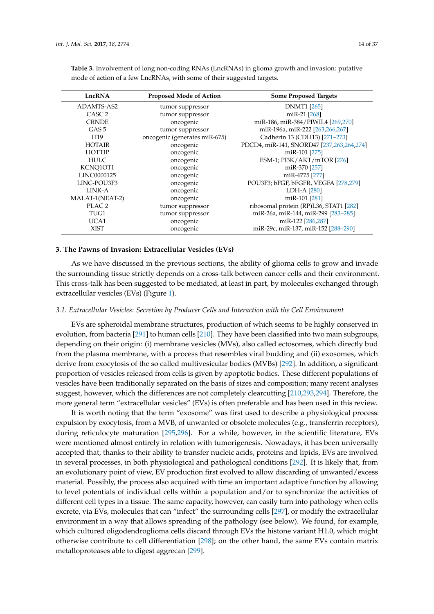| LncRNA            | <b>Proposed Mode of Action</b> | <b>Some Proposed Targets</b>              |
|-------------------|--------------------------------|-------------------------------------------|
| ADAMTS-AS2        | tumor suppressor               | <b>DNMT1</b> [265]                        |
| CASC <sub>2</sub> | tumor suppressor               | miR-21 [268]                              |
| <b>CRNDE</b>      | oncogenic                      | miR-186, miR-384/PIWIL4 [269,270]         |
| GAS <sub>5</sub>  | tumor suppressor               | miR-196a, miR-222 [263,266,267]           |
| H <sub>19</sub>   | oncogenic (generates miR-675)  | Cadherin 13 (CDH13) [271-273]             |
| <b>HOTAIR</b>     | oncogenic                      | PDCD4, miR-141, SNORD47 [237,263,264,274] |
| <b>HOTTIP</b>     | oncogenic                      | miR-101 [275]                             |
| HULC.             | oncogenic                      | ESM-1; PI3K/AKT/mTOR [276]                |
| KCNO1OT1          | oncogenic                      | miR-370 [257]                             |
| LINC0000125       | oncogenic                      | miR-4775 [277]                            |
| LINC-POU3F3       | oncogenic                      | POU3F3; bFGF, bFGFR, VEGFA [278,279]      |
| LINK-A            | oncogenic                      | LDH-A [280]                               |
| MALAT-1(NEAT-2)   | oncogenic                      | miR-101 [281]                             |
| PLAC <sub>2</sub> | tumor suppressor               | ribosomal protein (RP)L36, STAT1 [282]    |
| TUG1              | tumor suppressor               | miR-26a, miR-144, miR-299 [283-285]       |
| UCA1              | oncogenic                      | miR-122 [286,287]                         |
| <b>XIST</b>       | oncogenic                      | miR-29c, miR-137, miR-152 [288-290]       |

<span id="page-13-1"></span>**Table 3.** Involvement of long non-coding RNAs (LncRNAs) in glioma growth and invasion: putative mode of action of a few LncRNAs, with some of their suggested targets.

#### <span id="page-13-0"></span>**3. The Pawns of Invasion: Extracellular Vesicles (EVs)**

As we have discussed in the previous sections, the ability of glioma cells to grow and invade the surrounding tissue strictly depends on a cross-talk between cancer cells and their environment. This cross-talk has been suggested to be mediated, at least in part, by molecules exchanged through extracellular vesicles (EVs) (Figure [1\)](#page-9-0).

#### <span id="page-13-2"></span>*3.1. Extracellular Vesicles: Secretion by Producer Cells and Interaction with the Cell Environment*

EVs are spheroidal membrane structures, production of which seems to be highly conserved in evolution, from bacteria [\[291\]](#page-34-1) to human cells [\[210\]](#page-29-17). They have been classified into two main subgroups, depending on their origin: (i) membrane vesicles (MVs), also called ectosomes, which directly bud from the plasma membrane, with a process that resembles viral budding and (ii) exosomes, which derive from exocytosis of the so called multivesicular bodies (MVBs) [\[292\]](#page-34-2). In addition, a significant proportion of vesicles released from cells is given by apoptotic bodies. These different populations of vesicles have been traditionally separated on the basis of sizes and composition; many recent analyses suggest, however, which the differences are not completely clearcutting [\[210](#page-29-17)[,293,](#page-34-3)[294\]](#page-34-4). Therefore, the more general term "extracellular vesicles" (EVs) is often preferable and has been used in this review.

It is worth noting that the term "exosome" was first used to describe a physiological process: expulsion by exocytosis, from a MVB, of unwanted or obsolete molecules (e.g., transferrin receptors), during reticulocyte maturation [\[295,](#page-34-5)[296\]](#page-34-6). For a while, however, in the scientific literature, EVs were mentioned almost entirely in relation with tumorigenesis. Nowadays, it has been universally accepted that, thanks to their ability to transfer nucleic acids, proteins and lipids, EVs are involved in several processes, in both physiological and pathological conditions [\[292\]](#page-34-2). It is likely that, from an evolutionary point of view, EV production first evolved to allow discarding of unwanted/excess material. Possibly, the process also acquired with time an important adaptive function by allowing to level potentials of individual cells within a population and/or to synchronize the activities of different cell types in a tissue. The same capacity, however, can easily turn into pathology when cells excrete, via EVs, molecules that can "infect" the surrounding cells [\[297\]](#page-34-7), or modify the extracellular environment in a way that allows spreading of the pathology (see below). We found, for example, which cultured oligodendroglioma cells discard through EVs the histone variant H1.0, which might otherwise contribute to cell differentiation [\[298\]](#page-34-8); on the other hand, the same EVs contain matrix metalloproteases able to digest aggrecan [\[299\]](#page-34-9).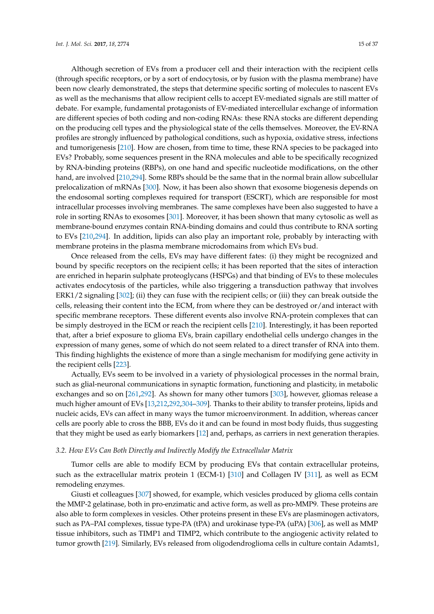Although secretion of EVs from a producer cell and their interaction with the recipient cells (through specific receptors, or by a sort of endocytosis, or by fusion with the plasma membrane) have been now clearly demonstrated, the steps that determine specific sorting of molecules to nascent EVs as well as the mechanisms that allow recipient cells to accept EV-mediated signals are still matter of debate. For example, fundamental protagonists of EV-mediated intercellular exchange of information are different species of both coding and non-coding RNAs: these RNA stocks are different depending on the producing cell types and the physiological state of the cells themselves. Moreover, the EV-RNA profiles are strongly influenced by pathological conditions, such as hypoxia, oxidative stress, infections and tumorigenesis [\[210\]](#page-29-17). How are chosen, from time to time, these RNA species to be packaged into EVs? Probably, some sequences present in the RNA molecules and able to be specifically recognized by RNA-binding proteins (RBPs), on one hand and specific nucleotide modifications, on the other hand, are involved [\[210,](#page-29-17)[294\]](#page-34-4). Some RBPs should be the same that in the normal brain allow subcellular prelocalization of mRNAs [\[300\]](#page-34-10). Now, it has been also shown that exosome biogenesis depends on the endosomal sorting complexes required for transport (ESCRT), which are responsible for most intracellular processes involving membranes. The same complexes have been also suggested to have a role in sorting RNAs to exosomes [\[301\]](#page-34-11). Moreover, it has been shown that many cytosolic as well as membrane-bound enzymes contain RNA-binding domains and could thus contribute to RNA sorting to EVs [\[210](#page-29-17)[,294\]](#page-34-4). In addition, lipids can also play an important role, probably by interacting with membrane proteins in the plasma membrane microdomains from which EVs bud.

Once released from the cells, EVs may have different fates: (i) they might be recognized and bound by specific receptors on the recipient cells; it has been reported that the sites of interaction are enriched in heparin sulphate proteoglycans (HSPGs) and that binding of EVs to these molecules activates endocytosis of the particles, while also triggering a transduction pathway that involves ERK1/2 signaling [\[302\]](#page-34-12); (ii) they can fuse with the recipient cells; or (iii) they can break outside the cells, releasing their content into the ECM, from where they can be destroyed or/and interact with specific membrane receptors. These different events also involve RNA-protein complexes that can be simply destroyed in the ECM or reach the recipient cells [\[210\]](#page-29-17). Interestingly, it has been reported that, after a brief exposure to glioma EVs, brain capillary endothelial cells undergo changes in the expression of many genes, some of which do not seem related to a direct transfer of RNA into them. This finding highlights the existence of more than a single mechanism for modifying gene activity in the recipient cells [\[223\]](#page-30-8).

Actually, EVs seem to be involved in a variety of physiological processes in the normal brain, such as glial-neuronal communications in synaptic formation, functioning and plasticity, in metabolic exchanges and so on [\[261,](#page-32-9)[292\]](#page-34-2). As shown for many other tumors [\[303\]](#page-34-13), however, gliomas release a much higher amount of EVs [\[13](#page-20-2)[,212,](#page-29-19)[292,](#page-34-2)[304](#page-34-14)[–309\]](#page-34-15). Thanks to their ability to transfer proteins, lipids and nucleic acids, EVs can affect in many ways the tumor microenvironment. In addition, whereas cancer cells are poorly able to cross the BBB, EVs do it and can be found in most body fluids, thus suggesting that they might be used as early biomarkers [\[12\]](#page-20-20) and, perhaps, as carriers in next generation therapies.

## *3.2. How EVs Can Both Directly and Indirectly Modify the Extracellular Matrix*

Tumor cells are able to modify ECM by producing EVs that contain extracellular proteins, such as the extracellular matrix protein 1 (ECM-1) [\[310\]](#page-35-0) and Collagen IV [\[311\]](#page-35-1), as well as ECM remodeling enzymes.

Giusti et colleagues [\[307\]](#page-34-16) showed, for example, which vesicles produced by glioma cells contain the MMP-2 gelatinase, both in pro-enzimatic and active form, as well as pro-MMP9. These proteins are also able to form complexes in vesicles. Other proteins present in these EVs are plasminogen activators, such as PA–PAI complexes, tissue type-PA (tPA) and urokinase type-PA (uPA) [\[306\]](#page-34-17), as well as MMP tissue inhibitors, such as TIMP1 and TIMP2, which contribute to the angiogenic activity related to tumor growth [\[219\]](#page-30-5). Similarly, EVs released from oligodendroglioma cells in culture contain Adamts1,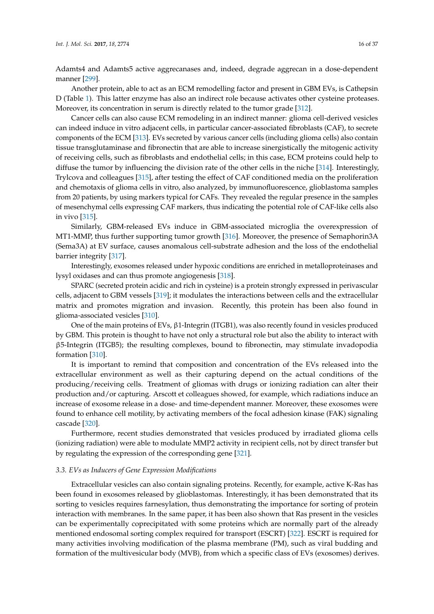Adamts4 and Adamts5 active aggrecanases and, indeed, degrade aggrecan in a dose-dependent manner [\[299\]](#page-34-9).

Another protein, able to act as an ECM remodelling factor and present in GBM EVs, is Cathepsin D (Table [1\)](#page-3-0). This latter enzyme has also an indirect role because activates other cysteine proteases. Moreover, its concentration in serum is directly related to the tumor grade [\[312\]](#page-35-2).

Cancer cells can also cause ECM remodeling in an indirect manner: glioma cell-derived vesicles can indeed induce in vitro adjacent cells, in particular cancer-associated fibroblasts (CAF), to secrete components of the ECM [\[313\]](#page-35-3). EVs secreted by various cancer cells (including glioma cells) also contain tissue transglutaminase and fibronectin that are able to increase sinergistically the mitogenic activity of receiving cells, such as fibroblasts and endothelial cells; in this case, ECM proteins could help to diffuse the tumor by influencing the division rate of the other cells in the niche [\[314\]](#page-35-4). Interestingly, Trylcova and colleagues [\[315\]](#page-35-5), after testing the effect of CAF conditioned media on the proliferation and chemotaxis of glioma cells in vitro, also analyzed, by immunofluorescence, glioblastoma samples from 20 patients, by using markers typical for CAFs. They revealed the regular presence in the samples of mesenchymal cells expressing CAF markers, thus indicating the potential role of CAF-like cells also in vivo [\[315\]](#page-35-5).

Similarly, GBM-released EVs induce in GBM-associated microglia the overexpression of MT1-MMP, thus further supporting tumor growth [\[316\]](#page-35-6). Moreover, the presence of Semaphorin3A (Sema3A) at EV surface, causes anomalous cell-substrate adhesion and the loss of the endothelial barrier integrity [\[317\]](#page-35-7).

Interestingly, exosomes released under hypoxic conditions are enriched in metalloproteinases and lysyl oxidases and can thus promote angiogenesis [\[318\]](#page-35-8).

SPARC (secreted protein acidic and rich in cysteine) is a protein strongly expressed in perivascular cells, adjacent to GBM vessels [\[319\]](#page-35-9); it modulates the interactions between cells and the extracellular matrix and promotes migration and invasion. Recently, this protein has been also found in glioma-associated vesicles [\[310\]](#page-35-0).

One of the main proteins of EVs, β1-Integrin (ITGB1), was also recently found in vesicles produced by GBM. This protein is thought to have not only a structural role but also the ability to interact with β5-Integrin (ITGB5); the resulting complexes, bound to fibronectin, may stimulate invadopodia formation [\[310\]](#page-35-0).

It is important to remind that composition and concentration of the EVs released into the extracellular environment as well as their capturing depend on the actual conditions of the producing/receiving cells. Treatment of gliomas with drugs or ionizing radiation can alter their production and/or capturing. Arscott et colleagues showed, for example, which radiations induce an increase of exosome release in a dose- and time-dependent manner. Moreover, these exosomes were found to enhance cell motility, by activating members of the focal adhesion kinase (FAK) signaling cascade [\[320\]](#page-35-10).

Furthermore, recent studies demonstrated that vesicles produced by irradiated glioma cells (ionizing radiation) were able to modulate MMP2 activity in recipient cells, not by direct transfer but by regulating the expression of the corresponding gene [\[321\]](#page-35-11).

#### *3.3. EVs as Inducers of Gene Expression Modifications*

Extracellular vesicles can also contain signaling proteins. Recently, for example, active K-Ras has been found in exosomes released by glioblastomas. Interestingly, it has been demonstrated that its sorting to vesicles requires farnesylation, thus demonstrating the importance for sorting of protein interaction with membranes. In the same paper, it has been also shown that Ras present in the vesicles can be experimentally coprecipitated with some proteins which are normally part of the already mentioned endosomal sorting complex required for transport (ESCRT) [\[322\]](#page-35-12). ESCRT is required for many activities involving modification of the plasma membrane (PM), such as viral budding and formation of the multivesicular body (MVB), from which a specific class of EVs (exosomes) derives.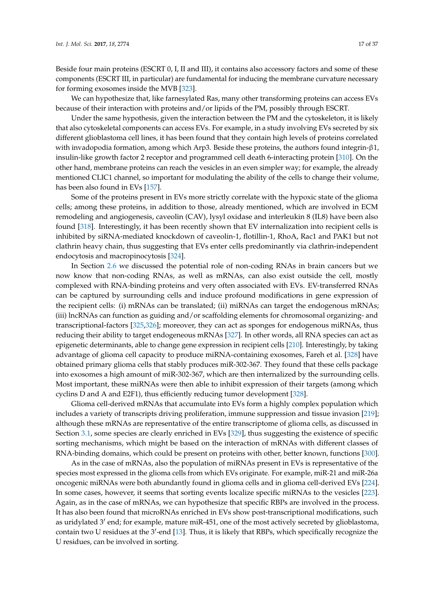Beside four main proteins (ESCRT 0, I, II and III), it contains also accessory factors and some of these components (ESCRT III, in particular) are fundamental for inducing the membrane curvature necessary for forming exosomes inside the MVB [\[323\]](#page-35-13).

We can hypothesize that, like farnesylated Ras, many other transforming proteins can access EVs because of their interaction with proteins and/or lipids of the PM, possibly through ESCRT.

Under the same hypothesis, given the interaction between the PM and the cytoskeleton, it is likely that also cytoskeletal components can access EVs. For example, in a study involving EVs secreted by six different glioblastoma cell lines, it has been found that they contain high levels of proteins correlated with invadopodia formation, among which Arp3. Beside these proteins, the authors found integrin-β1, insulin-like growth factor 2 receptor and programmed cell death 6-interacting protein [\[310\]](#page-35-0). On the other hand, membrane proteins can reach the vesicles in an even simpler way; for example, the already mentioned CLIC1 channel, so important for modulating the ability of the cells to change their volume, has been also found in EVs [\[157\]](#page-27-7).

Some of the proteins present in EVs more strictly correlate with the hypoxic state of the glioma cells; among these proteins, in addition to those, already mentioned, which are involved in ECM remodeling and angiogenesis, caveolin (CAV), lysyl oxidase and interleukin 8 (IL8) have been also found [\[318\]](#page-35-8). Interestingly, it has been recently shown that EV internalization into recipient cells is inhibited by siRNA-mediated knockdown of caveolin-1, flotillin-1, RhoA, Rac1 and PAK1 but not clathrin heavy chain, thus suggesting that EVs enter cells predominantly via clathrin-independent endocytosis and macropinocytosis [\[324\]](#page-35-14).

In Section [2.6](#page-11-0) we discussed the potential role of non-coding RNAs in brain cancers but we now know that non-coding RNAs, as well as mRNAs, can also exist outside the cell, mostly complexed with RNA-binding proteins and very often associated with EVs. EV-transferred RNAs can be captured by surrounding cells and induce profound modifications in gene expression of the recipient cells: (i) mRNAs can be translated; (ii) miRNAs can target the endogenous mRNAs; (iii) lncRNAs can function as guiding and/or scaffolding elements for chromosomal organizing- and transcriptional-factors [\[325](#page-35-15)[,326\]](#page-35-16); moreover, they can act as sponges for endogenous miRNAs, thus reducing their ability to target endogeneous mRNAs [\[327\]](#page-35-17). In other words, all RNA species can act as epigenetic determinants, able to change gene expression in recipient cells [\[210\]](#page-29-17). Interestingly, by taking advantage of glioma cell capacity to produce miRNA-containing exosomes, Fareh et al. [\[328\]](#page-36-0) have obtained primary glioma cells that stably produces miR-302-367. They found that these cells package into exosomes a high amount of miR-302-367, which are then internalized by the surrounding cells. Most important, these miRNAs were then able to inhibit expression of their targets (among which cyclins D and A and E2F1), thus efficiently reducing tumor development [\[328\]](#page-36-0).

Glioma cell-derived mRNAs that accumulate into EVs form a highly complex population which includes a variety of transcripts driving proliferation, immune suppression and tissue invasion [\[219\]](#page-30-5); although these mRNAs are representative of the entire transcriptome of glioma cells, as discussed in Section [3.1,](#page-13-2) some species are clearly enriched in EVs [\[329\]](#page-36-1), thus suggesting the existence of specific sorting mechanisms, which might be based on the interaction of mRNAs with different classes of RNA-binding domains, which could be present on proteins with other, better known, functions [\[300\]](#page-34-10).

As in the case of mRNAs, also the population of miRNAs present in EVs is representative of the species most expressed in the glioma cells from which EVs originate. For example, miR-21 and miR-26a oncogenic miRNAs were both abundantly found in glioma cells and in glioma cell-derived EVs [\[224\]](#page-30-9). In some cases, however, it seems that sorting events localize specific miRNAs to the vesicles [\[223\]](#page-30-8). Again, as in the case of mRNAs, we can hypothesize that specific RBPs are involved in the process. It has also been found that microRNAs enriched in EVs show post-transcriptional modifications, such as uridylated  $3'$  end; for example, mature miR-451, one of the most actively secreted by glioblastoma, contain two U residues at the 3'-end [\[13\]](#page-20-2). Thus, it is likely that RBPs, which specifically recognize the U residues, can be involved in sorting.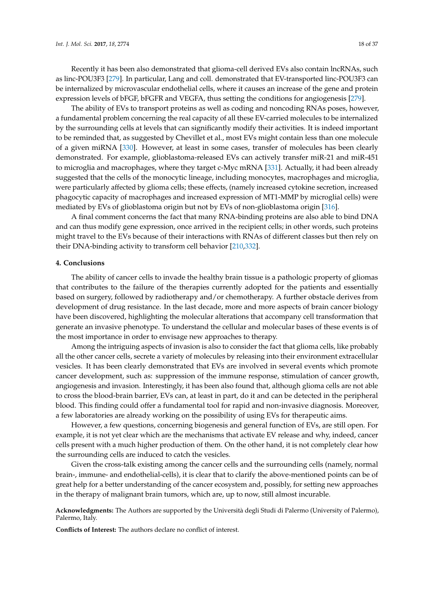Recently it has been also demonstrated that glioma-cell derived EVs also contain lncRNAs, such as linc-POU3F3 [\[279\]](#page-33-7). In particular, Lang and coll. demonstrated that EV-transported linc-POU3F3 can be internalized by microvascular endothelial cells, where it causes an increase of the gene and protein expression levels of bFGF, bFGFR and VEGFA, thus setting the conditions for angiogenesis [\[279\]](#page-33-7).

The ability of EVs to transport proteins as well as coding and noncoding RNAs poses, however, a fundamental problem concerning the real capacity of all these EV-carried molecules to be internalized by the surrounding cells at levels that can significantly modify their activities. It is indeed important to be reminded that, as suggested by Chevillet et al., most EVs might contain less than one molecule of a given miRNA [\[330\]](#page-36-2). However, at least in some cases, transfer of molecules has been clearly demonstrated. For example, glioblastoma-released EVs can actively transfer miR-21 and miR-451 to microglia and macrophages, where they target c-Myc mRNA [\[331\]](#page-36-3). Actually, it had been already suggested that the cells of the monocytic lineage, including monocytes, macrophages and microglia, were particularly affected by glioma cells; these effects, (namely increased cytokine secretion, increased phagocytic capacity of macrophages and increased expression of MT1-MMP by microglial cells) were mediated by EVs of glioblastoma origin but not by EVs of non-glioblastoma origin [\[316\]](#page-35-6).

A final comment concerns the fact that many RNA-binding proteins are also able to bind DNA and can thus modify gene expression, once arrived in the recipient cells; in other words, such proteins might travel to the EVs because of their interactions with RNAs of different classes but then rely on their DNA-binding activity to transform cell behavior [\[210,](#page-29-17)[332\]](#page-36-4).

#### **4. Conclusions**

The ability of cancer cells to invade the healthy brain tissue is a pathologic property of gliomas that contributes to the failure of the therapies currently adopted for the patients and essentially based on surgery, followed by radiotherapy and/or chemotherapy. A further obstacle derives from development of drug resistance. In the last decade, more and more aspects of brain cancer biology have been discovered, highlighting the molecular alterations that accompany cell transformation that generate an invasive phenotype. To understand the cellular and molecular bases of these events is of the most importance in order to envisage new approaches to therapy.

Among the intriguing aspects of invasion is also to consider the fact that glioma cells, like probably all the other cancer cells, secrete a variety of molecules by releasing into their environment extracellular vesicles. It has been clearly demonstrated that EVs are involved in several events which promote cancer development, such as: suppression of the immune response, stimulation of cancer growth, angiogenesis and invasion. Interestingly, it has been also found that, although glioma cells are not able to cross the blood-brain barrier, EVs can, at least in part, do it and can be detected in the peripheral blood. This finding could offer a fundamental tool for rapid and non-invasive diagnosis. Moreover, a few laboratories are already working on the possibility of using EVs for therapeutic aims.

However, a few questions, concerning biogenesis and general function of EVs, are still open. For example, it is not yet clear which are the mechanisms that activate EV release and why, indeed, cancer cells present with a much higher production of them. On the other hand, it is not completely clear how the surrounding cells are induced to catch the vesicles.

Given the cross-talk existing among the cancer cells and the surrounding cells (namely, normal brain-, immune- and endothelial-cells), it is clear that to clarify the above-mentioned points can be of great help for a better understanding of the cancer ecosystem and, possibly, for setting new approaches in the therapy of malignant brain tumors, which are, up to now, still almost incurable.

**Acknowledgments:** The Authors are supported by the Università degli Studi di Palermo (University of Palermo), Palermo, Italy.

**Conflicts of Interest:** The authors declare no conflict of interest.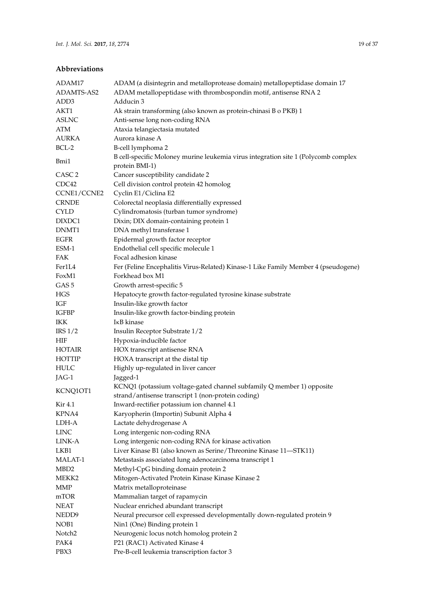# **Abbreviations**

| ADAM17             | ADAM (a disintegrin and metalloprotease domain) metallopeptidase domain 17         |
|--------------------|------------------------------------------------------------------------------------|
| ADAMTS-AS2         | ADAM metallopeptidase with thrombospondin motif, antisense RNA 2                   |
| ADD3               | Adducin 3                                                                          |
| AKT1               | Ak strain transforming (also known as protein-chinasi B o PKB) 1                   |
| <b>ASLNC</b>       | Anti-sense long non-coding RNA                                                     |
| <b>ATM</b>         | Ataxia telangiectasia mutated                                                      |
| AURKA              | Aurora kinase A                                                                    |
| BCL-2              | B-cell lymphoma 2                                                                  |
|                    | B cell-specific Moloney murine leukemia virus integration site 1 (Polycomb complex |
| Bmi1               | protein BMI-1)                                                                     |
| CASC <sub>2</sub>  | Cancer susceptibility candidate 2                                                  |
| CDC42              | Cell division control protein 42 homolog                                           |
| CCNE1/CCNE2        | Cyclin E1/Ciclina E2                                                               |
| <b>CRNDE</b>       | Colorectal neoplasia differentially expressed                                      |
| <b>CYLD</b>        | Cylindromatosis (turban tumor syndrome)                                            |
| DIXDC1             | Dixin; DIX domain-containing protein 1                                             |
| DNMT1              | DNA methyl transferase 1                                                           |
| <b>EGFR</b>        | Epidermal growth factor receptor                                                   |
| ESM-1              | Endothelial cell specific molecule 1                                               |
| FAK                | Focal adhesion kinase                                                              |
| Fer1L4             | Fer (Feline Encephalitis Virus-Related) Kinase-1 Like Family Member 4 (pseudogene) |
| FoxM1              | Forkhead box M1                                                                    |
| GAS <sub>5</sub>   | Growth arrest-specific 5                                                           |
| HGS                | Hepatocyte growth factor-regulated tyrosine kinase substrate                       |
| IGF                | Insulin-like growth factor                                                         |
| <b>IGFBP</b>       | Insulin-like growth factor-binding protein                                         |
| IKK                | I <sub>K</sub> B kinase                                                            |
| IRS <sub>1/2</sub> | Insulin Receptor Substrate 1/2                                                     |
| HIF                | Hypoxia-inducible factor                                                           |
| <b>HOTAIR</b>      | HOX transcript antisense RNA                                                       |
| <b>HOTTIP</b>      | HOXA transcript at the distal tip                                                  |
| HULC               | Highly up-regulated in liver cancer                                                |
| JAG-1              | Jagged-1                                                                           |
|                    | KCNQ1 (potassium voltage-gated channel subfamily Q member 1) opposite              |
| KCNQ1OT1           | strand/antisense transcript 1 (non-protein coding)                                 |
| Kir 4.1            | Inward-rectifier potassium ion channel 4.1                                         |
| KPNA4              | Karyopherin (Importin) Subunit Alpha 4                                             |
| LDH-A              | Lactate dehydrogenase A                                                            |
| <b>LINC</b>        | Long intergenic non-coding RNA                                                     |
| LINK-A             | Long intergenic non-coding RNA for kinase activation                               |
| LKB1               | Liver Kinase B1 (also known as Serine/Threonine Kinase 11-STK11)                   |
| MALAT-1            | Metastasis associated lung adenocarcinoma transcript 1                             |
| MBD <sub>2</sub>   | Methyl-CpG binding domain protein 2                                                |
| MEKK2              | Mitogen-Activated Protein Kinase Kinase Kinase 2                                   |
| MMP                | Matrix metalloproteinase                                                           |
| mTOR               |                                                                                    |
|                    | Mammalian target of rapamycin                                                      |
| <b>NEAT</b>        | Nuclear enriched abundant transcript                                               |
| NEDD <sub>9</sub>  | Neural precursor cell expressed developmentally down-regulated protein 9           |
| NOB1               | Nin1 (One) Binding protein 1                                                       |
| Notch <sub>2</sub> | Neurogenic locus notch homolog protein 2                                           |
| PAK4               | P21 (RAC1) Activated Kinase 4                                                      |
| PBX3               | Pre-B-cell leukemia transcription factor 3                                         |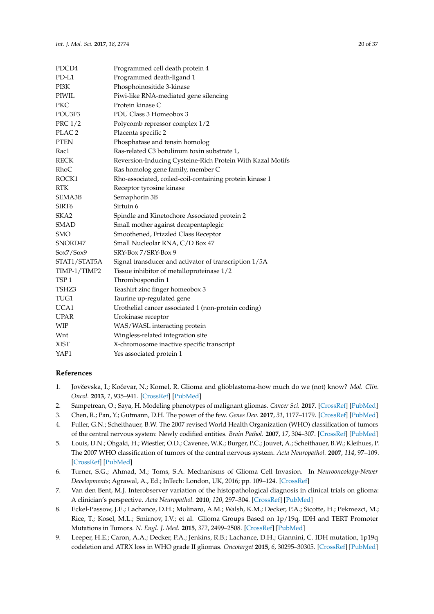| PDCD4             | Programmed cell death protein 4                            |
|-------------------|------------------------------------------------------------|
| PD-L1             | Programmed death-ligand 1                                  |
| PI3K              | Phosphoinositide 3-kinase                                  |
| PIWIL             | Piwi-like RNA-mediated gene silencing                      |
| PKC               | Protein kinase C                                           |
| POU3F3            | POU Class 3 Homeobox 3                                     |
| <b>PRC 1/2</b>    | Polycomb repressor complex 1/2                             |
| PLAC <sub>2</sub> | Placenta specific 2                                        |
| <b>PTEN</b>       | Phosphatase and tensin homolog                             |
| Rac1              | Ras-related C3 botulinum toxin substrate 1,                |
| RECK              | Reversion-Inducing Cysteine-Rich Protein With Kazal Motifs |
| RhoC              | Ras homolog gene family, member C                          |
| ROCK1             | Rho-associated, coiled-coil-containing protein kinase 1    |
| <b>RTK</b>        | Receptor tyrosine kinase                                   |
| SEMA3B            | Semaphorin 3B                                              |
| SIRT6             | Sirtuin 6                                                  |
| SKA2              | Spindle and Kinetochore Associated protein 2               |
| <b>SMAD</b>       | Small mother against decapentaplegic                       |
| SMO               | Smoothened, Frizzled Class Receptor                        |
| SNORD47           | Small Nucleolar RNA, C/D Box 47                            |
| Sox7/Sox9         | SRY-Box 7/SRY-Box 9                                        |
| STAT1/STAT5A      | Signal transducer and activator of transcription 1/5A      |
| TIMP-1/TIMP2      | Tissue inhibitor of metalloproteinase 1/2                  |
| TSP 1             | Thrombospondin 1                                           |
| TSHZ3             | Teashirt zinc finger homeobox 3                            |
| TUG1              | Taurine up-regulated gene                                  |
| UCA1              | Urothelial cancer associated 1 (non-protein coding)        |
| <b>UPAR</b>       | Urokinase receptor                                         |
| WIP               | WAS/WASL interacting protein                               |
| Wnt               | Wingless-related integration site                          |
| XIST              | X-chromosome inactive specific transcript                  |
| YAP1              | Yes associated protein 1                                   |
|                   |                                                            |

# **References**

- <span id="page-19-0"></span>1. Jovčevska, I.; Kočevar, N.; Komel, R. Glioma and glioblastoma-how much do we (not) know? *Mol. Clin. Oncol.* **2013**, *1*, 935–941. [\[CrossRef\]](http://dx.doi.org/10.3892/mco.2013.172) [\[PubMed\]](http://www.ncbi.nlm.nih.gov/pubmed/24649273)
- 2. Sampetrean, O.; Saya, H. Modeling phenotypes of malignant gliomas. *Cancer Sci.* **2017**. [\[CrossRef\]](http://dx.doi.org/10.1111/cas.13351) [\[PubMed\]](http://www.ncbi.nlm.nih.gov/pubmed/28796931)
- <span id="page-19-1"></span>3. Chen, R.; Pan, Y.; Gutmann, D.H. The power of the few. *Genes Dev.* **2017**, *31*, 1177–1179. [\[CrossRef\]](http://dx.doi.org/10.1101/gad.303453.117) [\[PubMed\]](http://www.ncbi.nlm.nih.gov/pubmed/28765159)
- <span id="page-19-2"></span>4. Fuller, G.N.; Scheithauer, B.W. The 2007 revised World Health Organization (WHO) classification of tumors of the central nervous system: Newly codified entities. *Brain Pathol.* **2007**, *17*, 304–307. [\[CrossRef\]](http://dx.doi.org/10.1111/j.1750-3639.2007.00084.x) [\[PubMed\]](http://www.ncbi.nlm.nih.gov/pubmed/17598822)
- <span id="page-19-3"></span>5. Louis, D.N.; Ohgaki, H.; Wiestler, O.D.; Cavenee, W.K.; Burger, P.C.; Jouvet, A.; Scheithauer, B.W.; Kleihues, P. The 2007 WHO classification of tumors of the central nervous system. *Acta Neuropathol.* **2007**, *114*, 97–109. [\[CrossRef\]](http://dx.doi.org/10.1007/s00401-007-0243-4) [\[PubMed\]](http://www.ncbi.nlm.nih.gov/pubmed/17618441)
- <span id="page-19-4"></span>6. Turner, S.G.; Ahmad, M.; Toms, S.A. Mechanisms of Glioma Cell Invasion. In *Neurooncology-Newer Developments*; Agrawal, A., Ed.; InTech: London, UK, 2016; pp. 109–124. [\[CrossRef\]](http://dx.doi.org/10.5772/63126)
- <span id="page-19-5"></span>7. Van den Bent, M.J. Interobserver variation of the histopathological diagnosis in clinical trials on glioma: A clinician's perspective. *Acta Neuropathol.* **2010**, *120*, 297–304. [\[CrossRef\]](http://dx.doi.org/10.1007/s00401-010-0725-7) [\[PubMed\]](http://www.ncbi.nlm.nih.gov/pubmed/20644945)
- <span id="page-19-6"></span>8. Eckel-Passow, J.E.; Lachance, D.H.; Molinaro, A.M.; Walsh, K.M.; Decker, P.A.; Sicotte, H.; Pekmezci, M.; Rice, T.; Kosel, M.L.; Smirnov, I.V.; et al. Glioma Groups Based on 1p/19q, IDH and TERT Promoter Mutations in Tumors. *N. Engl. J. Med.* **2015**, *372*, 2499–2508. [\[CrossRef\]](http://dx.doi.org/10.1056/NEJMoa1407279) [\[PubMed\]](http://www.ncbi.nlm.nih.gov/pubmed/26061753)
- 9. Leeper, H.E.; Caron, A.A.; Decker, P.A.; Jenkins, R.B.; Lachance, D.H.; Giannini, C. IDH mutation, 1p19q codeletion and ATRX loss in WHO grade II gliomas. *Oncotarget* **2015**, *6*, 30295–30305. [\[CrossRef\]](http://dx.doi.org/10.18632/oncotarget.4497) [\[PubMed\]](http://www.ncbi.nlm.nih.gov/pubmed/26210286)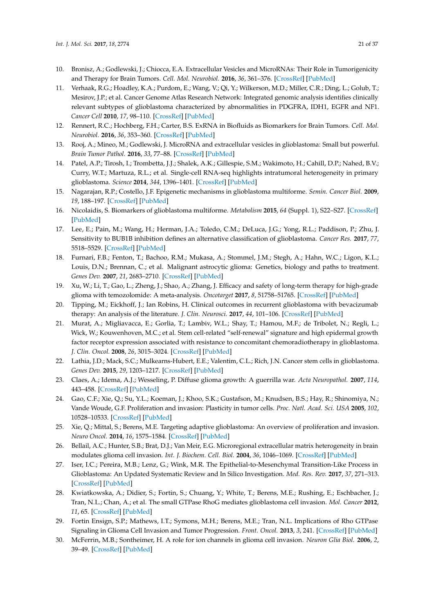- <span id="page-20-0"></span>10. Bronisz, A.; Godlewski, J.; Chiocca, E.A. Extracellular Vesicles and MicroRNAs: Their Role in Tumorigenicity and Therapy for Brain Tumors. *Cell. Mol. Neurobiol.* **2016**, *36*, 361–376. [\[CrossRef\]](http://dx.doi.org/10.1007/s10571-015-0293-4) [\[PubMed\]](http://www.ncbi.nlm.nih.gov/pubmed/26983830)
- <span id="page-20-1"></span>11. Verhaak, R.G.; Hoadley, K.A.; Purdom, E.; Wang, V.; Qi, Y.; Wilkerson, M.D.; Miller, C.R.; Ding, L.; Golub, T.; Mesirov, J.P.; et al. Cancer Genome Atlas Research Network: Integrated genomic analysis identifies clinically relevant subtypes of glioblastoma characterized by abnormalities in PDGFRA, IDH1, EGFR and NF1. *Cancer Cell* **2010**, *17*, 98–110. [\[CrossRef\]](http://dx.doi.org/10.1016/j.ccr.2009.12.020) [\[PubMed\]](http://www.ncbi.nlm.nih.gov/pubmed/20129251)
- <span id="page-20-20"></span>12. Rennert, R.C.; Hochberg, F.H.; Carter, B.S. ExRNA in Biofluids as Biomarkers for Brain Tumors. *Cell. Mol. Neurobiol.* **2016**, *36*, 353–360. [\[CrossRef\]](http://dx.doi.org/10.1007/s10571-015-0284-5) [\[PubMed\]](http://www.ncbi.nlm.nih.gov/pubmed/26993514)
- <span id="page-20-2"></span>13. Rooj, A.; Mineo, M.; Godlewski, J. MicroRNA and extracellular vesicles in glioblastoma: Small but powerful. *Brain Tumor Pathol.* **2016**, *33*, 77–88. [\[CrossRef\]](http://dx.doi.org/10.1007/s10014-016-0259-3) [\[PubMed\]](http://www.ncbi.nlm.nih.gov/pubmed/26968172)
- <span id="page-20-3"></span>14. Patel, A.P.; Tirosh, I.; Trombetta, J.J.; Shalek, A.K.; Gillespie, S.M.; Wakimoto, H.; Cahill, D.P.; Nahed, B.V.; Curry, W.T.; Martuza, R.L.; et al. Single-cell RNA-seq highlights intratumoral heterogeneity in primary glioblastoma. *Science* **2014**, *344*, 1396–1401. [\[CrossRef\]](http://dx.doi.org/10.1126/science.1254257) [\[PubMed\]](http://www.ncbi.nlm.nih.gov/pubmed/24925914)
- <span id="page-20-4"></span>15. Nagarajan, R.P.; Costello, J.F. Epigenetic mechanisms in glioblastoma multiforme. *Semin. Cancer Biol.* **2009**, *19*, 188–197. [\[CrossRef\]](http://dx.doi.org/10.1016/j.semcancer.2009.02.005) [\[PubMed\]](http://www.ncbi.nlm.nih.gov/pubmed/19429483)
- <span id="page-20-5"></span>16. Nicolaidis, S. Biomarkers of glioblastoma multiforme. *Metabolism* **2015**, *64* (Suppl. 1), S22–S27. [\[CrossRef\]](http://dx.doi.org/10.1016/j.metabol.2014.10.031) [\[PubMed\]](http://www.ncbi.nlm.nih.gov/pubmed/25468141)
- <span id="page-20-6"></span>17. Lee, E.; Pain, M.; Wang, H.; Herman, J.A.; Toledo, C.M.; DeLuca, J.G.; Yong, R.L.; Paddison, P.; Zhu, J. Sensitivity to BUB1B inhibition defines an alternative classification of glioblastoma. *Cancer Res.* **2017**, *77*, 5518–5529. [\[CrossRef\]](http://dx.doi.org/10.1158/0008-5472.CAN-17-0736) [\[PubMed\]](http://www.ncbi.nlm.nih.gov/pubmed/28855212)
- <span id="page-20-7"></span>18. Furnari, F.B.; Fenton, T.; Bachoo, R.M.; Mukasa, A.; Stommel, J.M.; Stegh, A.; Hahn, W.C.; Ligon, K.L.; Louis, D.N.; Brennan, C.; et al. Malignant astrocytic glioma: Genetics, biology and paths to treatment. *Genes Dev.* **2007**, *21*, 2683–2710. [\[CrossRef\]](http://dx.doi.org/10.1101/gad.1596707) [\[PubMed\]](http://www.ncbi.nlm.nih.gov/pubmed/17974913)
- <span id="page-20-8"></span>19. Xu, W.; Li, T.; Gao, L.; Zheng, J.; Shao, A.; Zhang, J. Efficacy and safety of long-term therapy for high-grade glioma with temozolomide: A meta-analysis. *Oncotarget* **2017**, *8*, 51758–51765. [\[CrossRef\]](http://dx.doi.org/10.18632/oncotarget.17401) [\[PubMed\]](http://www.ncbi.nlm.nih.gov/pubmed/28881684)
- <span id="page-20-9"></span>20. Tipping, M.; Eickhoff, J.; Ian Robins, H. Clinical outcomes in recurrent glioblastoma with bevacizumab therapy: An analysis of the literature. *J. Clin. Neurosci.* **2017**, *44*, 101–106. [\[CrossRef\]](http://dx.doi.org/10.1016/j.jocn.2017.06.070) [\[PubMed\]](http://www.ncbi.nlm.nih.gov/pubmed/28711289)
- <span id="page-20-10"></span>21. Murat, A.; Migliavacca, E.; Gorlia, T.; Lambiv, W.L.; Shay, T.; Hamou, M.F.; de Tribolet, N.; Regli, L.; Wick, W.; Kouwenhoven, M.C.; et al. Stem cell-related "self-renewal" signature and high epidermal growth factor receptor expression associated with resistance to concomitant chemoradiotherapy in glioblastoma. *J. Clin. Oncol.* **2008**, *26*, 3015–3024. [\[CrossRef\]](http://dx.doi.org/10.1200/JCO.2007.15.7164) [\[PubMed\]](http://www.ncbi.nlm.nih.gov/pubmed/18565887)
- <span id="page-20-11"></span>22. Lathia, J.D.; Mack, S.C.; Mulkearns-Hubert, E.E.; Valentim, C.L.; Rich, J.N. Cancer stem cells in glioblastoma. *Genes Dev.* **2015**, *29*, 1203–1217. [\[CrossRef\]](http://dx.doi.org/10.1101/gad.261982.115) [\[PubMed\]](http://www.ncbi.nlm.nih.gov/pubmed/26109046)
- <span id="page-20-12"></span>23. Claes, A.; Idema, A.J.; Wesseling, P. Diffuse glioma growth: A guerrilla war. *Acta Neuropathol.* **2007**, *114*, 443–458. [\[CrossRef\]](http://dx.doi.org/10.1007/s00401-007-0293-7) [\[PubMed\]](http://www.ncbi.nlm.nih.gov/pubmed/17805551)
- <span id="page-20-13"></span>24. Gao, C.F.; Xie, Q.; Su, Y.L.; Koeman, J.; Khoo, S.K.; Gustafson, M.; Knudsen, B.S.; Hay, R.; Shinomiya, N.; Vande Woude, G.F. Proliferation and invasion: Plasticity in tumor cells. *Proc. Natl. Acad. Sci. USA* **2005**, *102*, 10528–10533. [\[CrossRef\]](http://dx.doi.org/10.1073/pnas.0504367102) [\[PubMed\]](http://www.ncbi.nlm.nih.gov/pubmed/16024725)
- <span id="page-20-14"></span>25. Xie, Q.; Mittal, S.; Berens, M.E. Targeting adaptive glioblastoma: An overview of proliferation and invasion. *Neuro Oncol.* **2014**, *16*, 1575–1584. [\[CrossRef\]](http://dx.doi.org/10.1093/neuonc/nou147) [\[PubMed\]](http://www.ncbi.nlm.nih.gov/pubmed/25082799)
- <span id="page-20-15"></span>26. Bellail, A.C.; Hunter, S.B.; Brat, D.J.; Van Meir, E.G. Microregional extracellular matrix heterogeneity in brain modulates glioma cell invasion. *Int. J. Biochem. Cell. Biol.* **2004**, *36*, 1046–1069. [\[CrossRef\]](http://dx.doi.org/10.1016/j.biocel.2004.01.013) [\[PubMed\]](http://www.ncbi.nlm.nih.gov/pubmed/15094120)
- <span id="page-20-16"></span>27. Iser, I.C.; Pereira, M.B.; Lenz, G.; Wink, M.R. The Epithelial-to-Mesenchymal Transition-Like Process in Glioblastoma: An Updated Systematic Review and In Silico Investigation. *Med. Res. Rev.* **2017**, *37*, 271–313. [\[CrossRef\]](http://dx.doi.org/10.1002/med.21408) [\[PubMed\]](http://www.ncbi.nlm.nih.gov/pubmed/27617697)
- <span id="page-20-17"></span>28. Kwiatkowska, A.; Didier, S.; Fortin, S.; Chuang, Y.; White, T.; Berens, M.E.; Rushing, E.; Eschbacher, J.; Tran, N.L.; Chan, A.; et al. The small GTPase RhoG mediates glioblastoma cell invasion. *Mol. Cancer* **2012**, *11*, 65. [\[CrossRef\]](http://dx.doi.org/10.1186/1476-4598-11-65) [\[PubMed\]](http://www.ncbi.nlm.nih.gov/pubmed/22966858)
- <span id="page-20-18"></span>29. Fortin Ensign, S.P.; Mathews, I.T.; Symons, M.H.; Berens, M.E.; Tran, N.L. Implications of Rho GTPase Signaling in Glioma Cell Invasion and Tumor Progression. *Front. Oncol.* **2013**, *3*, 241. [\[CrossRef\]](http://dx.doi.org/10.3389/fonc.2013.00241) [\[PubMed\]](http://www.ncbi.nlm.nih.gov/pubmed/24109588)
- <span id="page-20-19"></span>30. McFerrin, M.B.; Sontheimer, H. A role for ion channels in glioma cell invasion. *Neuron Glia Biol.* **2006**, *2*, 39–49. [\[CrossRef\]](http://dx.doi.org/10.1017/S1740925X06000044) [\[PubMed\]](http://www.ncbi.nlm.nih.gov/pubmed/16520829)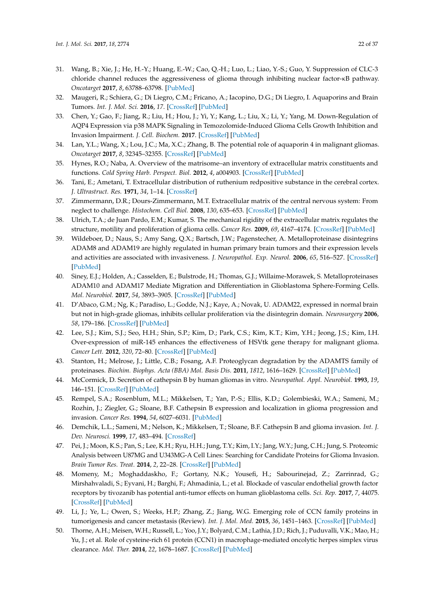- <span id="page-21-0"></span>31. Wang, B.; Xie, J.; He, H.-Y.; Huang, E.-W.; Cao, Q.-H.; Luo, L.; Liao, Y.-S.; Guo, Y. Suppression of CLC-3 chloride channel reduces the aggressiveness of glioma through inhibiting nuclear factor-κB pathway. *Oncotarget* **2017**, *8*, 63788–63798. [\[PubMed\]](http://www.ncbi.nlm.nih.gov/pubmed/28969029)
- <span id="page-21-1"></span>32. Maugeri, R.; Schiera, G.; Di Liegro, C.M.; Fricano, A.; Iacopino, D.G.; Di Liegro, I. Aquaporins and Brain Tumors. *Int. J. Mol. Sci.* **2016**, *17*. [\[CrossRef\]](http://dx.doi.org/10.3390/ijms17071029) [\[PubMed\]](http://www.ncbi.nlm.nih.gov/pubmed/27367682)
- 33. Chen, Y.; Gao, F.; Jiang, R.; Liu, H.; Hou, J.; Yi, Y.; Kang, L.; Liu, X.; Li, Y.; Yang, M. Down-Regulation of AQP4 Expression via p38 MAPK Signaling in Temozolomide-Induced Glioma Cells Growth Inhibition and Invasion Impairment. *J. Cell. Biochem.* **2017**. [\[CrossRef\]](http://dx.doi.org/10.1002/jcb.26176) [\[PubMed\]](http://www.ncbi.nlm.nih.gov/pubmed/28569417)
- <span id="page-21-2"></span>34. Lan, Y.L.; Wang, X.; Lou, J.C.; Ma, X.C.; Zhang, B. The potential role of aquaporin 4 in malignant gliomas. *Oncotarget* **2017**, *8*, 32345–32355. [\[CrossRef\]](http://dx.doi.org/10.18632/oncotarget.16017) [\[PubMed\]](http://www.ncbi.nlm.nih.gov/pubmed/28423683)
- <span id="page-21-3"></span>35. Hynes, R.O.; Naba, A. Overview of the matrisome–an inventory of extracellular matrix constituents and functions. *Cold Spring Harb. Perspect. Biol.* **2012**, *4*, a004903. [\[CrossRef\]](http://dx.doi.org/10.1101/cshperspect.a004903) [\[PubMed\]](http://www.ncbi.nlm.nih.gov/pubmed/21937732)
- <span id="page-21-4"></span>36. Tani, E.; Ametani, T. Extracellular distribution of ruthenium redpositive substance in the cerebral cortex. *J. Ultrastruct. Res.* **1971**, *34*, 1–14. [\[CrossRef\]](http://dx.doi.org/10.1016/S0022-5320(71)90002-5)
- <span id="page-21-5"></span>37. Zimmermann, D.R.; Dours-Zimmermann, M.T. Extracellular matrix of the central nervous system: From neglect to challenge. *Histochem. Cell Biol.* **2008**, *130*, 635–653. [\[CrossRef\]](http://dx.doi.org/10.1007/s00418-008-0485-9) [\[PubMed\]](http://www.ncbi.nlm.nih.gov/pubmed/18696101)
- <span id="page-21-6"></span>38. Ulrich, T.A.; de Juan Pardo, E.M.; Kumar, S. The mechanical rigidity of the extracellular matrix regulates the structure, motility and proliferation of glioma cells. *Cancer Res.* **2009**, *69*, 4167–4174. [\[CrossRef\]](http://dx.doi.org/10.1158/0008-5472.CAN-08-4859) [\[PubMed\]](http://www.ncbi.nlm.nih.gov/pubmed/19435897)
- <span id="page-21-7"></span>39. Wildeboer, D.; Naus, S.; Amy Sang, Q.X.; Bartsch, J.W.; Pagenstecher, A. Metalloproteinase disintegrins ADAM8 and ADAM19 are highly regulated in human primary brain tumors and their expression levels and activities are associated with invasiveness. *J. Neuropathol. Exp. Neurol.* **2006**, *65*, 516–527. [\[CrossRef\]](http://dx.doi.org/10.1097/01.jnen.0000229240.51490.d3) [\[PubMed\]](http://www.ncbi.nlm.nih.gov/pubmed/16772875)
- <span id="page-21-8"></span>40. Siney, E.J.; Holden, A.; Casselden, E.; Bulstrode, H.; Thomas, G.J.; Willaime-Morawek, S. Metalloproteinases ADAM10 and ADAM17 Mediate Migration and Differentiation in Glioblastoma Sphere-Forming Cells. *Mol. Neurobiol.* **2017**, *54*, 3893–3905. [\[CrossRef\]](http://dx.doi.org/10.1007/s12035-016-0053-6) [\[PubMed\]](http://www.ncbi.nlm.nih.gov/pubmed/27541285)
- <span id="page-21-9"></span>41. D'Abaco, G.M.; Ng, K.; Paradiso, L.; Godde, N.J.; Kaye, A.; Novak, U. ADAM22, expressed in normal brain but not in high-grade gliomas, inhibits cellular proliferation via the disintegrin domain. *Neurosurgery* **2006**, *58*, 179–186. [\[CrossRef\]](http://dx.doi.org/10.1227/01.NEU.0000192363.84287.8B) [\[PubMed\]](http://www.ncbi.nlm.nih.gov/pubmed/16385342)
- <span id="page-21-10"></span>42. Lee, S.J.; Kim, S.J.; Seo, H.H.; Shin, S.P.; Kim, D.; Park, C.S.; Kim, K.T.; Kim, Y.H.; Jeong, J.S.; Kim, I.H. Over-expression of miR-145 enhances the effectiveness of HSVtk gene therapy for malignant glioma. *Cancer Lett.* **2012**, *320*, 72–80. [\[CrossRef\]](http://dx.doi.org/10.1016/j.canlet.2012.01.029) [\[PubMed\]](http://www.ncbi.nlm.nih.gov/pubmed/22269208)
- <span id="page-21-11"></span>43. Stanton, H.; Melrose, J.; Little, C.B.; Fosang, A.F. Proteoglycan degradation by the ADAMTS family of proteinases. *Biochim. Biophys. Acta (BBA) Mol. Basis Dis.* **2011**, *1812*, 1616–1629. [\[CrossRef\]](http://dx.doi.org/10.1016/j.bbadis.2011.08.009) [\[PubMed\]](http://www.ncbi.nlm.nih.gov/pubmed/21914474)
- <span id="page-21-12"></span>44. McCormick, D. Secretion of cathepsin B by human gliomas in vitro. *Neuropathol. Appl. Neurobiol.* **1993**, *19*, 146–151. [\[CrossRef\]](http://dx.doi.org/10.1111/j.1365-2990.1993.tb00420.x) [\[PubMed\]](http://www.ncbi.nlm.nih.gov/pubmed/8316334)
- 45. Rempel, S.A.; Rosenblum, M.L.; Mikkelsen, T.; Yan, P.-S.; Ellis, K.D.; Golembieski, W.A.; Sameni, M.; Rozhin, J.; Ziegler, G.; Sloane, B.F. Cathepsin B expression and localization in glioma progression and invasion. *Cancer Res.* **1994**, *54*, 6027–6031. [\[PubMed\]](http://www.ncbi.nlm.nih.gov/pubmed/7954439)
- 46. Demchik, L.L.; Sameni, M.; Nelson, K.; Mikkelsen, T.; Sloane, B.F. Cathepsin B and glioma invasion. *Int. J. Dev. Neurosci.* **1999**, *17*, 483–494. [\[CrossRef\]](http://dx.doi.org/10.1016/S0736-5748(99)00011-8)
- <span id="page-21-13"></span>47. Pei, J.; Moon, K.S.; Pan, S.; Lee, K.H.; Ryu, H.H.; Jung, T.Y.; Kim, I.Y.; Jang, W.Y.; Jung, C.H.; Jung, S. Proteomic Analysis between U87MG and U343MG-A Cell Lines: Searching for Candidate Proteins for Glioma Invasion. *Brain Tumor Res. Treat.* **2014**, *2*, 22–28. [\[CrossRef\]](http://dx.doi.org/10.14791/btrt.2014.2.1.22) [\[PubMed\]](http://www.ncbi.nlm.nih.gov/pubmed/24926468)
- <span id="page-21-14"></span>48. Momeny, M.; Moghaddaskho, F.; Gortany, N.K.; Yousefi, H.; Sabourinejad, Z.; Zarrinrad, G.; Mirshahvaladi, S.; Eyvani, H.; Barghi, F.; Ahmadinia, L.; et al. Blockade of vascular endothelial growth factor receptors by tivozanib has potential anti-tumor effects on human glioblastoma cells. *Sci. Rep.* **2017**, *7*, 44075. [\[CrossRef\]](http://dx.doi.org/10.1038/srep44075) [\[PubMed\]](http://www.ncbi.nlm.nih.gov/pubmed/28287096)
- <span id="page-21-15"></span>49. Li, J.; Ye, L.; Owen, S.; Weeks, H.P.; Zhang, Z.; Jiang, W.G. Emerging role of CCN family proteins in tumorigenesis and cancer metastasis (Review). *Int. J. Mol. Med.* **2015**, *36*, 1451–1463. [\[CrossRef\]](http://dx.doi.org/10.3892/ijmm.2015.2390) [\[PubMed\]](http://www.ncbi.nlm.nih.gov/pubmed/26498181)
- <span id="page-21-16"></span>50. Thorne, A.H.; Meisen, W.H.; Russell, L.; Yoo, J.Y.; Bolyard, C.M.; Lathia, J.D.; Rich, J.; Puduvalli, V.K.; Mao, H.; Yu, J.; et al. Role of cysteine-rich 61 protein (CCN1) in macrophage-mediated oncolytic herpes simplex virus clearance. *Mol. Ther.* **2014**, *22*, 1678–1687. [\[CrossRef\]](http://dx.doi.org/10.1038/mt.2014.101) [\[PubMed\]](http://www.ncbi.nlm.nih.gov/pubmed/24895995)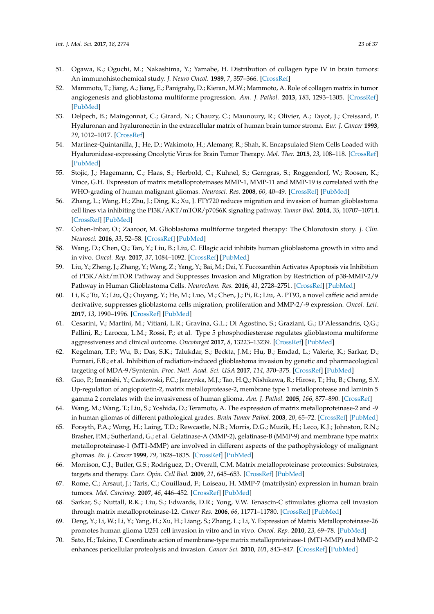- <span id="page-22-0"></span>51. Ogawa, K.; Oguchi, M.; Nakashima, Y.; Yamabe, H. Distribution of collagen type IV in brain tumors: An immunohistochemical study. *J. Neuro Oncol.* **1989**, *7*, 357–366. [\[CrossRef\]](http://dx.doi.org/10.1007/BF02147093)
- <span id="page-22-1"></span>52. Mammoto, T.; Jiang, A.; Jiang, E.; Panigrahy, D.; Kieran, M.W.; Mammoto, A. Role of collagen matrix in tumor angiogenesis and glioblastoma multiforme progression. *Am. J. Pathol.* **2013**, *183*, 1293–1305. [\[CrossRef\]](http://dx.doi.org/10.1016/j.ajpath.2013.06.026) [\[PubMed\]](http://www.ncbi.nlm.nih.gov/pubmed/23928381)
- <span id="page-22-2"></span>53. Delpech, B.; Maingonnat, C.; Girard, N.; Chauzy, C.; Maunoury, R.; Olivier, A.; Tayot, J.; Creissard, P. Hyaluronan and hyaluronectin in the extracellular matrix of human brain tumor stroma. *Eur. J. Cancer* **1993**, *29*, 1012–1017. [\[CrossRef\]](http://dx.doi.org/10.1016/S0959-8049(05)80214-X)
- <span id="page-22-3"></span>54. Martinez-Quintanilla, J.; He, D.; Wakimoto, H.; Alemany, R.; Shah, K. Encapsulated Stem Cells Loaded with Hyaluronidase-expressing Oncolytic Virus for Brain Tumor Therapy. *Mol. Ther.* **2015**, *23*, 108–118. [\[CrossRef\]](http://dx.doi.org/10.1038/mt.2014.204) [\[PubMed\]](http://www.ncbi.nlm.nih.gov/pubmed/25352242)
- <span id="page-22-4"></span>55. Stojic, J.; Hagemann, C.; Haas, S.; Herbold, C.; Kühnel, S.; Gerngras, S.; Roggendorf, W.; Roosen, K.; Vince, G.H. Expression of matrix metalloproteinases MMP-1, MMP-11 and MMP-19 is correlated with the WHO-grading of human malignant gliomas. *Neurosci. Res.* **2008**, *60*, 40–49. [\[CrossRef\]](http://dx.doi.org/10.1016/j.neures.2007.09.009) [\[PubMed\]](http://www.ncbi.nlm.nih.gov/pubmed/17980449)
- <span id="page-22-5"></span>56. Zhang, L.; Wang, H.; Zhu, J.; Ding, K.; Xu, J. FTY720 reduces migration and invasion of human glioblastoma cell lines via inhibiting the PI3K/AKT/mTOR/p70S6K signaling pathway. *Tumor Biol.* **2014**, *35*, 10707–10714. [\[CrossRef\]](http://dx.doi.org/10.1007/s13277-014-2386-y) [\[PubMed\]](http://www.ncbi.nlm.nih.gov/pubmed/25070489)
- <span id="page-22-6"></span>57. Cohen-Inbar, O.; Zaaroor, M. Glioblastoma multiforme targeted therapy: The Chlorotoxin story. *J. Clin. Neurosci.* **2016**, *33*, 52–58. [\[CrossRef\]](http://dx.doi.org/10.1016/j.jocn.2016.04.012) [\[PubMed\]](http://www.ncbi.nlm.nih.gov/pubmed/27452128)
- <span id="page-22-7"></span>58. Wang, D.; Chen, Q.; Tan, Y.; Liu, B.; Liu, C. Ellagic acid inhibits human glioblastoma growth in vitro and in vivo. *Oncol. Rep.* **2017**, *37*, 1084–1092. [\[CrossRef\]](http://dx.doi.org/10.3892/or.2016.5331) [\[PubMed\]](http://www.ncbi.nlm.nih.gov/pubmed/28035411)
- <span id="page-22-8"></span>59. Liu, Y.; Zheng, J.; Zhang, Y.; Wang, Z.; Yang, Y.; Bai, M.; Dai, Y. Fucoxanthin Activates Apoptosis via Inhibition of PI3K/Akt/mTOR Pathway and Suppresses Invasion and Migration by Restriction of p38-MMP-2/9 Pathway in Human Glioblastoma Cells. *Neurochem. Res.* **2016**, *41*, 2728–2751. [\[CrossRef\]](http://dx.doi.org/10.1007/s11064-016-1989-7) [\[PubMed\]](http://www.ncbi.nlm.nih.gov/pubmed/27394418)
- <span id="page-22-9"></span>60. Li, K.; Tu, Y.; Liu, Q.; Ouyang, Y.; He, M.; Luo, M.; Chen, J.; Pi, R.; Liu, A. PT93, a novel caffeic acid amide derivative, suppresses glioblastoma cells migration, proliferation and MMP-2/-9 expression. *Oncol. Lett.* **2017**, *13*, 1990–1996. [\[CrossRef\]](http://dx.doi.org/10.3892/ol.2017.5663) [\[PubMed\]](http://www.ncbi.nlm.nih.gov/pubmed/28454354)
- <span id="page-22-10"></span>61. Cesarini, V.; Martini, M.; Vitiani, L.R.; Gravina, G.L.; Di Agostino, S.; Graziani, G.; D'Alessandris, Q.G.; Pallini, R.; Larocca, L.M.; Rossi, P.; et al. Type 5 phosphodiesterase regulates glioblastoma multiforme aggressiveness and clinical outcome. *Oncotarget* **2017**, *8*, 13223–13239. [\[CrossRef\]](http://dx.doi.org/10.18632/oncotarget.14656) [\[PubMed\]](http://www.ncbi.nlm.nih.gov/pubmed/28099939)
- <span id="page-22-11"></span>62. Kegelman, T.P.; Wu, B.; Das, S.K.; Talukdar, S.; Beckta, J.M.; Hu, B.; Emdad, L.; Valerie, K.; Sarkar, D.; Furnari, F.B.; et al. Inhibition of radiation-induced glioblastoma invasion by genetic and pharmacological targeting of MDA-9/Syntenin. *Proc. Natl. Acad. Sci. USA* **2017**, *114*, 370–375. [\[CrossRef\]](http://dx.doi.org/10.1073/pnas.1616100114) [\[PubMed\]](http://www.ncbi.nlm.nih.gov/pubmed/28011764)
- <span id="page-22-12"></span>63. Guo, P.; Imanishi, Y.; Cackowski, F.C.; Jarzynka, M.J.; Tao, H.Q.; Nishikawa, R.; Hirose, T.; Hu, B.; Cheng, S.Y. Up-regulation of angiopoietin-2, matrix metalloprotease-2, membrane type 1 metalloprotease and laminin 5 gamma 2 correlates with the invasiveness of human glioma. *Am. J. Pathol.* **2005**, *166*, 877–890. [\[CrossRef\]](http://dx.doi.org/10.1016/S0002-9440(10)62308-5)
- <span id="page-22-16"></span>64. Wang, M.; Wang, T.; Liu, S.; Yoshida, D.; Teramoto, A. The expression of matrix metalloproteinase-2 and -9 in human gliomas of different pathological grades. *Brain Tumor Pathol.* **2003**, *20*, 65–72. [\[CrossRef\]](http://dx.doi.org/10.1007/BF02483449) [\[PubMed\]](http://www.ncbi.nlm.nih.gov/pubmed/14756443)
- <span id="page-22-13"></span>65. Forsyth, P.A.; Wong, H.; Laing, T.D.; Rewcastle, N.B.; Morris, D.G.; Muzik, H.; Leco, K.J.; Johnston, R.N.; Brasher, P.M.; Sutherland, G.; et al. Gelatinase-A (MMP-2), gelatinase-B (MMP-9) and membrane type matrix metalloproteinase-1 (MT1-MMP) are involved in different aspects of the pathophysiology of malignant gliomas. *Br. J. Cancer* **1999**, *79*, 1828–1835. [\[CrossRef\]](http://dx.doi.org/10.1038/sj.bjc.6990291) [\[PubMed\]](http://www.ncbi.nlm.nih.gov/pubmed/10206300)
- <span id="page-22-14"></span>66. Morrison, C.J.; Butler, G.S.; Rodriguez, D.; Overall, C.M. Matrix metalloproteinase proteomics: Substrates, targets and therapy. *Curr. Opin. Cell Biol.* **2009**, *21*, 645–653. [\[CrossRef\]](http://dx.doi.org/10.1016/j.ceb.2009.06.006) [\[PubMed\]](http://www.ncbi.nlm.nih.gov/pubmed/19616423)
- <span id="page-22-15"></span>67. Rome, C.; Arsaut, J.; Taris, C.; Couillaud, F.; Loiseau, H. MMP-7 (matrilysin) expression in human brain tumors. *Mol. Carcinog.* **2007**, *46*, 446–452. [\[CrossRef\]](http://dx.doi.org/10.1002/mc.20293) [\[PubMed\]](http://www.ncbi.nlm.nih.gov/pubmed/17219436)
- <span id="page-22-17"></span>68. Sarkar, S.; Nuttall, R.K.; Liu, S.; Edwards, D.R.; Yong, V.W. Tenascin-C stimulates glioma cell invasion through matrix metalloproteinase-12. *Cancer Res.* **2006**, *66*, 11771–11780. [\[CrossRef\]](http://dx.doi.org/10.1158/0008-5472.CAN-05-0470) [\[PubMed\]](http://www.ncbi.nlm.nih.gov/pubmed/17178873)
- <span id="page-22-18"></span>69. Deng, Y.; Li, W.; Li, Y.; Yang, H.; Xu, H.; Liang, S.; Zhang, L.; Li, Y. Expression of Matrix Metalloproteinase-26 promotes human glioma U251 cell invasion in vitro and in vivo. *Oncol. Rep.* **2010**, *23*, 69–78. [\[PubMed\]](http://www.ncbi.nlm.nih.gov/pubmed/19956866)
- <span id="page-22-19"></span>70. Sato, H.; Takino, T. Coordinate action of membrane-type matrix metalloproteinase-1 (MT1-MMP) and MMP-2 enhances pericellular proteolysis and invasion. *Cancer Sci.* **2010**, *101*, 843–847. [\[CrossRef\]](http://dx.doi.org/10.1111/j.1349-7006.2010.01498.x) [\[PubMed\]](http://www.ncbi.nlm.nih.gov/pubmed/20148894)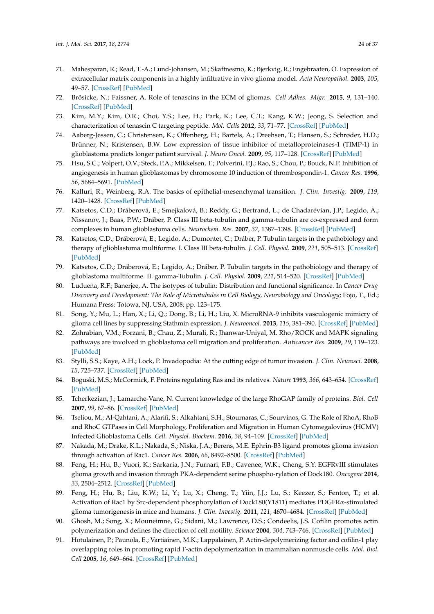- <span id="page-23-0"></span>71. Mahesparan, R.; Read, T.-A.; Lund-Johansen, M.; Skaftnesmo, K.; Bjerkvig, R.; Engebraaten, O. Expression of extracellular matrix components in a highly infiltrative in vivo glioma model. *Acta Neuropathol.* **2003**, *105*, 49–57. [\[CrossRef\]](http://dx.doi.org/10.1007/s00401-002-0610-0) [\[PubMed\]](http://www.ncbi.nlm.nih.gov/pubmed/12471461)
- <span id="page-23-1"></span>72. Brösicke, N.; Faissner, A. Role of tenascins in the ECM of gliomas. *Cell Adhes. Migr.* **2015**, *9*, 131–140. [\[CrossRef\]](http://dx.doi.org/10.1080/19336918.2014.1000071) [\[PubMed\]](http://www.ncbi.nlm.nih.gov/pubmed/25695402)
- <span id="page-23-2"></span>73. Kim, M.Y.; Kim, O.R.; Choi, Y.S.; Lee, H.; Park, K.; Lee, C.T.; Kang, K.W.; Jeong, S. Selection and characterization of tenascin C targeting peptide. *Mol. Cells* **2012**, *33*, 71–77. [\[CrossRef\]](http://dx.doi.org/10.1007/s10059-012-2214-4) [\[PubMed\]](http://www.ncbi.nlm.nih.gov/pubmed/22138765)
- <span id="page-23-3"></span>74. Aaberg-Jessen, C.; Christensen, K.; Offenberg, H.; Bartels, A.; Dreehsen, T.; Hansen, S.; Schrøder, H.D.; Brünner, N.; Kristensen, B.W. Low expression of tissue inhibitor of metalloproteinases-1 (TIMP-1) in glioblastoma predicts longer patient survival. *J. Neuro Oncol.* **2009**, *95*, 117–128. [\[CrossRef\]](http://dx.doi.org/10.1007/s11060-009-9910-8) [\[PubMed\]](http://www.ncbi.nlm.nih.gov/pubmed/19430729)
- <span id="page-23-4"></span>75. Hsu, S.C.; Volpert, O.V.; Steck, P.A.; Mikkelsen, T.; Polverini, P.J.; Rao, S.; Chou, P.; Bouck, N.P. Inhibition of angiogenesis in human glioblastomas by chromosome 10 induction of thrombospondin-1. *Cancer Res.* **1996**, *56*, 5684–5691. [\[PubMed\]](http://www.ncbi.nlm.nih.gov/pubmed/8971176)
- <span id="page-23-5"></span>76. Kalluri, R.; Weinberg, R.A. The basics of epithelial-mesenchymal transition. *J. Clin. Investig.* **2009**, *119*, 1420–1428. [\[CrossRef\]](http://dx.doi.org/10.1172/JCI39104) [\[PubMed\]](http://www.ncbi.nlm.nih.gov/pubmed/19487818)
- <span id="page-23-6"></span>77. Katsetos, C.D.; Dráberová, E.; Smejkalová, B.; Reddy, G.; Bertrand, L.; de Chadarévian, J.P.; Legido, A.; Nissanov, J.; Baas, P.W.; Dráber, P. Class III beta-tubulin and gamma-tubulin are co-expressed and form complexes in human glioblastoma cells. *Neurochem. Res.* **2007**, *32*, 1387–1398. [\[CrossRef\]](http://dx.doi.org/10.1007/s11064-007-9321-1) [\[PubMed\]](http://www.ncbi.nlm.nih.gov/pubmed/17406983)
- <span id="page-23-8"></span>78. Katsetos, C.D.; Dráberová, E.; Legido, A.; Dumontet, C.; Dráber, P. Tubulin targets in the pathobiology and therapy of glioblastoma multiforme. I. Class III beta-tubulin. *J. Cell. Physiol.* **2009**, *221*, 505–513. [\[CrossRef\]](http://dx.doi.org/10.1002/jcp.21870) [\[PubMed\]](http://www.ncbi.nlm.nih.gov/pubmed/19650075)
- <span id="page-23-7"></span>79. Katsetos, C.D.; Dráberová, E.; Legido, A.; Dráber, P. Tubulin targets in the pathobiology and therapy of glioblastoma multiforme. II. gamma-Tubulin. *J. Cell. Physiol.* **2009**, *221*, 514–520. [\[CrossRef\]](http://dx.doi.org/10.1002/jcp.21884) [\[PubMed\]](http://www.ncbi.nlm.nih.gov/pubmed/19650077)
- <span id="page-23-9"></span>80. Ludueña, R.F.; Banerjee, A. The isotypes of tubulin: Distribution and functional significance. In *Cancer Drug Discovery and Development: The Role of Microtubules in Cell Biology, Neurobiology and Oncology*; Fojo, T., Ed.; Humana Press: Totowa, NJ, USA, 2008; pp. 123–175.
- <span id="page-23-10"></span>81. Song, Y.; Mu, L.; Han, X.; Li, Q.; Dong, B.; Li, H.; Liu, X. MicroRNA-9 inhibits vasculogenic mimicry of glioma cell lines by suppressing Stathmin expression. *J. Neurooncol.* **2013**, *115*, 381–390. [\[CrossRef\]](http://dx.doi.org/10.1007/s11060-013-1245-9) [\[PubMed\]](http://www.ncbi.nlm.nih.gov/pubmed/24043603)
- <span id="page-23-11"></span>82. Zohrabian, V.M.; Forzani, B.; Chau, Z.; Murali, R.; Jhanwar-Uniyal, M. Rho/ROCK and MAPK signaling pathways are involved in glioblastoma cell migration and proliferation. *Anticancer Res.* **2009**, *29*, 119–123. [\[PubMed\]](http://www.ncbi.nlm.nih.gov/pubmed/19331140)
- <span id="page-23-12"></span>83. Stylli, S.S.; Kaye, A.H.; Lock, P. Invadopodia: At the cutting edge of tumor invasion. *J. Clin. Neurosci.* **2008**, *15*, 725–737. [\[CrossRef\]](http://dx.doi.org/10.1016/j.jocn.2008.03.003) [\[PubMed\]](http://www.ncbi.nlm.nih.gov/pubmed/18468901)
- <span id="page-23-13"></span>84. Boguski, M.S.; McCormick, F. Proteins regulating Ras and its relatives. *Nature* **1993**, *366*, 643–654. [\[CrossRef\]](http://dx.doi.org/10.1038/366643a0) [\[PubMed\]](http://www.ncbi.nlm.nih.gov/pubmed/8259209)
- <span id="page-23-14"></span>85. Tcherkezian, J.; Lamarche-Vane, N. Current knowledge of the large RhoGAP family of proteins. *Biol. Cell* **2007**, *99*, 67–86. [\[CrossRef\]](http://dx.doi.org/10.1042/BC20060086) [\[PubMed\]](http://www.ncbi.nlm.nih.gov/pubmed/17222083)
- <span id="page-23-15"></span>86. Tseliou, M.; Al-Qahtani, A.; Alarifi, S.; Alkahtani, S.H.; Stournaras, C.; Sourvinos, G. The Role of RhoA, RhoB and RhoC GTPases in Cell Morphology, Proliferation and Migration in Human Cytomegalovirus (HCMV) Infected Glioblastoma Cells. *Cell. Physiol. Biochem.* **2016**, *38*, 94–109. [\[CrossRef\]](http://dx.doi.org/10.1159/000438612) [\[PubMed\]](http://www.ncbi.nlm.nih.gov/pubmed/26741994)
- <span id="page-23-16"></span>87. Nakada, M.; Drake, K.L.; Nakada, S.; Niska, J.A.; Berens, M.E. Ephrin-B3 ligand promotes glioma invasion through activation of Rac1. *Cancer Res.* **2006**, *66*, 8492–8500. [\[CrossRef\]](http://dx.doi.org/10.1158/0008-5472.CAN-05-4211) [\[PubMed\]](http://www.ncbi.nlm.nih.gov/pubmed/16951161)
- <span id="page-23-17"></span>88. Feng, H.; Hu, B.; Vuori, K.; Sarkaria, J.N.; Furnari, F.B.; Cavenee, W.K.; Cheng, S.Y. EGFRvIII stimulates glioma growth and invasion through PKA-dependent serine phospho-rylation of Dock180. *Oncogene* **2014**, *33*, 2504–2512. [\[CrossRef\]](http://dx.doi.org/10.1038/onc.2013.198) [\[PubMed\]](http://www.ncbi.nlm.nih.gov/pubmed/23728337)
- <span id="page-23-18"></span>89. Feng, H.; Hu, B.; Liu, K.W.; Li, Y.; Lu, X.; Cheng, T.; Yiin, J.J.; Lu, S.; Keezer, S.; Fenton, T.; et al. Activation of Rac1 by Src-dependent phosphorylation of Dock180(Y1811) mediates PDGFRα-stimulated glioma tumorigenesis in mice and humans. *J. Clin. Investig.* **2011**, *121*, 4670–4684. [\[CrossRef\]](http://dx.doi.org/10.1172/JCI58559) [\[PubMed\]](http://www.ncbi.nlm.nih.gov/pubmed/22080864)
- <span id="page-23-19"></span>90. Ghosh, M.; Song, X.; Mouneimne, G.; Sidani, M.; Lawrence, D.S.; Condeelis, J.S. Cofilin promotes actin polymerization and defines the direction of cell motility. *Science* **2004**, *304*, 743–746. [\[CrossRef\]](http://dx.doi.org/10.1126/science.1094561) [\[PubMed\]](http://www.ncbi.nlm.nih.gov/pubmed/15118165)
- <span id="page-23-20"></span>91. Hotulainen, P.; Paunola, E.; Vartiainen, M.K.; Lappalainen, P. Actin-depolymerizing factor and cofilin-1 play overlapping roles in promoting rapid F-actin depolymerization in mammalian nonmuscle cells. *Mol. Biol. Cell* **2005**, *16*, 649–664. [\[CrossRef\]](http://dx.doi.org/10.1091/mbc.E04-07-0555) [\[PubMed\]](http://www.ncbi.nlm.nih.gov/pubmed/15548599)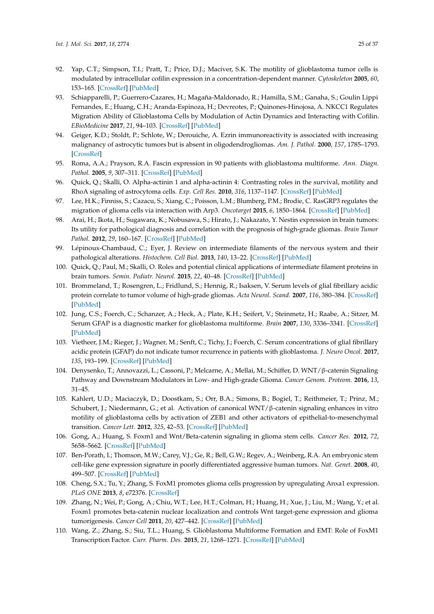- <span id="page-24-0"></span>92. Yap, C.T.; Simpson, T.I.; Pratt, T.; Price, D.J.; Maciver, S.K. The motility of glioblastoma tumor cells is modulated by intracellular cofilin expression in a concentration-dependent manner. *Cytoskeleton* **2005**, *60*, 153–165. [\[CrossRef\]](http://dx.doi.org/10.1002/cm.20053) [\[PubMed\]](http://www.ncbi.nlm.nih.gov/pubmed/15662725)
- <span id="page-24-1"></span>93. Schiapparelli, P.; Guerrero-Cazares, H.; Magaña-Maldonado, R.; Hamilla, S.M.; Ganaha, S.; Goulin Lippi Fernandes, E.; Huang, C.H.; Aranda-Espinoza, H.; Devreotes, P.; Quinones-Hinojosa, A. NKCC1 Regulates Migration Ability of Glioblastoma Cells by Modulation of Actin Dynamics and Interacting with Cofilin. *EBioMedicine* **2017**, *21*, 94–103. [\[CrossRef\]](http://dx.doi.org/10.1016/j.ebiom.2017.06.020) [\[PubMed\]](http://www.ncbi.nlm.nih.gov/pubmed/28679472)
- <span id="page-24-2"></span>94. Geiger, K.D.; Stoldt, P.; Schlote, W.; Derouiche, A. Ezrin immunoreactivity is associated with increasing malignancy of astrocytic tumors but is absent in oligodendrogliomas. *Am. J. Pathol.* **2000**, *157*, 1785–1793. [\[CrossRef\]](http://dx.doi.org/10.1016/S0002-9440(10)64816-X)
- <span id="page-24-3"></span>95. Roma, A.A.; Prayson, R.A. Fascin expression in 90 patients with glioblastoma multiforme. *Ann. Diagn. Pathol.* **2005**, *9*, 307–311. [\[CrossRef\]](http://dx.doi.org/10.1016/j.anndiagpath.2005.07.005) [\[PubMed\]](http://www.ncbi.nlm.nih.gov/pubmed/16308158)
- <span id="page-24-4"></span>96. Quick, Q.; Skalli, O. Alpha-actinin 1 and alpha-actinin 4: Contrasting roles in the survival, motility and RhoA signaling of astrocytoma cells. *Exp. Cell Res.* **2010**, *316*, 1137–1147. [\[CrossRef\]](http://dx.doi.org/10.1016/j.yexcr.2010.02.011) [\[PubMed\]](http://www.ncbi.nlm.nih.gov/pubmed/20156433)
- <span id="page-24-5"></span>97. Lee, H.K.; Finniss, S.; Cazacu, S.; Xiang, C.; Poisson, L.M.; Blumberg, P.M.; Brodie, C. RasGRP3 regulates the migration of glioma cells via interaction with Arp3. *Oncotarget* **2015**, *6*, 1850–1864. [\[CrossRef\]](http://dx.doi.org/10.18632/oncotarget.2575) [\[PubMed\]](http://www.ncbi.nlm.nih.gov/pubmed/25682201)
- <span id="page-24-6"></span>98. Arai, H.; Ikota, H.; Sugawara, K.; Nobusawa, S.; Hirato, J.; Nakazato, Y. Nestin expression in brain tumors: Its utility for pathological diagnosis and correlation with the prognosis of high-grade gliomas. *Brain Tumor Pathol.* **2012**, *29*, 160–167. [\[CrossRef\]](http://dx.doi.org/10.1007/s10014-012-0081-5) [\[PubMed\]](http://www.ncbi.nlm.nih.gov/pubmed/22350668)
- <span id="page-24-7"></span>99. Lépinoux-Chambaud, C.; Eyer, J. Review on intermediate filaments of the nervous system and their pathological alterations. *Histochem. Cell Biol.* **2013**, *140*, 13–22. [\[CrossRef\]](http://dx.doi.org/10.1007/s00418-013-1101-1) [\[PubMed\]](http://www.ncbi.nlm.nih.gov/pubmed/23749407)
- <span id="page-24-8"></span>100. Quick, Q.; Paul, M.; Skalli, O. Roles and potential clinical applications of intermediate filament proteins in brain tumors. *Semin. Pediatr. Neurol.* **2015**, *22*, 40–48. [\[CrossRef\]](http://dx.doi.org/10.1016/j.spen.2014.12.005) [\[PubMed\]](http://www.ncbi.nlm.nih.gov/pubmed/25976260)
- <span id="page-24-9"></span>101. Brommeland, T.; Rosengren, L.; Fridlund, S.; Hennig, R.; Isaksen, V. Serum levels of glial fibrillary acidic protein correlate to tumor volume of high-grade gliomas. *Acta Neurol. Scand.* **2007**, *116*, 380–384. [\[CrossRef\]](http://dx.doi.org/10.1111/j.1600-0404.2007.00889.x) [\[PubMed\]](http://www.ncbi.nlm.nih.gov/pubmed/17986096)
- <span id="page-24-10"></span>102. Jung, C.S.; Foerch, C.; Schanzer, A.; Heck, A.; Plate, K.H.; Seifert, V.; Steinmetz, H.; Raabe, A.; Sitzer, M. Serum GFAP is a diagnostic marker for glioblastoma multiforme. *Brain* **2007**, *130*, 3336–3341. [\[CrossRef\]](http://dx.doi.org/10.1093/brain/awm263) [\[PubMed\]](http://www.ncbi.nlm.nih.gov/pubmed/17998256)
- <span id="page-24-11"></span>103. Vietheer, J.M.; Rieger, J.; Wagner, M.; Senft, C.; Tichy, J.; Foerch, C. Serum concentrations of glial fibrillary acidic protein (GFAP) do not indicate tumor recurrence in patients with glioblastoma. *J. Neuro Oncol.* **2017**, *135*, 193–199. [\[CrossRef\]](http://dx.doi.org/10.1007/s11060-017-2565-y) [\[PubMed\]](http://www.ncbi.nlm.nih.gov/pubmed/28717884)
- <span id="page-24-12"></span>104. Denysenko, T.; Annovazzi, L.; Cassoni, P.; Melcarne, A.; Mellai, M.; Schiffer, D. WNT/β-catenin Signaling Pathway and Downstream Modulators in Low- and High-grade Glioma. *Cancer Genom. Proteom.* **2016**, *13*, 31–45.
- <span id="page-24-13"></span>105. Kahlert, U.D.; Maciaczyk, D.; Doostkam, S.; Orr, B.A.; Simons, B.; Bogiel, T.; Reithmeier, T.; Prinz, M.; Schubert, J.; Niedermann, G.; et al. Activation of canonical WNT/β-catenin signaling enhances in vitro motility of glioblastoma cells by activation of ZEB1 and other activators of epithelial-to-mesenchymal transition. *Cancer Lett.* **2012**, *325*, 42–53. [\[CrossRef\]](http://dx.doi.org/10.1016/j.canlet.2012.05.024) [\[PubMed\]](http://www.ncbi.nlm.nih.gov/pubmed/22652173)
- <span id="page-24-14"></span>106. Gong, A.; Huang, S. Foxm1 and Wnt/Beta-catenin signaling in glioma stem cells. *Cancer Res.* **2012**, *72*, 5658–5662. [\[CrossRef\]](http://dx.doi.org/10.1158/0008-5472.CAN-12-0953) [\[PubMed\]](http://www.ncbi.nlm.nih.gov/pubmed/23139209)
- <span id="page-24-15"></span>107. Ben-Porath, I.; Thomson, M.W.; Carey, V.J.; Ge, R.; Bell, G.W.; Regev, A.; Weinberg, R.A. An embryonic stem cell-like gene expression signature in poorly differentiated aggressive human tumors. *Nat. Genet.* **2008**, *40*, 499–507. [\[CrossRef\]](http://dx.doi.org/10.1038/ng.127) [\[PubMed\]](http://www.ncbi.nlm.nih.gov/pubmed/18443585)
- <span id="page-24-16"></span>108. Cheng, S.X.; Tu, Y.; Zhang, S. FoxM1 promotes glioma cells progression by upregulating Anxa1 expression. *PLoS ONE* **2013**, *8*, e72376. [\[CrossRef\]](http://dx.doi.org/10.1371/journal.pone.0072376)
- <span id="page-24-17"></span>109. Zhang, N.; Wei, P.; Gong, A.; Chiu, W.T.; Lee, H.T.; Colman, H.; Huang, H.; Xue, J.; Liu, M.; Wang, Y.; et al. Foxm1 promotes beta-catenin nuclear localization and controls Wnt target-gene expression and glioma tumorigenesis. *Cancer Cell* **2011**, *20*, 427–442. [\[CrossRef\]](http://dx.doi.org/10.1016/j.ccr.2011.08.016) [\[PubMed\]](http://www.ncbi.nlm.nih.gov/pubmed/22014570)
- <span id="page-24-18"></span>110. Wang, Z.; Zhang, S.; Siu, T.L.; Huang, S. Glioblastoma Multiforme Formation and EMT: Role of FoxM1 Transcription Factor. *Curr. Pharm. Des.* **2015**, *21*, 1268–1271. [\[CrossRef\]](http://dx.doi.org/10.2174/1381612821666141211115949) [\[PubMed\]](http://www.ncbi.nlm.nih.gov/pubmed/25506897)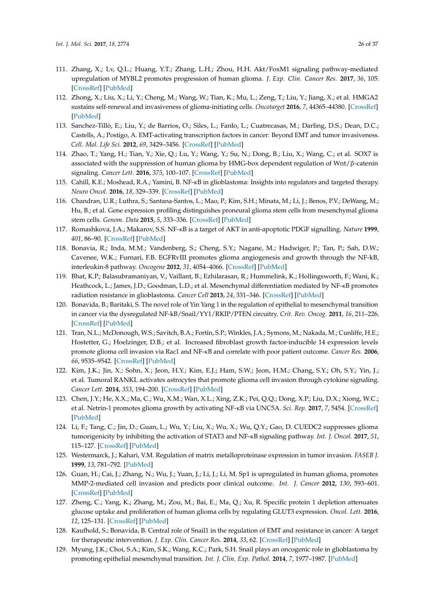- <span id="page-25-0"></span>111. Zhang, X.; Lv, Q.L.; Huang, Y.T.; Zhang, L.H.; Zhou, H.H. Akt/FoxM1 signaling pathway-mediated upregulation of MYBL2 promotes progression of human glioma. *J. Exp. Clin. Cancer Res.* **2017**, *36*, 105. [\[CrossRef\]](http://dx.doi.org/10.1186/s13046-017-0573-6) [\[PubMed\]](http://www.ncbi.nlm.nih.gov/pubmed/28784180)
- <span id="page-25-1"></span>112. Zhong, X.; Liu, X.; Li, Y.; Cheng, M.; Wang, W.; Tian, K.; Mu, L.; Zeng, T.; Liu, Y.; Jiang, X.; et al. HMGA2 sustains self-renewal and invasiveness of glioma-initiating cells. *Oncotarget* **2016**, *7*, 44365–44380. [\[CrossRef\]](http://dx.doi.org/10.18632/oncotarget.9744) [\[PubMed\]](http://www.ncbi.nlm.nih.gov/pubmed/27259253)
- <span id="page-25-2"></span>113. Sanchez-Tillò, E.; Liu, Y.; de Barrios, O.; Siles, L.; Fanlo, L.; Cuatrecasas, M.; Darling, D.S.; Dean, D.C.; Castells, A.; Postigo, A. EMT-activating transcription factors in cancer: Beyond EMT and tumor invasiveness. *Cell. Mol. Life Sci.* **2012**, *69*, 3429–3456. [\[CrossRef\]](http://dx.doi.org/10.1007/s00018-012-1122-2) [\[PubMed\]](http://www.ncbi.nlm.nih.gov/pubmed/22945800)
- <span id="page-25-3"></span>114. Zhao, T.; Yang, H.; Tian, Y.; Xie, Q.; Lu, Y.; Wang, Y.; Su, N.; Dong, B.; Liu, X.; Wang, C.; et al. SOX7 is associated with the suppression of human glioma by HMG-box dependent regulation of Wnt/β-catenin signaling. *Cancer Lett.* **2016**, *375*, 100–107. [\[CrossRef\]](http://dx.doi.org/10.1016/j.canlet.2016.02.044) [\[PubMed\]](http://www.ncbi.nlm.nih.gov/pubmed/26944317)
- <span id="page-25-4"></span>115. Cahill, K.E.; Moshead, R.A.; Yamini, B. NF-κB in glioblastoma: Insights into regulators and targeted therapy. *Neuro Oncol.* **2016**, *18*, 329–339. [\[CrossRef\]](http://dx.doi.org/10.1093/neuonc/nov265) [\[PubMed\]](http://www.ncbi.nlm.nih.gov/pubmed/26534766)
- <span id="page-25-5"></span>116. Chandran, U.R.; Luthra, S.; Santana-Santos, L.; Mao, P.; Kim, S.H.; Minata, M.; Li, J.; Benos, P.V.; DeWang, M.; Hu, B.; et al. Gene expression profiling distinguishes proneural glioma stem cells from mesenchymal glioma stem cells. *Genom. Data* **2015**, *5*, 333–336. [\[CrossRef\]](http://dx.doi.org/10.1016/j.gdata.2015.07.007) [\[PubMed\]](http://www.ncbi.nlm.nih.gov/pubmed/26251826)
- <span id="page-25-6"></span>117. Romashkova, J.A.; Makarov, S.S. NF-κB is a target of AKT in anti-apoptotic PDGF signalling. *Nature* **1999**, *401*, 86–90. [\[CrossRef\]](http://dx.doi.org/10.1038/43474) [\[PubMed\]](http://www.ncbi.nlm.nih.gov/pubmed/10485711)
- <span id="page-25-7"></span>118. Bonavia, R.; Inda, M.M.; Vandenberg, S.; Cheng, S.Y.; Nagane, M.; Hadwiger, P.; Tan, P.; Sah, D.W.; Cavenee, W.K.; Furnari, F.B. EGFRvIII promotes glioma angiogenesis and growth through the NF-kB, interleukin-8 pathway. *Oncogene* **2012**, *31*, 4054–4066. [\[CrossRef\]](http://dx.doi.org/10.1038/onc.2011.563) [\[PubMed\]](http://www.ncbi.nlm.nih.gov/pubmed/22139077)
- <span id="page-25-8"></span>119. Bhat, K.P.; Balasubramaniyan, V.; Vaillant, B.; Ezhilarasan, R.; Hummelink, K.; Hollingsworth, F.; Wani, K.; Heathcock, L.; James, J.D.; Goodman, L.D.; et al. Mesenchymal differentiation mediated by NF-κB promotes radiation resistance in glioblastoma. *Cancer Cell* **2013**, *24*, 331–346. [\[CrossRef\]](http://dx.doi.org/10.1016/j.ccr.2013.08.001) [\[PubMed\]](http://www.ncbi.nlm.nih.gov/pubmed/23993863)
- <span id="page-25-9"></span>120. Bonavida, B.; Baritaki, S. The novel role of Yin Yang 1 in the regulation of epithelial to mesenchymal transition in cancer via the dysregulated NF-kB/Snail/YY1/RKIP/PTEN circuitry. *Crit. Rev. Oncog.* **2011**, *16*, 211–226. [\[CrossRef\]](http://dx.doi.org/10.1615/CritRevOncog.v16.i3-4.50) [\[PubMed\]](http://www.ncbi.nlm.nih.gov/pubmed/22248055)
- <span id="page-25-10"></span>121. Tran, N.L.; McDonough, W.S.; Savitch, B.A.; Fortin, S.P.; Winkles, J.A.; Symons, M.; Nakada, M.; Cunliffe, H.E.; Hostetter, G.; Hoelzinger, D.B.; et al. Increased fibroblast growth factor-inducible 14 expression levels promote glioma cell invasion via Rac1 and NF-κB and correlate with poor patient outcome. *Cancer Res.* **2006**, *66*, 9535–9542. [\[CrossRef\]](http://dx.doi.org/10.1158/0008-5472.CAN-06-0418) [\[PubMed\]](http://www.ncbi.nlm.nih.gov/pubmed/17018610)
- <span id="page-25-11"></span>122. Kim, J.K.; Jin, X.; Sohn, X.; Jeon, H.Y.; Kim, E.J.; Ham, S.W.; Jeon, H.M.; Chang, S.Y.; Oh, S.Y.; Yin, J.; et al. Tumoral RANKL activates astrocytes that promote glioma cell invasion through cytokine signaling. *Cancer Lett.* **2014**, *353*, 194–200. [\[CrossRef\]](http://dx.doi.org/10.1016/j.canlet.2014.07.034) [\[PubMed\]](http://www.ncbi.nlm.nih.gov/pubmed/25079688)
- <span id="page-25-12"></span>123. Chen, J.Y.; He, X.X.; Ma, C.; Wu, X.M.; Wan, X.L.; Xing, Z.K.; Pei, Q.Q.; Dong, X.P.; Liu, D.X.; Xiong, W.C.; et al. Netrin-1 promotes glioma growth by activating NF-κB via UNC5A. *Sci. Rep.* **2017**, *7*, 5454. [\[CrossRef\]](http://dx.doi.org/10.1038/s41598-017-05707-0) [\[PubMed\]](http://www.ncbi.nlm.nih.gov/pubmed/28710382)
- <span id="page-25-13"></span>124. Li, F.; Tang, C.; Jin, D.; Guan, L.; Wu, Y.; Liu, X.; Wu, X.; Wu, Q.Y.; Gao, D. CUEDC2 suppresses glioma tumorigenicity by inhibiting the activation of STAT3 and NF-κB signaling pathway. *Int. J. Oncol.* **2017**, *51*, 115–127. [\[CrossRef\]](http://dx.doi.org/10.3892/ijo.2017.4009) [\[PubMed\]](http://www.ncbi.nlm.nih.gov/pubmed/28534933)
- <span id="page-25-14"></span>125. Westermarck, J.; Kahari, V.M. Regulation of matrix metalloproteinase expression in tumor invasion. *FASEB J.* **1999**, *13*, 781–792. [\[PubMed\]](http://www.ncbi.nlm.nih.gov/pubmed/10224222)
- <span id="page-25-15"></span>126. Guan, H.; Cai, J.; Zhang, N.; Wu, J.; Yuan, J.; Li, J.; Li, M. Sp1 is upregulated in human glioma, promotes MMP-2-mediated cell invasion and predicts poor clinical outcome. *Int. J. Cancer* **2012**, *130*, 593–601. [\[CrossRef\]](http://dx.doi.org/10.1002/ijc.26049) [\[PubMed\]](http://www.ncbi.nlm.nih.gov/pubmed/21469139)
- <span id="page-25-16"></span>127. Zheng, C.; Yang, K.; Zhang, M.; Zou, M.; Bai, E.; Ma, Q.; Xu, R. Specific protein 1 depletion attenuates glucose uptake and proliferation of human glioma cells by regulating GLUT3 expression. *Oncol. Lett.* **2016**, *12*, 125–131. [\[CrossRef\]](http://dx.doi.org/10.3892/ol.2016.4599) [\[PubMed\]](http://www.ncbi.nlm.nih.gov/pubmed/27347112)
- <span id="page-25-17"></span>128. Kaufhold, S.; Bonavida, B. Central role of Snail1 in the regulation of EMT and resistance in cancer: A target for therapeutic intervention. *J. Exp. Clin. Cancer Res.* **2014**, *33*, 62. [\[CrossRef\]](http://dx.doi.org/10.1186/s13046-014-0062-0) [\[PubMed\]](http://www.ncbi.nlm.nih.gov/pubmed/25084828)
- <span id="page-25-18"></span>129. Myung, J.K.; Choi, S.A.; Kim, S.K.; Wang, K.C.; Park, S.H. Snail plays an oncogenic role in glioblastoma by promoting epithelial mesenchymal transition. *Int. J. Clin. Exp. Pathol.* **2014**, *7*, 1977–1987. [\[PubMed\]](http://www.ncbi.nlm.nih.gov/pubmed/24966907)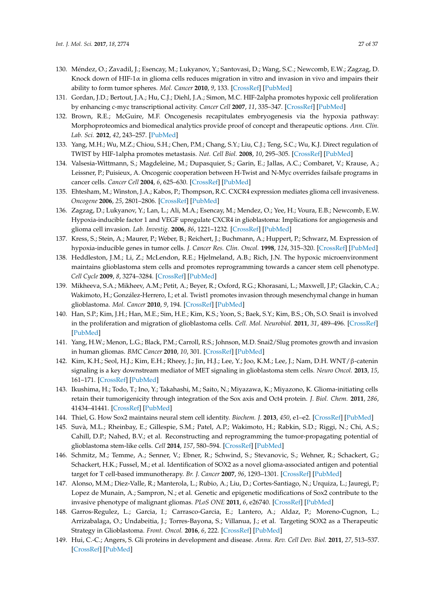- <span id="page-26-0"></span>130. Méndez, O.; Zavadil, J.; Esencay, M.; Lukyanov, Y.; Santovasi, D.; Wang, S.C.; Newcomb, E.W.; Zagzag, D. Knock down of HIF-1 $\alpha$  in glioma cells reduces migration in vitro and invasion in vivo and impairs their ability to form tumor spheres. *Mol. Cancer* **2010**, *9*, 133. [\[CrossRef\]](http://dx.doi.org/10.1186/1476-4598-9-133) [\[PubMed\]](http://www.ncbi.nlm.nih.gov/pubmed/20515450)
- <span id="page-26-1"></span>131. Gordan, J.D.; Bertout, J.A.; Hu, C.J.; Diehl, J.A.; Simon, M.C. HIF-2alpha promotes hypoxic cell proliferation by enhancing c-myc transcriptional activity. *Cancer Cell* **2007**, *11*, 335–347. [\[CrossRef\]](http://dx.doi.org/10.1016/j.ccr.2007.02.006) [\[PubMed\]](http://www.ncbi.nlm.nih.gov/pubmed/17418410)
- <span id="page-26-2"></span>132. Brown, R.E.; McGuire, M.F. Oncogenesis recapitulates embryogenesis via the hypoxia pathway: Morphoproteomics and biomedical analytics provide proof of concept and therapeutic options. *Ann. Clin. Lab. Sci.* **2012**, *42*, 243–257. [\[PubMed\]](http://www.ncbi.nlm.nih.gov/pubmed/22964612)
- <span id="page-26-3"></span>133. Yang, M.H.; Wu, M.Z.; Chiou, S.H.; Chen, P.M.; Chang, S.Y.; Liu, C.J.; Teng, S.C.; Wu, K.J. Direct regulation of TWIST by HIF-1alpha promotes metastasis. *Nat. Cell Biol.* **2008**, *10*, 295–305. [\[CrossRef\]](http://dx.doi.org/10.1038/ncb1691) [\[PubMed\]](http://www.ncbi.nlm.nih.gov/pubmed/18297062)
- <span id="page-26-4"></span>134. Valsesia-Wittmann, S.; Magdeleine, M.; Dupasquier, S.; Garin, E.; Jallas, A.C.; Combaret, V.; Krause, A.; Leissner, P.; Puisieux, A. Oncogenic cooperation between H-Twist and N-Myc overrides failsafe programs in cancer cells. *Cancer Cell* **2004**, *6*, 625–630. [\[CrossRef\]](http://dx.doi.org/10.1016/j.ccr.2004.09.033) [\[PubMed\]](http://www.ncbi.nlm.nih.gov/pubmed/15607966)
- <span id="page-26-5"></span>135. Ehtesham, M.; Winston, J.A.; Kabos, P.; Thompson, R.C. CXCR4 expression mediates glioma cell invasiveness. *Oncogene* **2006**, *25*, 2801–2806. [\[CrossRef\]](http://dx.doi.org/10.1038/sj.onc.1209302) [\[PubMed\]](http://www.ncbi.nlm.nih.gov/pubmed/16407848)
- <span id="page-26-6"></span>136. Zagzag, D.; Lukyanov, Y.; Lan, L.; Ali, M.A.; Esencay, M.; Mendez, O.; Yee, H.; Voura, E.B.; Newcomb, E.W. Hypoxia-inducible factor 1 and VEGF upregulate CXCR4 in glioblastoma: Implications for angiogenesis and glioma cell invasion. *Lab. Investig.* **2006**, *86*, 1221–1232. [\[CrossRef\]](http://dx.doi.org/10.1038/labinvest.3700482) [\[PubMed\]](http://www.ncbi.nlm.nih.gov/pubmed/17075581)
- <span id="page-26-7"></span>137. Kress, S.; Stein, A.; Maurer, P.; Weber, B.; Reichert, J.; Buchmann, A.; Huppert, P.; Schwarz, M. Expression of hypoxia-inducible genes in tumor cells. *J. Cancer Res. Clin. Oncol.* **1998**, *124*, 315–320. [\[CrossRef\]](http://dx.doi.org/10.1007/s004320050175) [\[PubMed\]](http://www.ncbi.nlm.nih.gov/pubmed/9692838)
- <span id="page-26-8"></span>138. Heddleston, J.M.; Li, Z.; McLendon, R.E.; Hjelmeland, A.B.; Rich, J.N. The hypoxic microenvironment maintains glioblastoma stem cells and promotes reprogramming towards a cancer stem cell phenotype. *Cell Cycle* **2009**, *8*, 3274–3284. [\[CrossRef\]](http://dx.doi.org/10.4161/cc.8.20.9701) [\[PubMed\]](http://www.ncbi.nlm.nih.gov/pubmed/19770585)
- <span id="page-26-9"></span>139. Mikheeva, S.A.; Mikheev, A.M.; Petit, A.; Beyer, R.; Oxford, R.G.; Khorasani, L.; Maxwell, J.P.; Glackin, C.A.; Wakimoto, H.; González-Herrero, I.; et al. Twist1 promotes invasion through mesenchymal change in human glioblastoma. *Mol. Cancer* **2010**, *9*, 194. [\[CrossRef\]](http://dx.doi.org/10.1186/1476-4598-9-194) [\[PubMed\]](http://www.ncbi.nlm.nih.gov/pubmed/20646316)
- <span id="page-26-10"></span>140. Han, S.P.; Kim, J.H.; Han, M.E.; Sim, H.E.; Kim, K.S.; Yoon, S.; Baek, S.Y.; Kim, B.S.; Oh, S.O. Snai1 is involved in the proliferation and migration of glioblastoma cells. *Cell. Mol. Neurobiol.* **2011**, *31*, 489–496. [\[CrossRef\]](http://dx.doi.org/10.1007/s10571-010-9643-4) [\[PubMed\]](http://www.ncbi.nlm.nih.gov/pubmed/21225336)
- <span id="page-26-11"></span>141. Yang, H.W.; Menon, L.G.; Black, P.M.; Carroll, R.S.; Johnson, M.D. Snai2/Slug promotes growth and invasion in human gliomas. *BMC Cancer* **2010**, *10*, 301. [\[CrossRef\]](http://dx.doi.org/10.1186/1471-2407-10-301) [\[PubMed\]](http://www.ncbi.nlm.nih.gov/pubmed/20565806)
- <span id="page-26-12"></span>142. Kim, K.H.; Seol, H.J.; Kim, E.H.; Rheey, J.; Jin, H.J.; Lee, Y.; Joo, K.M.; Lee, J.; Nam, D.H. WNT/β-catenin signaling is a key downstream mediator of MET signaling in glioblastoma stem cells. *Neuro Oncol.* **2013**, *15*, 161–171. [\[CrossRef\]](http://dx.doi.org/10.1093/neuonc/nos299) [\[PubMed\]](http://www.ncbi.nlm.nih.gov/pubmed/23258844)
- <span id="page-26-13"></span>143. Ikushima, H.; Todo, T.; Ino, Y.; Takahashi, M.; Saito, N.; Miyazawa, K.; Miyazono, K. Glioma-initiating cells retain their tumorigenicity through integration of the Sox axis and Oct4 protein. *J. Biol. Chem.* **2011**, *286*, 41434–41441. [\[CrossRef\]](http://dx.doi.org/10.1074/jbc.M111.300863) [\[PubMed\]](http://www.ncbi.nlm.nih.gov/pubmed/21987575)
- <span id="page-26-14"></span>144. Thiel, G. How Sox2 maintains neural stem cell identity. *Biochem. J.* **2013**, *450*, e1–e2. [\[CrossRef\]](http://dx.doi.org/10.1042/BJ20130176) [\[PubMed\]](http://www.ncbi.nlm.nih.gov/pubmed/23445224)
- <span id="page-26-15"></span>145. Suvà, M.L.; Rheinbay, E.; Gillespie, S.M.; Patel, A.P.; Wakimoto, H.; Rabkin, S.D.; Riggi, N.; Chi, A.S.; Cahill, D.P.; Nahed, B.V.; et al. Reconstructing and reprogramming the tumor-propagating potential of glioblastoma stem-like cells. *Cell* **2014**, *157*, 580–594. [\[CrossRef\]](http://dx.doi.org/10.1016/j.cell.2014.02.030) [\[PubMed\]](http://www.ncbi.nlm.nih.gov/pubmed/24726434)
- <span id="page-26-16"></span>146. Schmitz, M.; Temme, A.; Senner, V.; Ebner, R.; Schwind, S.; Stevanovic, S.; Wehner, R.; Schackert, G.; Schackert, H.K.; Fussel, M.; et al. Identification of SOX2 as a novel glioma-associated antigen and potential target for T cell-based immunotherapy. *Br. J. Cancer* **2007**, *96*, 1293–1301. [\[CrossRef\]](http://dx.doi.org/10.1038/sj.bjc.6603696) [\[PubMed\]](http://www.ncbi.nlm.nih.gov/pubmed/17375044)
- <span id="page-26-17"></span>147. Alonso, M.M.; Diez-Valle, R.; Manterola, L.; Rubio, A.; Liu, D.; Cortes-Santiago, N.; Urquiza, L.; Jauregi, P.; Lopez de Munain, A.; Sampron, N.; et al. Genetic and epigenetic modifications of Sox2 contribute to the invasive phenotype of malignant gliomas. *PLoS ONE* **2011**, *6*, e26740. [\[CrossRef\]](http://dx.doi.org/10.1371/journal.pone.0026740) [\[PubMed\]](http://www.ncbi.nlm.nih.gov/pubmed/22069467)
- <span id="page-26-18"></span>148. Garros-Regulez, L.; Garcia, I.; Carrasco-Garcia, E.; Lantero, A.; Aldaz, P.; Moreno-Cugnon, L.; Arrizabalaga, O.; Undabeitia, J.; Torres-Bayona, S.; Villanua, J.; et al. Targeting SOX2 as a Therapeutic Strategy in Glioblastoma. *Front. Oncol.* **2016**, *6*, 222. [\[CrossRef\]](http://dx.doi.org/10.3389/fonc.2016.00222) [\[PubMed\]](http://www.ncbi.nlm.nih.gov/pubmed/27822457)
- <span id="page-26-19"></span>149. Hui, C.-C.; Angers, S. Gli proteins in development and disease. *Annu. Rev. Cell Dev. Biol.* **2011**, *27*, 513–537. [\[CrossRef\]](http://dx.doi.org/10.1146/annurev-cellbio-092910-154048) [\[PubMed\]](http://www.ncbi.nlm.nih.gov/pubmed/21801010)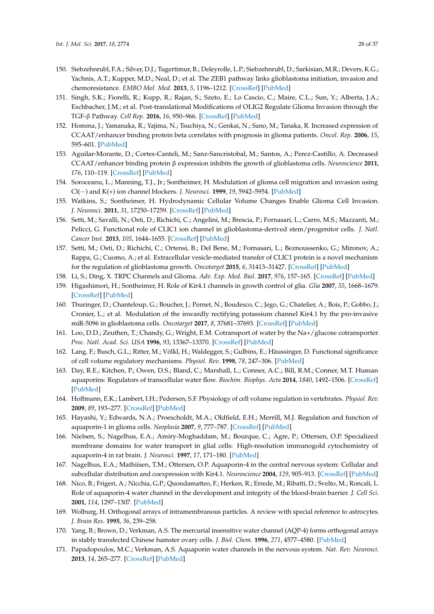- <span id="page-27-0"></span>150. Siebzehnrubl, F.A.; Silver, D.J.; Tugertimur, B.; Deleyrolle, L.P.; Siebzehnrubl, D.; Sarkisian, M.R.; Devers, K.G.; Yachnis, A.T.; Kupper, M.D.; Neal, D.; et al. The ZEB1 pathway links glioblastoma initiation, invasion and chemoresistance. *EMBO Mol. Med.* **2013**, *5*, 1196–1212. [\[CrossRef\]](http://dx.doi.org/10.1002/emmm.201302827) [\[PubMed\]](http://www.ncbi.nlm.nih.gov/pubmed/23818228)
- <span id="page-27-1"></span>151. Singh, S.K.; Fiorelli, R.; Kupp, R.; Rajan, S.; Szeto, E.; Lo Cascio, C.; Maire, C.L.; Sun, Y.; Alberta, J.A.; Eschbacher, J.M.; et al. Post-translational Modifications of OLIG2 Regulate Glioma Invasion through the TGF-β Pathway. *Cell Rep.* **2016**, *16*, 950–966. [\[CrossRef\]](http://dx.doi.org/10.1016/j.celrep.2016.06.045) [\[PubMed\]](http://www.ncbi.nlm.nih.gov/pubmed/27396340)
- <span id="page-27-2"></span>152. Homma, J.; Yamanaka, R.; Yajima, N.; Tsuchiya, N.; Genkai, N.; Sano, M.; Tanaka, R. Increased expression of CCAAT/enhancer binding protein beta correlates with prognosis in glioma patients. *Oncol. Rep.* **2006**, *15*, 595–601. [\[PubMed\]](http://www.ncbi.nlm.nih.gov/pubmed/16465418)
- <span id="page-27-3"></span>153. Aguilar-Morante, D.; Cortes-Canteli, M.; Sanz-Sancristobal, M.; Santos, A.; Perez-Castillo, A. Decreased CCAAT/enhancer binding protein β expression inhibits the growth of glioblastoma cells. *Neuroscience* **2011**, *176*, 110–119. [\[CrossRef\]](http://dx.doi.org/10.1016/j.neuroscience.2010.12.025) [\[PubMed\]](http://www.ncbi.nlm.nih.gov/pubmed/21185356)
- <span id="page-27-4"></span>154. Soroceanu, L.; Manning, T.J., Jr.; Sontheimer, H. Modulation of glioma cell migration and invasion using Cl(−) and K(+) ion channel blockers. *J. Neurosci.* **1999**, *19*, 5942–5954. [\[PubMed\]](http://www.ncbi.nlm.nih.gov/pubmed/10407033)
- <span id="page-27-5"></span>155. Watkins, S.; Sontheimer, H. Hydrodynamic Cellular Volume Changes Enable Glioma Cell Invasion. *J. Neurosci.* **2011**, *31*, 17250–17259. [\[CrossRef\]](http://dx.doi.org/10.1523/JNEUROSCI.3938-11.2011) [\[PubMed\]](http://www.ncbi.nlm.nih.gov/pubmed/22114291)
- <span id="page-27-6"></span>156. Setti, M.; Savalli, N.; Osti, D.; Richichi, C.; Angelini, M.; Brescia, P.; Fornasari, L.; Carro, M.S.; Mazzanti, M.; Pelicci, G. Functional role of CLIC1 ion channel in glioblastoma-derived stem/progenitor cells. *J. Natl. Cancer Inst.* **2013**, *105*, 1644–1655. [\[CrossRef\]](http://dx.doi.org/10.1093/jnci/djt278) [\[PubMed\]](http://www.ncbi.nlm.nih.gov/pubmed/24115360)
- <span id="page-27-7"></span>157. Setti, M.; Osti, D.; Richichi, C.; Ortensi, B.; Del Bene, M.; Fornasari, L.; Beznoussenko, G.; Mironov, A.; Rappa, G.; Cuomo, A.; et al. Extracellular vesicle-mediated transfer of CLIC1 protein is a novel mechanism for the regulation of glioblastoma growth. *Oncotarget* **2015**, *6*, 31413–31427. [\[CrossRef\]](http://dx.doi.org/10.18632/oncotarget.5105) [\[PubMed\]](http://www.ncbi.nlm.nih.gov/pubmed/26429879)
- <span id="page-27-8"></span>158. Li, S.; Ding, X. TRPC Channels and Glioma. *Adv. Exp. Med. Biol.* **2017**, *976*, 157–165. [\[CrossRef\]](http://dx.doi.org/10.1007/978-94-024-1088-4_14) [\[PubMed\]](http://www.ncbi.nlm.nih.gov/pubmed/28508321)
- <span id="page-27-9"></span>159. Higashimori, H.; Sontheimer, H. Role of Kir4.1 channels in growth control of glia. *Glia* **2007**, *55*, 1668–1679. [\[CrossRef\]](http://dx.doi.org/10.1002/glia.20574) [\[PubMed\]](http://www.ncbi.nlm.nih.gov/pubmed/17876807)
- <span id="page-27-10"></span>160. Thuringer, D.; Chanteloup, G.; Boucher, J.; Pernet, N.; Boudesco, C.; Jego, G.; Chatelier, A.; Bois, P.; Gobbo, J.; Cronier, L.; et al. Modulation of the inwardly rectifying potassium channel Kir4.1 by the pro-invasive miR-5096 in glioblastoma cells. *Oncotarget* **2017**, *8*, 37681–37693. [\[CrossRef\]](http://dx.doi.org/10.18632/oncotarget.16949) [\[PubMed\]](http://www.ncbi.nlm.nih.gov/pubmed/28445150)
- <span id="page-27-11"></span>161. Loo, D.D.; Zeuthen, T.; Chandy, G.; Wright, E.M. Cotransport of water by the Na+/glucose cotransporter. *Proc. Natl. Acad. Sci. USA* **1996**, *93*, 13367–13370. [\[CrossRef\]](http://dx.doi.org/10.1073/pnas.93.23.13367) [\[PubMed\]](http://www.ncbi.nlm.nih.gov/pubmed/8917597)
- <span id="page-27-12"></span>162. Lang, F.; Busch, G.L.; Ritter, M.; Völkl, H.; Waldegger, S.; Gulbins, E.; Häussinger, D. Functional significance of cell volume regulatory mechanisms. *Physiol. Rev.* **1998**, *78*, 247–306. [\[PubMed\]](http://www.ncbi.nlm.nih.gov/pubmed/9457175)
- 163. Day, R.E.; Kitchen, P.; Owen, D.S.; Bland, C.; Marshall, L.; Conner, A.C.; Bill, R.M.; Conner, M.T. Human aquaporins: Regulators of transcellular water flow. *Biochim. Biophys. Acta* **2014**, *1840*, 1492–1506. [\[CrossRef\]](http://dx.doi.org/10.1016/j.bbagen.2013.09.033) [\[PubMed\]](http://www.ncbi.nlm.nih.gov/pubmed/24090884)
- <span id="page-27-13"></span>164. Hoffmann, E.K.; Lambert, I.H.; Pedersen, S.F. Physiology of cell volume regulation in vertebrates. *Physiol. Rev.* **2009**, *89*, 193–277. [\[CrossRef\]](http://dx.doi.org/10.1152/physrev.00037.2007) [\[PubMed\]](http://www.ncbi.nlm.nih.gov/pubmed/19126758)
- <span id="page-27-14"></span>165. Hayashi, Y.; Edwards, N.A.; Proescholdt, M.A.; Oldfield, E.H.; Merrill, M.J. Regulation and function of aquaporin-1 in glioma cells. *Neoplasia* **2007**, *9*, 777–787. [\[CrossRef\]](http://dx.doi.org/10.1593/neo.07454) [\[PubMed\]](http://www.ncbi.nlm.nih.gov/pubmed/17898873)
- <span id="page-27-15"></span>166. Nielsen, S.; Nagelhus, E.A.; Amiry-Moghaddam, M.; Bourque, C.; Agre, P.; Ottersen, O.P. Specialized membrane domains for water transport in glial cells: High-resolution immunogold cytochemistry of aquaporin-4 in rat brain. *J. Neurosci.* **1997**, *17*, 171–180. [\[PubMed\]](http://www.ncbi.nlm.nih.gov/pubmed/8987746)
- <span id="page-27-16"></span>167. Nagelhus, E.A.; Mathiisen, T.M.; Ottersen, O.P. Aquaporin-4 in the central nervous system: Cellular and subcellular distribution and coexpression with Kir4.1. *Neuroscience* **2004**, *129*, 905–913. [\[CrossRef\]](http://dx.doi.org/10.1016/j.neuroscience.2004.08.053) [\[PubMed\]](http://www.ncbi.nlm.nih.gov/pubmed/15561407)
- <span id="page-27-17"></span>168. Nico, B.; Frigeri, A.; Nicchia, G.P.; Quondamatteo, F.; Herken, R.; Errede, M.; Ribatti, D.; Svelto, M.; Roncali, L. Role of aquaporin-4 water channel in the development and integrity of the blood-brain barrier. *J. Cell Sci.* **2001**, *114*, 1297–1307. [\[PubMed\]](http://www.ncbi.nlm.nih.gov/pubmed/11256996)
- <span id="page-27-18"></span>169. Wolburg, H. Orthogonal arrays of intramembranous particles. A review with special reference to astrocytes. *J. Brain Res.* **1995**, *36*, 239–258.
- 170. Yang, B.; Brown, D.; Verkman, A.S. The mercurial insensitive water channel (AQP-4) forms orthogonal arrays in stably transfected Chinese hamster ovary cells. *J. Biol. Chem.* **1996**, *271*, 4577–4580. [\[PubMed\]](http://www.ncbi.nlm.nih.gov/pubmed/8617713)
- <span id="page-27-19"></span>171. Papadopoulos, M.C.; Verkman, A.S. Aquaporin water channels in the nervous system. *Nat. Rev. Neurosci.* **2013**, *14*, 265–277. [\[CrossRef\]](http://dx.doi.org/10.1038/nrn3468) [\[PubMed\]](http://www.ncbi.nlm.nih.gov/pubmed/23481483)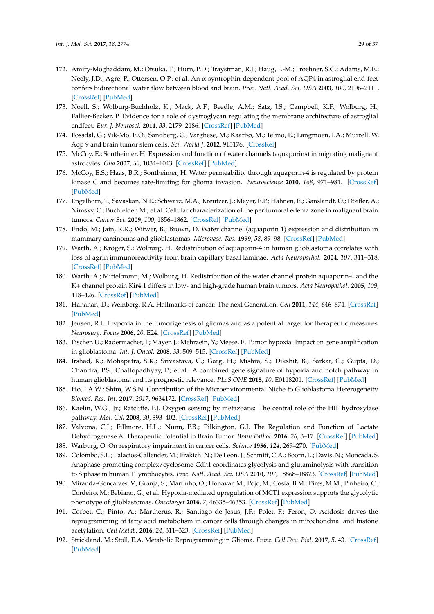- <span id="page-28-0"></span>172. Amiry-Moghaddam, M.; Otsuka, T.; Hurn, P.D.; Traystman, R.J.; Haug, F.-M.; Froehner, S.C.; Adams, M.E.; Neely, J.D.; Agre, P.; Ottersen, O.P.; et al. An α-syntrophin-dependent pool of AQP4 in astroglial end-feet confers bidirectional water flow between blood and brain. *Proc. Natl. Acad. Sci. USA* **2003**, *100*, 2106–2111. [\[CrossRef\]](http://dx.doi.org/10.1073/pnas.0437946100) [\[PubMed\]](http://www.ncbi.nlm.nih.gov/pubmed/12578959)
- <span id="page-28-1"></span>173. Noell, S.; Wolburg-Buchholz, K.; Mack, A.F.; Beedle, A.M.; Satz, J.S.; Campbell, K.P.; Wolburg, H.; Fallier-Becker, P. Evidence for a role of dystroglycan regulating the membrane architecture of astroglial endfeet. *Eur. J. Neurosci.* **2011**, *33*, 2179–2186. [\[CrossRef\]](http://dx.doi.org/10.1111/j.1460-9568.2011.07688.x) [\[PubMed\]](http://www.ncbi.nlm.nih.gov/pubmed/21501259)
- <span id="page-28-2"></span>174. Fossdal, G.; Vik-Mo, E.O.; Sandberg, C.; Varghese, M.; Kaarbø, M.; Telmo, E.; Langmoen, I.A.; Murrell, W. Aqp 9 and brain tumor stem cells. *Sci. World J.* **2012**, 915176. [\[CrossRef\]](http://dx.doi.org/10.1100/2012/915176)
- <span id="page-28-3"></span>175. McCoy, E.; Sontheimer, H. Expression and function of water channels (aquaporins) in migrating malignant astrocytes. *Glia* **2007**, *55*, 1034–1043. [\[CrossRef\]](http://dx.doi.org/10.1002/glia.20524) [\[PubMed\]](http://www.ncbi.nlm.nih.gov/pubmed/17549682)
- <span id="page-28-4"></span>176. McCoy, E.S.; Haas, B.R.; Sontheimer, H. Water permeability through aquaporin-4 is regulated by protein kinase C and becomes rate-limiting for glioma invasion. *Neuroscience* **2010**, *168*, 971–981. [\[CrossRef\]](http://dx.doi.org/10.1016/j.neuroscience.2009.09.020) [\[PubMed\]](http://www.ncbi.nlm.nih.gov/pubmed/19761816)
- <span id="page-28-5"></span>177. Engelhorn, T.; Savaskan, N.E.; Schwarz, M.A.; Kreutzer, J.; Meyer, E.P.; Hahnen, E.; Ganslandt, O.; Dörfler, A.; Nimsky, C.; Buchfelder, M.; et al. Cellular characterization of the peritumoral edema zone in malignant brain tumors. *Cancer Sci.* **2009**, *100*, 1856–1862. [\[CrossRef\]](http://dx.doi.org/10.1111/j.1349-7006.2009.01259.x) [\[PubMed\]](http://www.ncbi.nlm.nih.gov/pubmed/19681905)
- <span id="page-28-6"></span>178. Endo, M.; Jain, R.K.; Witwer, B.; Brown, D. Water channel (aquaporin 1) expression and distribution in mammary carcinomas and glioblastomas. *Microvasc. Res.* **1999**, *58*, 89–98. [\[CrossRef\]](http://dx.doi.org/10.1006/mvre.1999.2158) [\[PubMed\]](http://www.ncbi.nlm.nih.gov/pubmed/10458924)
- <span id="page-28-7"></span>179. Warth, A.; Kröger, S.; Wolburg, H. Redistribution of aquaporin-4 in human glioblastoma correlates with loss of agrin immunoreactivity from brain capillary basal laminae. *Acta Neuropathol.* **2004**, *107*, 311–318. [\[CrossRef\]](http://dx.doi.org/10.1007/s00401-003-0812-0) [\[PubMed\]](http://www.ncbi.nlm.nih.gov/pubmed/14735305)
- <span id="page-28-8"></span>180. Warth, A.; Mittelbronn, M.; Wolburg, H. Redistribution of the water channel protein aquaporin-4 and the K+ channel protein Kir4.1 differs in low- and high-grade human brain tumors. *Acta Neuropathol.* **2005**, *109*, 418–426. [\[CrossRef\]](http://dx.doi.org/10.1007/s00401-005-0984-x) [\[PubMed\]](http://www.ncbi.nlm.nih.gov/pubmed/15723236)
- <span id="page-28-9"></span>181. Hanahan, D.; Weinberg, R.A. Hallmarks of cancer: The next Generation. *Cell* **2011**, *144*, 646–674. [\[CrossRef\]](http://dx.doi.org/10.1016/j.cell.2011.02.013) [\[PubMed\]](http://www.ncbi.nlm.nih.gov/pubmed/21376230)
- <span id="page-28-10"></span>182. Jensen, R.L. Hypoxia in the tumorigenesis of gliomas and as a potential target for therapeutic measures. *Neurosurg. Focus* **2006**, *20*, E24. [\[CrossRef\]](http://dx.doi.org/10.3171/foc.2006.20.4.16) [\[PubMed\]](http://www.ncbi.nlm.nih.gov/pubmed/16709030)
- 183. Fischer, U.; Radermacher, J.; Mayer, J.; Mehraein, Y.; Meese, E. Tumor hypoxia: Impact on gene amplification in glioblastoma. *Int. J. Oncol.* **2008**, *33*, 509–515. [\[CrossRef\]](http://dx.doi.org/10.3892/ijo_00000034) [\[PubMed\]](http://www.ncbi.nlm.nih.gov/pubmed/18695880)
- 184. Irshad, K.; Mohapatra, S.K.; Srivastava, C.; Garg, H.; Mishra, S.; Dikshit, B.; Sarkar, C.; Gupta, D.; Chandra, P.S.; Chattopadhyay, P.; et al. A combined gene signature of hypoxia and notch pathway in human glioblastoma and its prognostic relevance. *PLoS ONE* **2015**, *10*, E0118201. [\[CrossRef\]](http://dx.doi.org/10.1371/journal.pone.0118201) [\[PubMed\]](http://www.ncbi.nlm.nih.gov/pubmed/25734817)
- <span id="page-28-11"></span>185. Ho, I.A.W.; Shim, W.S.N. Contribution of the Microenvironmental Niche to Glioblastoma Heterogeneity. *Biomed. Res. Int.* **2017**, *2017*, 9634172. [\[CrossRef\]](http://dx.doi.org/10.1155/2017/9634172) [\[PubMed\]](http://www.ncbi.nlm.nih.gov/pubmed/28630875)
- <span id="page-28-12"></span>186. Kaelin, W.G., Jr.; Ratcliffe, P.J. Oxygen sensing by metazoans: The central role of the HIF hydroxylase pathway. *Mol. Cell* **2008**, *30*, 393–402. [\[CrossRef\]](http://dx.doi.org/10.1016/j.molcel.2008.04.009) [\[PubMed\]](http://www.ncbi.nlm.nih.gov/pubmed/18498744)
- <span id="page-28-13"></span>187. Valvona, C.J.; Fillmore, H.L.; Nunn, P.B.; Pilkington, G.J. The Regulation and Function of Lactate Dehydrogenase A: Therapeutic Potential in Brain Tumor. *Brain Pathol.* **2016**, *26*, 3–17. [\[CrossRef\]](http://dx.doi.org/10.1111/bpa.12299) [\[PubMed\]](http://www.ncbi.nlm.nih.gov/pubmed/26269128)
- <span id="page-28-15"></span><span id="page-28-14"></span>188. Warburg, O. On respiratory impairment in cancer cells. *Science* **1956**, *124*, 269–270. [\[PubMed\]](http://www.ncbi.nlm.nih.gov/pubmed/13351639)
- 189. Colombo, S.L.; Palacios-Callender, M.; Frakich, N.; De Leon, J.; Schmitt, C.A.; Boorn, L.; Davis, N.; Moncada, S. Anaphase-promoting complex/cyclosome-Cdh1 coordinates glycolysis and glutaminolysis with transition to S phase in human T lymphocytes. *Proc. Natl. Acad. Sci. USA* **2010**, *107*, 18868–18873. [\[CrossRef\]](http://dx.doi.org/10.1073/pnas.1012362107) [\[PubMed\]](http://www.ncbi.nlm.nih.gov/pubmed/20921411)
- <span id="page-28-16"></span>190. Miranda-Gonçalves, V.; Granja, S.; Martinho, O.; Honavar, M.; Pojo, M.; Costa, B.M.; Pires, M.M.; Pinheiro, C.; Cordeiro, M.; Bebiano, G.; et al. Hypoxia-mediated upregulation of MCT1 expression supports the glycolytic phenotype of glioblastomas. *Oncotarget* **2016**, *7*, 46335–46353. [\[CrossRef\]](http://dx.doi.org/10.18632/oncotarget.10114) [\[PubMed\]](http://www.ncbi.nlm.nih.gov/pubmed/27331625)
- <span id="page-28-17"></span>191. Corbet, C.; Pinto, A.; Martherus, R.; Santiago de Jesus, J.P.; Polet, F.; Feron, O. Acidosis drives the reprogramming of fatty acid metabolism in cancer cells through changes in mitochondrial and histone acetylation. *Cell Metab.* **2016**, *24*, 311–323. [\[CrossRef\]](http://dx.doi.org/10.1016/j.cmet.2016.07.003) [\[PubMed\]](http://www.ncbi.nlm.nih.gov/pubmed/27508876)
- <span id="page-28-18"></span>192. Strickland, M.; Stoll, E.A. Metabolic Reprogramming in Glioma. *Front. Cell Dev. Biol.* **2017**, *5*, 43. [\[CrossRef\]](http://dx.doi.org/10.3389/fcell.2017.00043) [\[PubMed\]](http://www.ncbi.nlm.nih.gov/pubmed/28491867)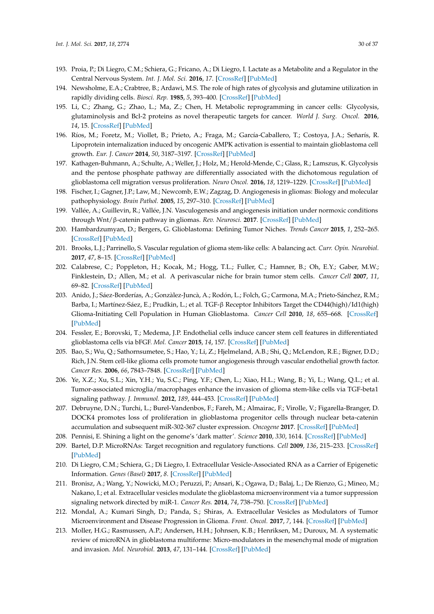- <span id="page-29-0"></span>193. Proia, P.; Di Liegro, C.M.; Schiera, G.; Fricano, A.; Di Liegro, I. Lactate as a Metabolite and a Regulator in the Central Nervous System. *Int. J. Mol. Sci.* **2016**, *17*. [\[CrossRef\]](http://dx.doi.org/10.3390/ijms17091450) [\[PubMed\]](http://www.ncbi.nlm.nih.gov/pubmed/27598136)
- <span id="page-29-1"></span>194. Newsholme, E.A.; Crabtree, B.; Ardawi, M.S. The role of high rates of glycolysis and glutamine utilization in rapidly dividing cells. *Biosci. Rep.* **1985**, *5*, 393–400. [\[CrossRef\]](http://dx.doi.org/10.1007/BF01116556) [\[PubMed\]](http://www.ncbi.nlm.nih.gov/pubmed/3896338)
- <span id="page-29-2"></span>195. Li, C.; Zhang, G.; Zhao, L.; Ma, Z.; Chen, H. Metabolic reprogramming in cancer cells: Glycolysis, glutaminolysis and Bcl-2 proteins as novel therapeutic targets for cancer. *World J. Surg. Oncol.* **2016**, *14*, 15. [\[CrossRef\]](http://dx.doi.org/10.1186/s12957-016-0769-9) [\[PubMed\]](http://www.ncbi.nlm.nih.gov/pubmed/26791262)
- <span id="page-29-3"></span>196. Ríos, M.; Foretz, M.; Viollet, B.; Prieto, A.; Fraga, M.; García-Caballero, T.; Costoya, J.A.; Señarís, R. Lipoprotein internalization induced by oncogenic AMPK activation is essential to maintain glioblastoma cell growth. *Eur. J. Cancer* **2014**, *50*, 3187–3197. [\[CrossRef\]](http://dx.doi.org/10.1016/j.ejca.2014.09.014) [\[PubMed\]](http://www.ncbi.nlm.nih.gov/pubmed/25450947)
- <span id="page-29-4"></span>197. Kathagen-Buhmann, A.; Schulte, A.; Weller, J.; Holz, M.; Herold-Mende, C.; Glass, R.; Lamszus, K. Glycolysis and the pentose phosphate pathway are differentially associated with the dichotomous regulation of glioblastoma cell migration versus proliferation. *Neuro Oncol.* **2016**, *18*, 1219–1229. [\[CrossRef\]](http://dx.doi.org/10.1093/neuonc/now024) [\[PubMed\]](http://www.ncbi.nlm.nih.gov/pubmed/26917237)
- <span id="page-29-5"></span>198. Fischer, I.; Gagner, J.P.; Law, M.; Newcomb, E.W.; Zagzag, D. Angiogenesis in gliomas: Biology and molecular pathophysiology. *Brain Pathol.* **2005**, *15*, 297–310. [\[CrossRef\]](http://dx.doi.org/10.1111/j.1750-3639.2005.tb00115.x) [\[PubMed\]](http://www.ncbi.nlm.nih.gov/pubmed/16389942)
- <span id="page-29-6"></span>199. Vallée, A.; Guillevin, R.; Vallée, J.N. Vasculogenesis and angiogenesis initiation under normoxic conditions through Wnt/β-catenin pathway in gliomas. *Rev. Neurosci.* **2017**. [\[CrossRef\]](http://dx.doi.org/10.1515/revneuro-2017-0032) [\[PubMed\]](http://www.ncbi.nlm.nih.gov/pubmed/28822229)
- <span id="page-29-7"></span>200. Hambardzumyan, D.; Bergers, G. Glioblastoma: Defining Tumor Niches. *Trends Cancer* **2015**, *1*, 252–265. [\[CrossRef\]](http://dx.doi.org/10.1016/j.trecan.2015.10.009) [\[PubMed\]](http://www.ncbi.nlm.nih.gov/pubmed/27088132)
- <span id="page-29-8"></span>201. Brooks, L.J.; Parrinello, S. Vascular regulation of glioma stem-like cells: A balancing act. *Curr. Opin. Neurobiol.* **2017**, *47*, 8–15. [\[CrossRef\]](http://dx.doi.org/10.1016/j.conb.2017.06.008) [\[PubMed\]](http://www.ncbi.nlm.nih.gov/pubmed/28732340)
- <span id="page-29-9"></span>202. Calabrese, C.; Poppleton, H.; Kocak, M.; Hogg, T.L.; Fuller, C.; Hamner, B.; Oh, E.Y.; Gaber, M.W.; Finklestein, D.; Allen, M.; et al. A perivascular niche for brain tumor stem cells. *Cancer Cell* **2007**, *11*, 69–82. [\[CrossRef\]](http://dx.doi.org/10.1016/j.ccr.2006.11.020) [\[PubMed\]](http://www.ncbi.nlm.nih.gov/pubmed/17222791)
- <span id="page-29-10"></span>203. Anido, J.; Sáez-Borderías, A.; Gonzàlez-Juncà, A.; Rodón, L.; Folch, G.; Carmona, M.A.; Prieto-Sánchez, R.M.; Barba, I.; Martínez-Sáez, E.; Prudkin, L.; et al. TGF-β Receptor Inhibitors Target the CD44(high)/Id1(high) Glioma-Initiating Cell Population in Human Glioblastoma. *Cancer Cell* **2010**, *18*, 655–668. [\[CrossRef\]](http://dx.doi.org/10.1016/j.ccr.2010.10.023) [\[PubMed\]](http://www.ncbi.nlm.nih.gov/pubmed/21156287)
- <span id="page-29-11"></span>204. Fessler, E.; Borovski, T.; Medema, J.P. Endothelial cells induce cancer stem cell features in differentiated glioblastoma cells via bFGF. *Mol. Cancer* **2015**, *14*, 157. [\[CrossRef\]](http://dx.doi.org/10.1186/s12943-015-0420-3) [\[PubMed\]](http://www.ncbi.nlm.nih.gov/pubmed/26282129)
- <span id="page-29-12"></span>205. Bao, S.; Wu, Q.; Sathornsumetee, S.; Hao, Y.; Li, Z.; Hjelmeland, A.B.; Shi, Q.; McLendon, R.E.; Bigner, D.D.; Rich, J.N. Stem cell-like glioma cells promote tumor angiogenesis through vascular endothelial growth factor. *Cancer Res.* **2006**, *66*, 7843–7848. [\[CrossRef\]](http://dx.doi.org/10.1158/0008-5472.CAN-06-1010) [\[PubMed\]](http://www.ncbi.nlm.nih.gov/pubmed/16912155)
- <span id="page-29-13"></span>206. Ye, X.Z.; Xu, S.L.; Xin, Y.H.; Yu, S.C.; Ping, Y.F.; Chen, L.; Xiao, H.L.; Wang, B.; Yi, L.; Wang, Q.L.; et al. Tumor-associated microglia/macrophages enhance the invasion of glioma stem-like cells via TGF-beta1 signaling pathway. *J. Immunol.* **2012**, *189*, 444–453. [\[CrossRef\]](http://dx.doi.org/10.4049/jimmunol.1103248) [\[PubMed\]](http://www.ncbi.nlm.nih.gov/pubmed/22664874)
- <span id="page-29-14"></span>207. Debruyne, D.N.; Turchi, L.; Burel-Vandenbos, F.; Fareh, M.; Almairac, F.; Virolle, V.; Figarella-Branger, D. DOCK4 promotes loss of proliferation in glioblastoma progenitor cells through nuclear beta-catenin accumulation and subsequent miR-302-367 cluster expression. *Oncogene* **2017**. [\[CrossRef\]](http://dx.doi.org/10.1038/onc.2017.323) [\[PubMed\]](http://www.ncbi.nlm.nih.gov/pubmed/28925399)
- <span id="page-29-15"></span>208. Pennisi, E. Shining a light on the genome's 'dark matter'. *Science* **2010**, *330*, 1614. [\[CrossRef\]](http://dx.doi.org/10.1126/science.330.6011.1614) [\[PubMed\]](http://www.ncbi.nlm.nih.gov/pubmed/21163986)
- <span id="page-29-16"></span>209. Bartel, D.P. MicroRNAs: Target recognition and regulatory functions. *Cell* **2009**, *136*, 215–233. [\[CrossRef\]](http://dx.doi.org/10.1016/j.cell.2009.01.002) [\[PubMed\]](http://www.ncbi.nlm.nih.gov/pubmed/19167326)
- <span id="page-29-17"></span>210. Di Liegro, C.M.; Schiera, G.; Di Liegro, I. Extracellular Vesicle-Associated RNA as a Carrier of Epigenetic Information. *Genes (Basel)* **2017**, *8*. [\[CrossRef\]](http://dx.doi.org/10.3390/genes8100240) [\[PubMed\]](http://www.ncbi.nlm.nih.gov/pubmed/28937658)
- <span id="page-29-18"></span>211. Bronisz, A.; Wang, Y.; Nowicki, M.O.; Peruzzi, P.; Ansari, K.; Ogawa, D.; Balaj, L.; De Rienzo, G.; Mineo, M.; Nakano, I.; et al. Extracellular vesicles modulate the glioblastoma microenvironment via a tumor suppression signaling network directed by miR-1. *Cancer Res.* **2014**, *74*, 738–750. [\[CrossRef\]](http://dx.doi.org/10.1158/0008-5472.CAN-13-2650) [\[PubMed\]](http://www.ncbi.nlm.nih.gov/pubmed/24310399)
- <span id="page-29-19"></span>212. Mondal, A.; Kumari Singh, D.; Panda, S.; Shiras, A. Extracellular Vesicles as Modulators of Tumor Microenvironment and Disease Progression in Glioma. *Front. Oncol.* **2017**, *7*, 144. [\[CrossRef\]](http://dx.doi.org/10.3389/fonc.2017.00144) [\[PubMed\]](http://www.ncbi.nlm.nih.gov/pubmed/28730141)
- <span id="page-29-20"></span>213. Moller, H.G.; Rasmussen, A.P.; Andersen, H.H.; Johnsen, K.B.; Henriksen, M.; Duroux, M. A systematic review of microRNA in glioblastoma multiforme: Micro-modulators in the mesenchymal mode of migration and invasion. *Mol. Neurobiol.* **2013**, *47*, 131–144. [\[CrossRef\]](http://dx.doi.org/10.1007/s12035-012-8349-7) [\[PubMed\]](http://www.ncbi.nlm.nih.gov/pubmed/23054677)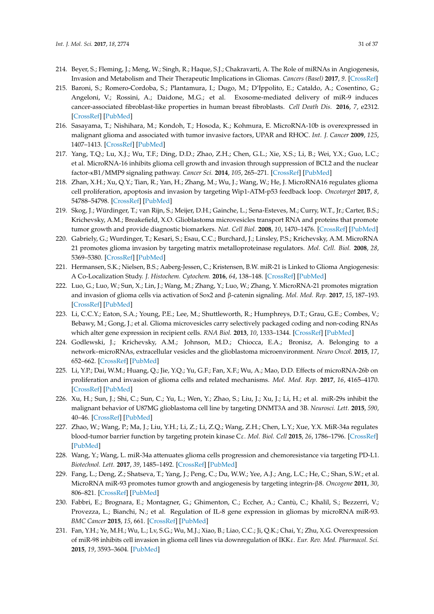- <span id="page-30-0"></span>214. Beyer, S.; Fleming, J.; Meng, W.; Singh, R.; Haque, S.J.; Chakravarti, A. The Role of miRNAs in Angiogenesis, Invasion and Metabolism and Their Therapeutic Implications in Gliomas. *Cancers (Basel)* **2017**, *9*. [\[CrossRef\]](http://dx.doi.org/10.3390/cancers9070085)
- <span id="page-30-1"></span>215. Baroni, S.; Romero-Cordoba, S.; Plantamura, I.; Dugo, M.; D'Ippolito, E.; Cataldo, A.; Cosentino, G.; Angeloni, V.; Rossini, A.; Daidone, M.G.; et al. Exosome-mediated delivery of miR-9 induces cancer-associated fibroblast-like properties in human breast fibroblasts. *Cell Death Dis.* **2016**, *7*, e2312. [\[CrossRef\]](http://dx.doi.org/10.1038/cddis.2016.224) [\[PubMed\]](http://www.ncbi.nlm.nih.gov/pubmed/27468688)
- <span id="page-30-2"></span>216. Sasayama, T.; Nishihara, M.; Kondoh, T.; Hosoda, K.; Kohmura, E. MicroRNA-10b is overexpressed in malignant glioma and associated with tumor invasive factors, UPAR and RHOC. *Int. J. Cancer* **2009**, *125*, 1407–1413. [\[CrossRef\]](http://dx.doi.org/10.1002/ijc.24522) [\[PubMed\]](http://www.ncbi.nlm.nih.gov/pubmed/19536818)
- <span id="page-30-3"></span>217. Yang, T.Q.; Lu, X.J.; Wu, T.F.; Ding, D.D.; Zhao, Z.H.; Chen, G.L.; Xie, X.S.; Li, B.; Wei, Y.X.; Guo, L.C.; et al. MicroRNA-16 inhibits glioma cell growth and invasion through suppression of BCL2 and the nuclear factor-κB1/MMP9 signaling pathway. *Cancer Sci.* **2014**, *105*, 265–271. [\[CrossRef\]](http://dx.doi.org/10.1111/cas.12351) [\[PubMed\]](http://www.ncbi.nlm.nih.gov/pubmed/24418124)
- <span id="page-30-4"></span>218. Zhan, X.H.; Xu, Q.Y.; Tian, R.; Yan, H.; Zhang, M.; Wu, J.; Wang, W.; He, J. MicroRNA16 regulates glioma cell proliferation, apoptosis and invasion by targeting Wip1-ATM-p53 feedback loop. *Oncotarget* **2017**, *8*, 54788–54798. [\[CrossRef\]](http://dx.doi.org/10.18632/oncotarget.18510) [\[PubMed\]](http://www.ncbi.nlm.nih.gov/pubmed/28903382)
- <span id="page-30-5"></span>219. Skog, J.; Würdinger, T.; van Rijn, S.; Meijer, D.H.; Gainche, L.; Sena-Esteves, M.; Curry, W.T., Jr.; Carter, B.S.; Krichevsky, A.M.; Breakefield, X.O. Glioblastoma microvesicles transport RNA and proteins that promote tumor growth and provide diagnostic biomarkers. *Nat. Cell Biol.* **2008**, *10*, 1470–1476. [\[CrossRef\]](http://dx.doi.org/10.1038/ncb1800) [\[PubMed\]](http://www.ncbi.nlm.nih.gov/pubmed/19011622)
- <span id="page-30-6"></span>220. Gabriely, G.; Wurdinger, T.; Kesari, S.; Esau, C.C.; Burchard, J.; Linsley, P.S.; Krichevsky, A.M. MicroRNA 21 promotes glioma invasion by targeting matrix metalloproteinase regulators. *Mol. Cell. Biol.* **2008**, *28*, 5369–5380. [\[CrossRef\]](http://dx.doi.org/10.1128/MCB.00479-08) [\[PubMed\]](http://www.ncbi.nlm.nih.gov/pubmed/18591254)
- 221. Hermansen, S.K.; Nielsen, B.S.; Aaberg-Jessen, C.; Kristensen, B.W. miR-21 is Linked to Glioma Angiogenesis: A Co-Localization Study. *J. Histochem. Cytochem.* **2016**, *64*, 138–148. [\[CrossRef\]](http://dx.doi.org/10.1369/0022155415623515) [\[PubMed\]](http://www.ncbi.nlm.nih.gov/pubmed/26701969)
- <span id="page-30-7"></span>222. Luo, G.; Luo, W.; Sun, X.; Lin, J.; Wang, M.; Zhang, Y.; Luo, W.; Zhang, Y. MicroRNA-21 promotes migration and invasion of glioma cells via activation of Sox2 and β-catenin signaling. *Mol. Med. Rep.* **2017**, *15*, 187–193. [\[CrossRef\]](http://dx.doi.org/10.3892/mmr.2016.5971) [\[PubMed\]](http://www.ncbi.nlm.nih.gov/pubmed/27909726)
- <span id="page-30-8"></span>223. Li, C.C.Y.; Eaton, S.A.; Young, P.E.; Lee, M.; Shuttleworth, R.; Humphreys, D.T.; Grau, G.E.; Combes, V.; Bebawy, M.; Gong, J.; et al. Glioma microvesicles carry selectively packaged coding and non-coding RNAs which alter gene expression in recipient cells. *RNA Biol.* **2013**, *10*, 1333–1344. [\[CrossRef\]](http://dx.doi.org/10.4161/rna.25281) [\[PubMed\]](http://www.ncbi.nlm.nih.gov/pubmed/23807490)
- <span id="page-30-9"></span>224. Godlewski, J.; Krichevsky, A.M.; Johnson, M.D.; Chiocca, E.A.; Bronisz, A. Belonging to a network–microRNAs, extracellular vesicles and the glioblastoma microenvironment. *Neuro Oncol.* **2015**, *17*, 652–662. [\[CrossRef\]](http://dx.doi.org/10.1093/neuonc/nou292) [\[PubMed\]](http://www.ncbi.nlm.nih.gov/pubmed/25301812)
- <span id="page-30-10"></span>225. Li, Y.P.; Dai, W.M.; Huang, Q.; Jie, Y.Q.; Yu, G.F.; Fan, X.F.; Wu, A.; Mao, D.D. Effects of microRNA-26b on proliferation and invasion of glioma cells and related mechanisms. *Mol. Med. Rep.* **2017**, *16*, 4165–4170. [\[CrossRef\]](http://dx.doi.org/10.3892/mmr.2017.7121) [\[PubMed\]](http://www.ncbi.nlm.nih.gov/pubmed/28765902)
- <span id="page-30-11"></span>226. Xu, H.; Sun, J.; Shi, C.; Sun, C.; Yu, L.; Wen, Y.; Zhao, S.; Liu, J.; Xu, J.; Li, H.; et al. miR-29s inhibit the malignant behavior of U87MG glioblastoma cell line by targeting DNMT3A and 3B. *Neurosci. Lett.* **2015**, *590*, 40–46. [\[CrossRef\]](http://dx.doi.org/10.1016/j.neulet.2015.01.060) [\[PubMed\]](http://www.ncbi.nlm.nih.gov/pubmed/25625222)
- <span id="page-30-12"></span>227. Zhao, W.; Wang, P.; Ma, J.; Liu, Y.H.; Li, Z.; Li, Z.Q.; Wang, Z.H.; Chen, L.Y.; Xue, Y.X. MiR-34a regulates blood-tumor barrier function by targeting protein kinase Cε. *Mol. Biol. Cell* **2015**, *26*, 1786–1796. [\[CrossRef\]](http://dx.doi.org/10.1091/mbc.E14-10-1474) [\[PubMed\]](http://www.ncbi.nlm.nih.gov/pubmed/25788289)
- <span id="page-30-13"></span>228. Wang, Y.; Wang, L. miR-34a attenuates glioma cells progression and chemoresistance via targeting PD-L1. *Biotechnol. Lett.* **2017**, *39*, 1485–1492. [\[CrossRef\]](http://dx.doi.org/10.1007/s10529-017-2397-z) [\[PubMed\]](http://www.ncbi.nlm.nih.gov/pubmed/28721584)
- <span id="page-30-14"></span>229. Fang, L.; Deng, Z.; Shatseva, T.; Yang, J.; Peng, C.; Du, W.W.; Yee, A.J.; Ang, L.C.; He, C.; Shan, S.W.; et al. MicroRNA miR-93 promotes tumor growth and angiogenesis by targeting integrin-β8. *Oncogene* **2011**, *30*, 806–821. [\[CrossRef\]](http://dx.doi.org/10.1038/onc.2010.465) [\[PubMed\]](http://www.ncbi.nlm.nih.gov/pubmed/20956944)
- <span id="page-30-15"></span>230. Fabbri, E.; Brognara, E.; Montagner, G.; Ghimenton, C.; Eccher, A.; Cantù, C.; Khalil, S.; Bezzerri, V.; Provezza, L.; Bianchi, N.; et al. Regulation of IL-8 gene expression in gliomas by microRNA miR-93. *BMC Cancer* **2015**, *15*, 661. [\[CrossRef\]](http://dx.doi.org/10.1186/s12885-015-1659-1) [\[PubMed\]](http://www.ncbi.nlm.nih.gov/pubmed/26449498)
- <span id="page-30-16"></span>231. Fan, Y.H.; Ye, M.H.; Wu, L.; Lv, S.G.; Wu, M.J.; Xiao, B.; Liao, C.C.; Ji, Q.K.; Chai, Y.; Zhu, X.G. Overexpression of miR-98 inhibits cell invasion in glioma cell lines via downregulation of IKKε. *Eur. Rev. Med. Pharmacol. Sci.* **2015**, *19*, 3593–3604. [\[PubMed\]](http://www.ncbi.nlm.nih.gov/pubmed/26502849)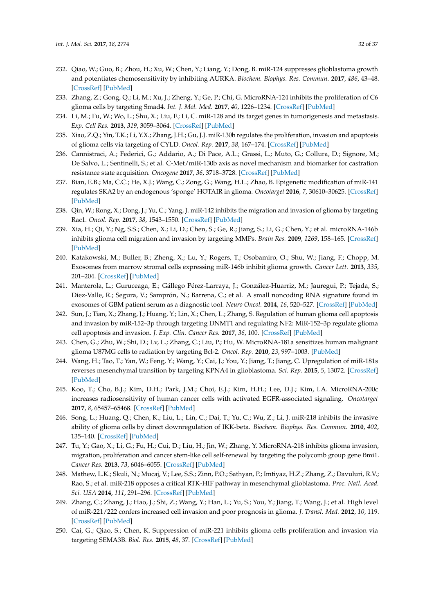- <span id="page-31-0"></span>232. Qiao, W.; Guo, B.; Zhou, H.; Xu, W.; Chen, Y.; Liang, Y.; Dong, B. miR-124 suppresses glioblastoma growth and potentiates chemosensitivity by inhibiting AURKA. *Biochem. Biophys. Res. Commun.* **2017**, *486*, 43–48. [\[CrossRef\]](http://dx.doi.org/10.1016/j.bbrc.2017.02.120) [\[PubMed\]](http://www.ncbi.nlm.nih.gov/pubmed/28242198)
- <span id="page-31-1"></span>233. Zhang, Z.; Gong, Q.; Li, M.; Xu, J.; Zheng, Y.; Ge, P.; Chi, G. MicroRNA-124 inhibits the proliferation of C6 glioma cells by targeting Smad4. *Int. J. Mol. Med.* **2017**, *40*, 1226–1234. [\[CrossRef\]](http://dx.doi.org/10.3892/ijmm.2017.3088) [\[PubMed\]](http://www.ncbi.nlm.nih.gov/pubmed/28791348)
- <span id="page-31-2"></span>234. Li, M.; Fu, W.; Wo, L.; Shu, X.; Liu, F.; Li, C. miR-128 and its target genes in tumorigenesis and metastasis. *Exp. Cell Res.* **2013**, *319*, 3059–3064. [\[CrossRef\]](http://dx.doi.org/10.1016/j.yexcr.2013.07.031) [\[PubMed\]](http://www.ncbi.nlm.nih.gov/pubmed/23958464)
- <span id="page-31-3"></span>235. Xiao, Z.Q.; Yin, T.K.; Li, Y.X.; Zhang, J.H.; Gu, J.J. miR-130b regulates the proliferation, invasion and apoptosis of glioma cells via targeting of CYLD. *Oncol. Rep.* **2017**, *38*, 167–174. [\[CrossRef\]](http://dx.doi.org/10.3892/or.2017.5651) [\[PubMed\]](http://www.ncbi.nlm.nih.gov/pubmed/28534976)
- <span id="page-31-4"></span>236. Cannistraci, A.; Federici, G.; Addario, A.; Di Pace, A.L.; Grassi, L.; Muto, G.; Collura, D.; Signore, M.; De Salvo, L.; Sentinelli, S.; et al. C-Met/miR-130b axis as novel mechanism and biomarker for castration resistance state acquisition. *Oncogene* **2017**, *36*, 3718–3728. [\[CrossRef\]](http://dx.doi.org/10.1038/onc.2016.505) [\[PubMed\]](http://www.ncbi.nlm.nih.gov/pubmed/28192399)
- <span id="page-31-5"></span>237. Bian, E.B.; Ma, C.C.; He, X.J.; Wang, C.; Zong, G.; Wang, H.L.; Zhao, B. Epigenetic modification of miR-141 regulates SKA2 by an endogenous 'sponge' HOTAIR in glioma. *Oncotarget* **2016**, *7*, 30610–30625. [\[CrossRef\]](http://dx.doi.org/10.18632/oncotarget.8895) [\[PubMed\]](http://www.ncbi.nlm.nih.gov/pubmed/27121316)
- <span id="page-31-6"></span>238. Qin, W.; Rong, X.; Dong, J.; Yu, C.; Yang, J. miR-142 inhibits the migration and invasion of glioma by targeting Rac1. *Oncol. Rep.* **2017**, *38*, 1543–1550. [\[CrossRef\]](http://dx.doi.org/10.3892/or.2017.5816) [\[PubMed\]](http://www.ncbi.nlm.nih.gov/pubmed/28714015)
- <span id="page-31-7"></span>239. Xia, H.; Qi, Y.; Ng, S.S.; Chen, X.; Li, D.; Chen, S.; Ge, R.; Jiang, S.; Li, G.; Chen, Y.; et al. microRNA-146b inhibits glioma cell migration and invasion by targeting MMPs. *Brain Res.* **2009**, *1269*, 158–165. [\[CrossRef\]](http://dx.doi.org/10.1016/j.brainres.2009.02.037) [\[PubMed\]](http://www.ncbi.nlm.nih.gov/pubmed/19265686)
- <span id="page-31-8"></span>240. Katakowski, M.; Buller, B.; Zheng, X.; Lu, Y.; Rogers, T.; Osobamiro, O.; Shu, W.; Jiang, F.; Chopp, M. Exosomes from marrow stromal cells expressing miR-146b inhibit glioma growth. *Cancer Lett.* **2013**, *335*, 201–204. [\[CrossRef\]](http://dx.doi.org/10.1016/j.canlet.2013.02.019) [\[PubMed\]](http://www.ncbi.nlm.nih.gov/pubmed/23419525)
- <span id="page-31-9"></span>241. Manterola, L.; Guruceaga, E.; Gállego Pérez-Larraya, J.; González-Huarriz, M.; Jauregui, P.; Tejada, S.; Diez-Valle, R.; Segura, V.; Samprón, N.; Barrena, C.; et al. A small noncoding RNA signature found in exosomes of GBM patient serum as a diagnostic tool. *Neuro Oncol.* **2014**, *16*, 520–527. [\[CrossRef\]](http://dx.doi.org/10.1093/neuonc/not218) [\[PubMed\]](http://www.ncbi.nlm.nih.gov/pubmed/24435880)
- <span id="page-31-10"></span>242. Sun, J.; Tian, X.; Zhang, J.; Huang, Y.; Lin, X.; Chen, L.; Zhang, S. Regulation of human glioma cell apoptosis and invasion by miR-152–3p through targeting DNMT1 and regulating NF2: MiR-152–3p regulate glioma cell apoptosis and invasion. *J. Exp. Clin. Cancer Res.* **2017**, *36*, 100. [\[CrossRef\]](http://dx.doi.org/10.1186/s13046-017-0567-4) [\[PubMed\]](http://www.ncbi.nlm.nih.gov/pubmed/28764788)
- <span id="page-31-11"></span>243. Chen, G.; Zhu, W.; Shi, D.; Lv, L.; Zhang, C.; Liu, P.; Hu, W. MicroRNA-181a sensitizes human malignant glioma U87MG cells to radiation by targeting Bcl-2. *Oncol. Rep.* **2010**, *23*, 997–1003. [\[PubMed\]](http://www.ncbi.nlm.nih.gov/pubmed/20204284)
- <span id="page-31-12"></span>244. Wang, H.; Tao, T.; Yan, W.; Feng, Y.; Wang, Y.; Cai, J.; You, Y.; Jiang, T.; Jiang, C. Upregulation of miR-181s reverses mesenchymal transition by targeting KPNA4 in glioblastoma. *Sci. Rep.* **2015**, *5*, 13072. [\[CrossRef\]](http://dx.doi.org/10.1038/srep13072) [\[PubMed\]](http://www.ncbi.nlm.nih.gov/pubmed/26283154)
- <span id="page-31-13"></span>245. Koo, T.; Cho, B.J.; Kim, D.H.; Park, J.M.; Choi, E.J.; Kim, H.H.; Lee, D.J.; Kim, I.A. MicroRNA-200c increases radiosensitivity of human cancer cells with activated EGFR-associated signaling. *Oncotarget* **2017**, *8*, 65457–65468. [\[CrossRef\]](http://dx.doi.org/10.18632/oncotarget.18924) [\[PubMed\]](http://www.ncbi.nlm.nih.gov/pubmed/29029445)
- <span id="page-31-14"></span>246. Song, L.; Huang, Q.; Chen, K.; Liu, L.; Lin, C.; Dai, T.; Yu, C.; Wu, Z.; Li, J. miR-218 inhibits the invasive ability of glioma cells by direct downregulation of IKK-beta. *Biochem. Biophys. Res. Commun.* **2010**, *402*, 135–140. [\[CrossRef\]](http://dx.doi.org/10.1016/j.bbrc.2010.10.003) [\[PubMed\]](http://www.ncbi.nlm.nih.gov/pubmed/20933503)
- 247. Tu, Y.; Gao, X.; Li, G.; Fu, H.; Cui, D.; Liu, H.; Jin, W.; Zhang, Y. MicroRNA-218 inhibits glioma invasion, migration, proliferation and cancer stem-like cell self-renewal by targeting the polycomb group gene Bmi1. *Cancer Res.* **2013**, *73*, 6046–6055. [\[CrossRef\]](http://dx.doi.org/10.1158/0008-5472.CAN-13-0358) [\[PubMed\]](http://www.ncbi.nlm.nih.gov/pubmed/23950210)
- <span id="page-31-15"></span>248. Mathew, L.K.; Skuli, N.; Mucaj, V.; Lee, S.S.; Zinn, P.O.; Sathyan, P.; Imtiyaz, H.Z.; Zhang, Z.; Davuluri, R.V.; Rao, S.; et al. miR-218 opposes a critical RTK-HIF pathway in mesenchymal glioblastoma. *Proc. Natl. Acad. Sci. USA* **2014**, *111*, 291–296. [\[CrossRef\]](http://dx.doi.org/10.1073/pnas.1314341111) [\[PubMed\]](http://www.ncbi.nlm.nih.gov/pubmed/24368849)
- <span id="page-31-16"></span>249. Zhang, C.; Zhang, J.; Hao, J.; Shi, Z.; Wang, Y.; Han, L.; Yu, S.; You, Y.; Jiang, T.; Wang, J.; et al. High level of miR-221/222 confers increased cell invasion and poor prognosis in glioma. *J. Transl. Med.* **2012**, *10*, 119. [\[CrossRef\]](http://dx.doi.org/10.1186/1479-5876-10-119) [\[PubMed\]](http://www.ncbi.nlm.nih.gov/pubmed/22681957)
- 250. Cai, G.; Qiao, S.; Chen, K. Suppression of miR-221 inhibits glioma cells proliferation and invasion via targeting SEMA3B. *Biol. Res.* **2015**, *48*, 37. [\[CrossRef\]](http://dx.doi.org/10.1186/s40659-015-0030-y) [\[PubMed\]](http://www.ncbi.nlm.nih.gov/pubmed/26197878)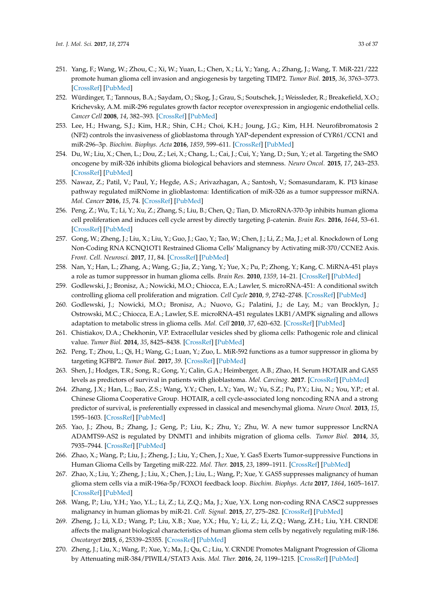- <span id="page-32-0"></span>251. Yang, F.; Wang, W.; Zhou, C.; Xi, W.; Yuan, L.; Chen, X.; Li, Y.; Yang, A.; Zhang, J.; Wang, T. MiR-221/222 promote human glioma cell invasion and angiogenesis by targeting TIMP2. *Tumor Biol.* **2015**, *36*, 3763–3773. [\[CrossRef\]](http://dx.doi.org/10.1007/s13277-014-3017-3) [\[PubMed\]](http://www.ncbi.nlm.nih.gov/pubmed/25731730)
- <span id="page-32-1"></span>252. Würdinger, T.; Tannous, B.A.; Saydam, O.; Skog, J.; Grau, S.; Soutschek, J.; Weissleder, R.; Breakefield, X.O.; Krichevsky, A.M. miR-296 regulates growth factor receptor overexpression in angiogenic endothelial cells. *Cancer Cell* **2008**, *14*, 382–393. [\[CrossRef\]](http://dx.doi.org/10.1016/j.ccr.2008.10.005) [\[PubMed\]](http://www.ncbi.nlm.nih.gov/pubmed/18977327)
- <span id="page-32-2"></span>253. Lee, H.; Hwang, S.J.; Kim, H.R.; Shin, C.H.; Choi, K.H.; Joung, J.G.; Kim, H.H. Neurofibromatosis 2 (NF2) controls the invasiveness of glioblastoma through YAP-dependent expression of CYR61/CCN1 and miR-296–3p. *Biochim. Biophys. Acta* **2016**, *1859*, 599–611. [\[CrossRef\]](http://dx.doi.org/10.1016/j.bbagrm.2016.02.010) [\[PubMed\]](http://www.ncbi.nlm.nih.gov/pubmed/26923924)
- <span id="page-32-3"></span>254. Du, W.; Liu, X.; Chen, L.; Dou, Z.; Lei, X.; Chang, L.; Cai, J.; Cui, Y.; Yang, D.; Sun, Y.; et al. Targeting the SMO oncogene by miR-326 inhibits glioma biological behaviors and stemness. *Neuro Oncol.* **2015**, *17*, 243–253. [\[CrossRef\]](http://dx.doi.org/10.1093/neuonc/nou217) [\[PubMed\]](http://www.ncbi.nlm.nih.gov/pubmed/25173582)
- <span id="page-32-4"></span>255. Nawaz, Z.; Patil, V.; Paul, Y.; Hegde, A.S.; Arivazhagan, A.; Santosh, V.; Somasundaram, K. PI3 kinase pathway regulated miRNome in glioblastoma: Identification of miR-326 as a tumor suppressor miRNA. *Mol. Cancer* **2016**, *15*, 74. [\[CrossRef\]](http://dx.doi.org/10.1186/s12943-016-0557-8) [\[PubMed\]](http://www.ncbi.nlm.nih.gov/pubmed/27871300)
- <span id="page-32-5"></span>256. Peng, Z.; Wu, T.; Li, Y.; Xu, Z.; Zhang, S.; Liu, B.; Chen, Q.; Tian, D. MicroRNA-370-3p inhibits human glioma cell proliferation and induces cell cycle arrest by directly targeting β-catenin. *Brain Res.* **2016**, *1644*, 53–61. [\[CrossRef\]](http://dx.doi.org/10.1016/j.brainres.2016.04.066) [\[PubMed\]](http://www.ncbi.nlm.nih.gov/pubmed/27138069)
- <span id="page-32-6"></span>257. Gong, W.; Zheng, J.; Liu, X.; Liu, Y.; Guo, J.; Gao, Y.; Tao, W.; Chen, J.; Li, Z.; Ma, J.; et al. Knockdown of Long Non-Coding RNA KCNQ1OT1 Restrained Glioma Cells' Malignancy by Activating miR-370/CCNE2 Axis. *Front. Cell. Neurosci.* **2017**, *11*, 84. [\[CrossRef\]](http://dx.doi.org/10.3389/fncel.2017.00084) [\[PubMed\]](http://www.ncbi.nlm.nih.gov/pubmed/28381990)
- <span id="page-32-7"></span>258. Nan, Y.; Han, L.; Zhang, A.; Wang, G.; Jia, Z.; Yang, Y.; Yue, X.; Pu, P.; Zhong, Y.; Kang, C. MiRNA-451 plays a role as tumor suppressor in human glioma cells. *Brain Res.* **2010**, *1359*, 14–21. [\[CrossRef\]](http://dx.doi.org/10.1016/j.brainres.2010.08.074) [\[PubMed\]](http://www.ncbi.nlm.nih.gov/pubmed/20816946)
- 259. Godlewski, J.; Bronisz, A.; Nowicki, M.O.; Chiocca, E.A.; Lawler, S. microRNA-451: A conditional switch controlling glioma cell proliferation and migration. *Cell Cycle* **2010**, *9*, 2742–2748. [\[CrossRef\]](http://dx.doi.org/10.4161/cc.9.14.12248) [\[PubMed\]](http://www.ncbi.nlm.nih.gov/pubmed/20676049)
- <span id="page-32-8"></span>260. Godlewski, J.; Nowicki, M.O.; Bronisz, A.; Nuovo, G.; Palatini, J.; de Lay, M.; van Brocklyn, J.; Ostrowski, M.C.; Chiocca, E.A.; Lawler, S.E. microRNA-451 regulates LKB1/AMPK signaling and allows adaptation to metabolic stress in glioma cells. *Mol. Cell* **2010**, *37*, 620–632. [\[CrossRef\]](http://dx.doi.org/10.1016/j.molcel.2010.02.018) [\[PubMed\]](http://www.ncbi.nlm.nih.gov/pubmed/20227367)
- <span id="page-32-9"></span>261. Chistiakov, D.A.; Chekhonin, V.P. Extracellular vesicles shed by glioma cells: Pathogenic role and clinical value. *Tumor Biol.* **2014**, *35*, 8425–8438. [\[CrossRef\]](http://dx.doi.org/10.1007/s13277-014-2262-9) [\[PubMed\]](http://www.ncbi.nlm.nih.gov/pubmed/24969563)
- <span id="page-32-10"></span>262. Peng, T.; Zhou, L.; Qi, H.; Wang, G.; Luan, Y.; Zuo, L. MiR-592 functions as a tumor suppressor in glioma by targeting IGFBP2. *Tumor Biol.* **2017**, *39*. [\[CrossRef\]](http://dx.doi.org/10.1177/1010428317719273) [\[PubMed\]](http://www.ncbi.nlm.nih.gov/pubmed/28718372)
- <span id="page-32-11"></span>263. Shen, J.; Hodges, T.R.; Song, R.; Gong, Y.; Calin, G.A.; Heimberger, A.B.; Zhao, H. Serum HOTAIR and GAS5 levels as predictors of survival in patients with glioblastoma. *Mol. Carcinog.* **2017**. [\[CrossRef\]](http://dx.doi.org/10.1002/mc.22739) [\[PubMed\]](http://www.ncbi.nlm.nih.gov/pubmed/28926136)
- <span id="page-32-12"></span>264. Zhang, J.X.; Han, L.; Bao, Z.S.; Wang, Y.Y.; Chen, L.Y.; Yan, W.; Yu, S.Z.; Pu, P.Y.; Liu, N.; You, Y.P.; et al. Chinese Glioma Cooperative Group. HOTAIR, a cell cycle-associated long noncoding RNA and a strong predictor of survival, is preferentially expressed in classical and mesenchymal glioma. *Neuro Oncol.* **2013**, *15*, 1595–1603. [\[CrossRef\]](http://dx.doi.org/10.1093/neuonc/not131) [\[PubMed\]](http://www.ncbi.nlm.nih.gov/pubmed/24203894)
- <span id="page-32-13"></span>265. Yao, J.; Zhou, B.; Zhang, J.; Geng, P.; Liu, K.; Zhu, Y.; Zhu, W. A new tumor suppressor LncRNA ADAMTS9-AS2 is regulated by DNMT1 and inhibits migration of glioma cells. *Tumor Biol.* **2014**, *35*, 7935–7944. [\[CrossRef\]](http://dx.doi.org/10.1007/s13277-014-1949-2) [\[PubMed\]](http://www.ncbi.nlm.nih.gov/pubmed/24833086)
- <span id="page-32-14"></span>266. Zhao, X.; Wang, P.; Liu, J.; Zheng, J.; Liu, Y.; Chen, J.; Xue, Y. Gas5 Exerts Tumor-suppressive Functions in Human Glioma Cells by Targeting miR-222. *Mol. Ther.* **2015**, *23*, 1899–1911. [\[CrossRef\]](http://dx.doi.org/10.1038/mt.2015.170) [\[PubMed\]](http://www.ncbi.nlm.nih.gov/pubmed/26370254)
- <span id="page-32-15"></span>267. Zhao, X.; Liu, Y.; Zheng, J.; Liu, X.; Chen, J.; Liu, L.; Wang, P.; Xue, Y. GAS5 suppresses malignancy of human glioma stem cells via a miR-196a-5p/FOXO1 feedback loop. *Biochim. Biophys. Acta* **2017**, *1864*, 1605–1617. [\[CrossRef\]](http://dx.doi.org/10.1016/j.bbamcr.2017.06.020) [\[PubMed\]](http://www.ncbi.nlm.nih.gov/pubmed/28666797)
- <span id="page-32-16"></span>268. Wang, P.; Liu, Y.H.; Yao, Y.L.; Li, Z.; Li, Z.Q.; Ma, J.; Xue, Y.X. Long non-coding RNA CASC2 suppresses malignancy in human gliomas by miR-21. *Cell. Signal.* **2015**, *27*, 275–282. [\[CrossRef\]](http://dx.doi.org/10.1016/j.cellsig.2014.11.011) [\[PubMed\]](http://www.ncbi.nlm.nih.gov/pubmed/25446261)
- <span id="page-32-17"></span>269. Zheng, J.; Li, X.D.; Wang, P.; Liu, X.B.; Xue, Y.X.; Hu, Y.; Li, Z.; Li, Z.Q.; Wang, Z.H.; Liu, Y.H. CRNDE affects the malignant biological characteristics of human glioma stem cells by negatively regulating miR-186. *Oncotarget* **2015**, *6*, 25339–25355. [\[CrossRef\]](http://dx.doi.org/10.18632/oncotarget.4509) [\[PubMed\]](http://www.ncbi.nlm.nih.gov/pubmed/26231038)
- <span id="page-32-18"></span>270. Zheng, J.; Liu, X.; Wang, P.; Xue, Y.; Ma, J.; Qu, C.; Liu, Y. CRNDE Promotes Malignant Progression of Glioma by Attenuating miR-384/PIWIL4/STAT3 Axis. *Mol. Ther.* **2016**, *24*, 1199–1215. [\[CrossRef\]](http://dx.doi.org/10.1038/mt.2016.71) [\[PubMed\]](http://www.ncbi.nlm.nih.gov/pubmed/27058823)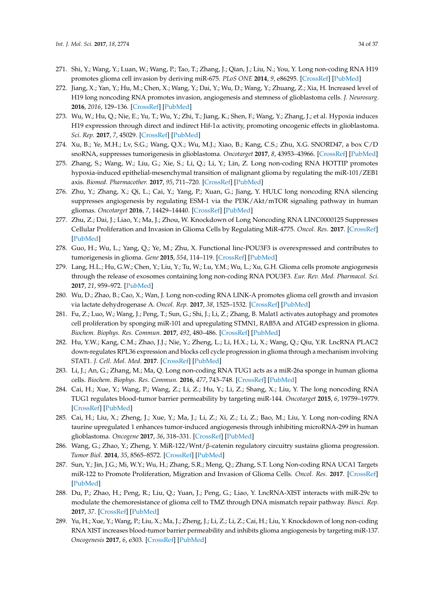- <span id="page-33-0"></span>271. Shi, Y.; Wang, Y.; Luan, W.; Wang, P.; Tao, T.; Zhang, J.; Qian, J.; Liu, N.; You, Y. Long non-coding RNA H19 promotes glioma cell invasion by deriving miR-675. *PLoS ONE* **2014**, *9*, e86295. [\[CrossRef\]](http://dx.doi.org/10.1371/journal.pone.0086295) [\[PubMed\]](http://www.ncbi.nlm.nih.gov/pubmed/24466011)
- 272. Jiang, X.; Yan, Y.; Hu, M.; Chen, X.; Wang, Y.; Dai, Y.; Wu, D.; Wang, Y.; Zhuang, Z.; Xia, H. Increased level of H19 long noncoding RNA promotes invasion, angiogenesis and stemness of glioblastoma cells. *J. Neurosurg.* **2016**, *2016*, 129–136. [\[CrossRef\]](http://dx.doi.org/10.3171/2014.12.JNS1426.test) [\[PubMed\]](http://www.ncbi.nlm.nih.gov/pubmed/28306408)
- <span id="page-33-1"></span>273. Wu, W.; Hu, Q.; Nie, E.; Yu, T.; Wu, Y.; Zhi, T.; Jiang, K.; Shen, F.; Wang, Y.; Zhang, J.; et al. Hypoxia induces H19 expression through direct and indirect Hif-1α activity, promoting oncogenic effects in glioblastoma. *Sci. Rep.* **2017**, *7*, 45029. [\[CrossRef\]](http://dx.doi.org/10.1038/srep45029) [\[PubMed\]](http://www.ncbi.nlm.nih.gov/pubmed/28327666)
- <span id="page-33-2"></span>274. Xu, B.; Ye, M.H.; Lv, S.G.; Wang, Q.X.; Wu, M.J.; Xiao, B.; Kang, C.S.; Zhu, X.G. SNORD47, a box C/D snoRNA, suppresses tumorigenesis in glioblastoma. *Oncotarget* **2017**, *8*, 43953–43966. [\[CrossRef\]](http://dx.doi.org/10.18632/oncotarget.16693) [\[PubMed\]](http://www.ncbi.nlm.nih.gov/pubmed/28410200)
- <span id="page-33-3"></span>275. Zhang, S.; Wang, W.; Liu, G.; Xie, S.; Li, Q.; Li, Y.; Lin, Z. Long non-coding RNA HOTTIP promotes hypoxia-induced epithelial-mesenchymal transition of malignant glioma by regulating the miR-101/ZEB1 axis. *Biomed. Pharmacother.* **2017**, *95*, 711–720. [\[CrossRef\]](http://dx.doi.org/10.1016/j.biopha.2017.08.133) [\[PubMed\]](http://www.ncbi.nlm.nih.gov/pubmed/28886531)
- <span id="page-33-4"></span>276. Zhu, Y.; Zhang, X.; Qi, L.; Cai, Y.; Yang, P.; Xuan, G.; Jiang, Y. HULC long noncoding RNA silencing suppresses angiogenesis by regulating ESM-1 via the PI3K/Akt/mTOR signaling pathway in human gliomas. *Oncotarget* **2016**, *7*, 14429–14440. [\[CrossRef\]](http://dx.doi.org/10.18632/oncotarget.7418) [\[PubMed\]](http://www.ncbi.nlm.nih.gov/pubmed/26894862)
- <span id="page-33-5"></span>277. Zhu, Z.; Dai, J.; Liao, Y.; Ma, J.; Zhou, W. Knockdown of Long Noncoding RNA LINC0000125 Suppresses Cellular Proliferation and Invasion in Glioma Cells by Regulating MiR-4775. *Oncol. Res.* **2017**. [\[CrossRef\]](http://dx.doi.org/10.3727/096504017X15016337254597) [\[PubMed\]](http://www.ncbi.nlm.nih.gov/pubmed/28800786)
- <span id="page-33-6"></span>278. Guo, H.; Wu, L.; Yang, Q.; Ye, M.; Zhu, X. Functional linc-POU3F3 is overexpressed and contributes to tumorigenesis in glioma. *Gene* **2015**, *554*, 114–119. [\[CrossRef\]](http://dx.doi.org/10.1016/j.gene.2014.10.038) [\[PubMed\]](http://www.ncbi.nlm.nih.gov/pubmed/25445282)
- <span id="page-33-7"></span>279. Lang, H.L.; Hu, G.W.; Chen, Y.; Liu, Y.; Tu, W.; Lu, Y.M.; Wu, L.; Xu, G.H. Glioma cells promote angiogenesis through the release of exosomes containing long non-coding RNA POU3F3. *Eur. Rev. Med. Pharmacol. Sci.* **2017**, *21*, 959–972. [\[PubMed\]](http://www.ncbi.nlm.nih.gov/pubmed/28338200)
- <span id="page-33-8"></span>280. Wu, D.; Zhao, B.; Cao, X.; Wan, J. Long non-coding RNA LINK-A promotes glioma cell growth and invasion via lactate dehydrogenase A. *Oncol. Rep.* **2017**, *38*, 1525–1532. [\[CrossRef\]](http://dx.doi.org/10.3892/or.2017.5806) [\[PubMed\]](http://www.ncbi.nlm.nih.gov/pubmed/28714007)
- <span id="page-33-9"></span>281. Fu, Z.; Luo, W.; Wang, J.; Peng, T.; Sun, G.; Shi, J.; Li, Z.; Zhang, B. Malat1 activates autophagy and promotes cell proliferation by sponging miR-101 and upregulating STMN1, RAB5A and ATG4D expression in glioma. *Biochem. Biophys. Res. Commun.* **2017**, *492*, 480–486. [\[CrossRef\]](http://dx.doi.org/10.1016/j.bbrc.2017.08.070) [\[PubMed\]](http://www.ncbi.nlm.nih.gov/pubmed/28834690)
- <span id="page-33-10"></span>282. Hu, Y.W.; Kang, C.M.; Zhao, J.J.; Nie, Y.; Zheng, L.; Li, H.X.; Li, X.; Wang, Q.; Qiu, Y.R. LncRNA PLAC2 down-regulates RPL36 expression and blocks cell cycle progression in glioma through a mechanism involving STAT1. *J. Cell. Mol. Med.* **2017**. [\[CrossRef\]](http://dx.doi.org/10.1111/jcmm.13338) [\[PubMed\]](http://www.ncbi.nlm.nih.gov/pubmed/28922548)
- <span id="page-33-11"></span>283. Li, J.; An, G.; Zhang, M.; Ma, Q. Long non-coding RNA TUG1 acts as a miR-26a sponge in human glioma cells. *Biochem. Biophys. Res. Commun.* **2016**, *477*, 743–748. [\[CrossRef\]](http://dx.doi.org/10.1016/j.bbrc.2016.06.129) [\[PubMed\]](http://www.ncbi.nlm.nih.gov/pubmed/27363339)
- 284. Cai, H.; Xue, Y.; Wang, P.; Wang, Z.; Li, Z.; Hu, Y.; Li, Z.; Shang, X.; Liu, Y. The long noncoding RNA TUG1 regulates blood-tumor barrier permeability by targeting miR-144. *Oncotarget* **2015**, *6*, 19759–19779. [\[CrossRef\]](http://dx.doi.org/10.18632/oncotarget.4331) [\[PubMed\]](http://www.ncbi.nlm.nih.gov/pubmed/26078353)
- <span id="page-33-12"></span>285. Cai, H.; Liu, X.; Zheng, J.; Xue, Y.; Ma, J.; Li, Z.; Xi, Z.; Li, Z.; Bao, M.; Liu, Y. Long non-coding RNA taurine upregulated 1 enhances tumor-induced angiogenesis through inhibiting microRNA-299 in human glioblastoma. *Oncogene* **2017**, *36*, 318–331. [\[CrossRef\]](http://dx.doi.org/10.1038/onc.2016.212) [\[PubMed\]](http://www.ncbi.nlm.nih.gov/pubmed/27345398)
- <span id="page-33-13"></span>286. Wang, G.; Zhao, Y.; Zheng, Y. MiR-122/Wnt/β-catenin regulatory circuitry sustains glioma progression. *Tumor Biol.* **2014**, *35*, 8565–8572. [\[CrossRef\]](http://dx.doi.org/10.1007/s13277-014-2089-4) [\[PubMed\]](http://www.ncbi.nlm.nih.gov/pubmed/24863942)
- <span id="page-33-14"></span>287. Sun, Y.; Jin, J.G.; Mi, W.Y.; Wu, H.; Zhang, S.R.; Meng, Q.; Zhang, S.T. Long Non-coding RNA UCA1 Targets miR-122 to Promote Proliferation, Migration and Invasion of Glioma Cells. *Oncol. Res.* **2017**. [\[CrossRef\]](http://dx.doi.org/10.3727/096504017X14934860122864) [\[PubMed\]](http://www.ncbi.nlm.nih.gov/pubmed/28548636)
- <span id="page-33-15"></span>288. Du, P.; Zhao, H.; Peng, R.; Liu, Q.; Yuan, J.; Peng, G.; Liao, Y. LncRNA-XIST interacts with miR-29c to modulate the chemoresistance of glioma cell to TMZ through DNA mismatch repair pathway. *Biosci. Rep.* **2017**, *37*. [\[CrossRef\]](http://dx.doi.org/10.1042/BSR20170696) [\[PubMed\]](http://www.ncbi.nlm.nih.gov/pubmed/28831025)
- 289. Yu, H.; Xue, Y.; Wang, P.; Liu, X.; Ma, J.; Zheng, J.; Li, Z.; Li, Z.; Cai, H.; Liu, Y. Knockdown of long non-coding RNA XIST increases blood-tumor barrier permeability and inhibits glioma angiogenesis by targeting miR-137. *Oncogenesis* **2017**, *6*, e303. [\[CrossRef\]](http://dx.doi.org/10.1038/oncsis.2017.7) [\[PubMed\]](http://www.ncbi.nlm.nih.gov/pubmed/28287613)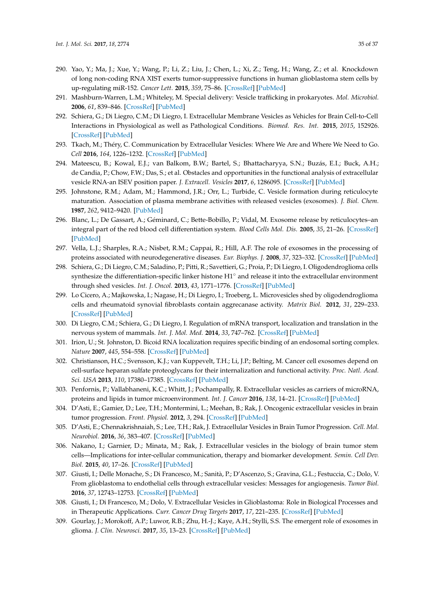- <span id="page-34-0"></span>290. Yao, Y.; Ma, J.; Xue, Y.; Wang, P.; Li, Z.; Liu, J.; Chen, L.; Xi, Z.; Teng, H.; Wang, Z.; et al. Knockdown of long non-coding RNA XIST exerts tumor-suppressive functions in human glioblastoma stem cells by up-regulating miR-152. *Cancer Lett.* **2015**, *359*, 75–86. [\[CrossRef\]](http://dx.doi.org/10.1016/j.canlet.2014.12.051) [\[PubMed\]](http://www.ncbi.nlm.nih.gov/pubmed/25578780)
- <span id="page-34-1"></span>291. Mashburn-Warren, L.M.; Whiteley, M. Special delivery: Vesicle trafficking in prokaryotes. *Mol. Microbiol.* **2006**, *61*, 839–846. [\[CrossRef\]](http://dx.doi.org/10.1111/j.1365-2958.2006.05272.x) [\[PubMed\]](http://www.ncbi.nlm.nih.gov/pubmed/16879642)
- <span id="page-34-2"></span>292. Schiera, G.; Di Liegro, C.M.; Di Liegro, I. Extracellular Membrane Vesicles as Vehicles for Brain Cell-to-Cell Interactions in Physiological as well as Pathological Conditions. *Biomed. Res. Int.* **2015**, *2015*, 152926. [\[CrossRef\]](http://dx.doi.org/10.1155/2015/152926) [\[PubMed\]](http://www.ncbi.nlm.nih.gov/pubmed/26583089)
- <span id="page-34-3"></span>293. Tkach, M.; Théry, C. Communication by Extracellular Vesicles: Where We Are and Where We Need to Go. *Cell* **2016**, *164*, 1226–1232. [\[CrossRef\]](http://dx.doi.org/10.1016/j.cell.2016.01.043) [\[PubMed\]](http://www.ncbi.nlm.nih.gov/pubmed/26967288)
- <span id="page-34-4"></span>294. Mateescu, B.; Kowal, E.J.; van Balkom, B.W.; Bartel, S.; Bhattacharyya, S.N.; Buzás, E.I.; Buck, A.H.; de Candia, P.; Chow, F.W.; Das, S.; et al. Obstacles and opportunities in the functional analysis of extracellular vesicle RNA-an ISEV position paper. *J. Extracell. Vesicles* **2017**, *6*, 1286095. [\[CrossRef\]](http://dx.doi.org/10.1080/20013078.2017.1286095) [\[PubMed\]](http://www.ncbi.nlm.nih.gov/pubmed/28326170)
- <span id="page-34-5"></span>295. Johnstone, R.M.; Adam, M.; Hammond, J.R.; Orr, L.; Turbide, C. Vesicle formation during reticulocyte maturation. Association of plasma membrane activities with released vesicles (exosomes). *J. Biol. Chem.* **1987**, *262*, 9412–9420. [\[PubMed\]](http://www.ncbi.nlm.nih.gov/pubmed/3597417)
- <span id="page-34-6"></span>296. Blanc, L.; De Gassart, A.; Géminard, C.; Bette-Bobillo, P.; Vidal, M. Exosome release by reticulocytes–an integral part of the red blood cell differentiation system. *Blood Cells Mol. Dis.* **2005**, *35*, 21–26. [\[CrossRef\]](http://dx.doi.org/10.1016/j.bcmd.2005.04.008) [\[PubMed\]](http://www.ncbi.nlm.nih.gov/pubmed/15946868)
- <span id="page-34-7"></span>297. Vella, L.J.; Sharples, R.A.; Nisbet, R.M.; Cappai, R.; Hill, A.F. The role of exosomes in the processing of proteins associated with neurodegenerative diseases. *Eur. Biophys. J.* **2008**, *37*, 323–332. [\[CrossRef\]](http://dx.doi.org/10.1007/s00249-007-0246-z) [\[PubMed\]](http://www.ncbi.nlm.nih.gov/pubmed/18064447)
- <span id="page-34-8"></span>298. Schiera, G.; Di Liegro, C.M.; Saladino, P.; Pitti, R.; Savettieri, G.; Proia, P.; Di Liegro, I. Oligodendroglioma cells synthesize the differentiation-specific linker histone H1<sup>°</sup> and release it into the extracellular environment through shed vesicles. *Int. J. Oncol.* **2013**, *43*, 1771–1776. [\[CrossRef\]](http://dx.doi.org/10.3892/ijo.2013.2115) [\[PubMed\]](http://www.ncbi.nlm.nih.gov/pubmed/24085372)
- <span id="page-34-9"></span>299. Lo Cicero, A.; Majkowska, I.; Nagase, H.; Di Liegro, I.; Troeberg, L. Microvesicles shed by oligodendroglioma cells and rheumatoid synovial fibroblasts contain aggrecanase activity. *Matrix Biol.* **2012**, *31*, 229–233. [\[CrossRef\]](http://dx.doi.org/10.1016/j.matbio.2012.02.005) [\[PubMed\]](http://www.ncbi.nlm.nih.gov/pubmed/22406378)
- <span id="page-34-10"></span>300. Di Liegro, C.M.; Schiera, G.; Di Liegro, I. Regulation of mRNA transport, localization and translation in the nervous system of mammals. *Int. J. Mol. Med.* **2014**, *33*, 747–762. [\[CrossRef\]](http://dx.doi.org/10.3892/ijmm.2014.1629) [\[PubMed\]](http://www.ncbi.nlm.nih.gov/pubmed/24452120)
- <span id="page-34-11"></span>301. Irion, U.; St. Johnston, D. Bicoid RNA localization requires specific binding of an endosomal sorting complex. *Nature* **2007**, *445*, 554–558. [\[CrossRef\]](http://dx.doi.org/10.1038/nature05503) [\[PubMed\]](http://www.ncbi.nlm.nih.gov/pubmed/17268469)
- <span id="page-34-12"></span>302. Christianson, H.C.; Svensson, K.J.; van Kuppevelt, T.H.; Li, J.P.; Belting, M. Cancer cell exosomes depend on cell-surface heparan sulfate proteoglycans for their internalization and functional activity. *Proc. Natl. Acad. Sci. USA* **2013**, *110*, 17380–17385. [\[CrossRef\]](http://dx.doi.org/10.1073/pnas.1304266110) [\[PubMed\]](http://www.ncbi.nlm.nih.gov/pubmed/24101524)
- <span id="page-34-13"></span>303. Penfornis, P.; Vallabhaneni, K.C.; Whitt, J.; Pochampally, R. Extracellular vesicles as carriers of microRNA, proteins and lipids in tumor microenvironment. *Int. J. Cancer* **2016**, *138*, 14–21. [\[CrossRef\]](http://dx.doi.org/10.1002/ijc.29417) [\[PubMed\]](http://www.ncbi.nlm.nih.gov/pubmed/25559768)
- <span id="page-34-14"></span>304. D'Asti, E.; Gamier, D.; Lee, T.H.; Montermini, L.; Meehan, B.; Rak, J. Oncogenic extracellular vesicles in brain tumor progression. *Front. Physiol.* **2012**, *3*, 294. [\[CrossRef\]](http://dx.doi.org/10.3389/fphys.2012.00294) [\[PubMed\]](http://www.ncbi.nlm.nih.gov/pubmed/22934045)
- 305. D'Asti, E.; Chennakrishnaiah, S.; Lee, T.H.; Rak, J. Extracellular Vesicles in Brain Tumor Progression. *Cell. Mol. Neurobiol.* **2016**, *36*, 383–407. [\[CrossRef\]](http://dx.doi.org/10.1007/s10571-015-0296-1) [\[PubMed\]](http://www.ncbi.nlm.nih.gov/pubmed/26993504)
- <span id="page-34-17"></span>306. Nakano, I.; Garnier, D.; Minata, M.; Rak, J. Extracellular vesicles in the biology of brain tumor stem cells—Implications for inter-cellular communication, therapy and biomarker development. *Semin. Cell Dev. Biol.* **2015**, *40*, 17–26. [\[CrossRef\]](http://dx.doi.org/10.1016/j.semcdb.2015.02.011) [\[PubMed\]](http://www.ncbi.nlm.nih.gov/pubmed/25721810)
- <span id="page-34-16"></span>307. Giusti, I.; Delle Monache, S.; Di Francesco, M.; Sanità, P.; D'Ascenzo, S.; Gravina, G.L.; Festuccia, C.; Dolo, V. From glioblastoma to endothelial cells through extracellular vesicles: Messages for angiogenesis. *Tumor Biol.* **2016**, *37*, 12743–12753. [\[CrossRef\]](http://dx.doi.org/10.1007/s13277-016-5165-0) [\[PubMed\]](http://www.ncbi.nlm.nih.gov/pubmed/27448307)
- 308. Giusti, I.; Di Francesco, M.; Dolo, V. Extracellular Vesicles in Glioblastoma: Role in Biological Processes and in Therapeutic Applications. *Curr. Cancer Drug Targets* **2017**, *17*, 221–235. [\[CrossRef\]](http://dx.doi.org/10.2174/1568009616666160813182959) [\[PubMed\]](http://www.ncbi.nlm.nih.gov/pubmed/27528364)
- <span id="page-34-15"></span>309. Gourlay, J.; Morokoff, A.P.; Luwor, R.B.; Zhu, H.-J.; Kaye, A.H.; Stylli, S.S. The emergent role of exosomes in glioma. *J. Clin. Neurosci.* **2017**, *35*, 13–23. [\[CrossRef\]](http://dx.doi.org/10.1016/j.jocn.2016.09.021) [\[PubMed\]](http://www.ncbi.nlm.nih.gov/pubmed/27771233)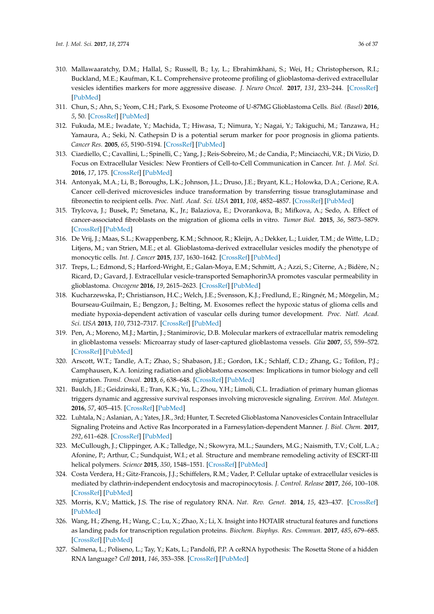- <span id="page-35-0"></span>310. Mallawaaratchy, D.M.; Hallal, S.; Russell, B.; Ly, L.; Ebrahimkhani, S.; Wei, H.; Christopherson, R.I.; Buckland, M.E.; Kaufman, K.L. Comprehensive proteome profiling of glioblastoma-derived extracellular vesicles identifies markers for more aggressive disease. *J. Neuro Oncol.* **2017**, *131*, 233–244. [\[CrossRef\]](http://dx.doi.org/10.1007/s11060-016-2298-3) [\[PubMed\]](http://www.ncbi.nlm.nih.gov/pubmed/27770278)
- <span id="page-35-1"></span>311. Chun, S.; Ahn, S.; Yeom, C.H.; Park, S. Exosome Proteome of U-87MG Glioblastoma Cells. *Biol. (Basel)* **2016**, *5*, 50. [\[CrossRef\]](http://dx.doi.org/10.3390/biology5040050) [\[PubMed\]](http://www.ncbi.nlm.nih.gov/pubmed/27929413)
- <span id="page-35-2"></span>312. Fukuda, M.E.; Iwadate, Y.; Machida, T.; Hiwasa, T.; Nimura, Y.; Nagai, Y.; Takiguchi, M.; Tanzawa, H.; Yamaura, A.; Seki, N. Cathepsin D is a potential serum marker for poor prognosis in glioma patients. *Cancer Res.* **2005**, *65*, 5190–5194. [\[CrossRef\]](http://dx.doi.org/10.1158/0008-5472.CAN-04-4134) [\[PubMed\]](http://www.ncbi.nlm.nih.gov/pubmed/15958563)
- <span id="page-35-3"></span>313. Ciardiello, C.; Cavallini, L.; Spinelli, C.; Yang, J.; Reis-Sobreiro, M.; de Candia, P.; Minciacchi, V.R.; Di Vizio, D. Focus on Extracellular Vesicles: New Frontiers of Cell-to-Cell Communication in Cancer. *Int. J. Mol. Sci.* **2016**, *17*, 175. [\[CrossRef\]](http://dx.doi.org/10.3390/ijms17020175) [\[PubMed\]](http://www.ncbi.nlm.nih.gov/pubmed/26861306)
- <span id="page-35-4"></span>314. Antonyak, M.A.; Li, B.; Boroughs, L.K.; Johnson, J.L.; Druso, J.E.; Bryant, K.L.; Holowka, D.A.; Cerione, R.A. Cancer cell-derived microvesicles induce transformation by transferring tissue transglutaminase and fibronectin to recipient cells. *Proc. Natl. Acad. Sci. USA* **2011**, *108*, 4852–4857. [\[CrossRef\]](http://dx.doi.org/10.1073/pnas.1017667108) [\[PubMed\]](http://www.ncbi.nlm.nih.gov/pubmed/21368175)
- <span id="page-35-5"></span>315. Trylcova, J.; Busek, P.; Smetana, K., Jr.; Balaziova, E.; Dvorankova, B.; Mifkova, A.; Sedo, A. Effect of cancer-associated fibroblasts on the migration of glioma cells in vitro. *Tumor Biol.* **2015**, *36*, 5873–5879. [\[CrossRef\]](http://dx.doi.org/10.1007/s13277-015-3259-8) [\[PubMed\]](http://www.ncbi.nlm.nih.gov/pubmed/25712375)
- <span id="page-35-6"></span>316. De Vrij, J.; Maas, S.L.; Kwappenberg, K.M.; Schnoor, R.; Kleijn, A.; Dekker, L.; Luider, T.M.; de Witte, L.D.; Litjens, M.; van Strien, M.E.; et al. Glioblastoma-derived extracellular vesicles modify the phenotype of monocytic cells. *Int. J. Cancer* **2015**, *137*, 1630–1642. [\[CrossRef\]](http://dx.doi.org/10.1002/ijc.29521) [\[PubMed\]](http://www.ncbi.nlm.nih.gov/pubmed/25802036)
- <span id="page-35-7"></span>317. Treps, L.; Edmond, S.; Harford-Wright, E.; Galan-Moya, E.M.; Schmitt, A.; Azzi, S.; Citerne, A.; Bidère, N.; Ricard, D.; Gavard, J. Extracellular vesicle-transported Semaphorin3A promotes vascular permeability in glioblastoma. *Oncogene* **2016**, *19*, 2615–2623. [\[CrossRef\]](http://dx.doi.org/10.1038/onc.2015.317) [\[PubMed\]](http://www.ncbi.nlm.nih.gov/pubmed/26364614)
- <span id="page-35-8"></span>318. Kucharzewska, P.; Christianson, H.C.; Welch, J.E.; Svensson, K.J.; Fredlund, E.; Ringnér, M.; Mörgelin, M.; Bourseau-Guilmain, E.; Bengzon, J.; Belting, M. Exosomes reflect the hypoxic status of glioma cells and mediate hypoxia-dependent activation of vascular cells during tumor development. *Proc. Natl. Acad. Sci. USA* **2013**, *110*, 7312–7317. [\[CrossRef\]](http://dx.doi.org/10.1073/pnas.1220998110) [\[PubMed\]](http://www.ncbi.nlm.nih.gov/pubmed/23589885)
- <span id="page-35-9"></span>319. Pen, A.; Moreno, M.J.; Martin, J.; Stanimirovic, D.B. Molecular markers of extracellular matrix remodeling in glioblastoma vessels: Microarray study of laser-captured glioblastoma vessels. *Glia* **2007**, *55*, 559–572. [\[CrossRef\]](http://dx.doi.org/10.1002/glia.20481) [\[PubMed\]](http://www.ncbi.nlm.nih.gov/pubmed/17266141)
- <span id="page-35-10"></span>320. Arscott, W.T.; Tandle, A.T.; Zhao, S.; Shabason, J.E.; Gordon, I.K.; Schlaff, C.D.; Zhang, G.; Tofilon, P.J.; Camphausen, K.A. Ionizing radiation and glioblastoma exosomes: Implications in tumor biology and cell migration. *Transl. Oncol.* **2013**, *6*, 638–648. [\[CrossRef\]](http://dx.doi.org/10.1593/tlo.13640) [\[PubMed\]](http://www.ncbi.nlm.nih.gov/pubmed/24466366)
- <span id="page-35-11"></span>321. Baulch, J.E.; Geidzinski, E.; Tran, K.K.; Yu, L.; Zhou, Y.H.; Limoli, C.L. Irradiation of primary human gliomas triggers dynamic and aggressive survival responses involving microvesicle signaling. *Environ. Mol. Mutagen.* **2016**, *57*, 405–415. [\[CrossRef\]](http://dx.doi.org/10.1002/em.21988) [\[PubMed\]](http://www.ncbi.nlm.nih.gov/pubmed/26602180)
- <span id="page-35-12"></span>322. Luhtala, N.; Aslanian, A.; Yates, J.R., 3rd; Hunter, T. Secreted Glioblastoma Nanovesicles Contain Intracellular Signaling Proteins and Active Ras Incorporated in a Farnesylation-dependent Manner. *J. Biol. Chem.* **2017**, *292*, 611–628. [\[CrossRef\]](http://dx.doi.org/10.1074/jbc.M116.747618) [\[PubMed\]](http://www.ncbi.nlm.nih.gov/pubmed/27909058)
- <span id="page-35-13"></span>323. McCullough, J.; Clippinger, A.K.; Talledge, N.; Skowyra, M.L.; Saunders, M.G.; Naismith, T.V.; Colf, L.A.; Afonine, P.; Arthur, C.; Sundquist, W.I.; et al. Structure and membrane remodeling activity of ESCRT-III helical polymers. *Science* **2015**, *350*, 1548–1551. [\[CrossRef\]](http://dx.doi.org/10.1126/science.aad8305) [\[PubMed\]](http://www.ncbi.nlm.nih.gov/pubmed/26634441)
- <span id="page-35-14"></span>324. Costa Verdera, H.; Gitz-Francois, J.J.; Schiffelers, R.M.; Vader, P. Cellular uptake of extracellular vesicles is mediated by clathrin-independent endocytosis and macropinocytosis. *J. Control. Release* **2017**, *266*, 100–108. [\[CrossRef\]](http://dx.doi.org/10.1016/j.jconrel.2017.09.019) [\[PubMed\]](http://www.ncbi.nlm.nih.gov/pubmed/28919558)
- <span id="page-35-15"></span>325. Morris, K.V.; Mattick, J.S. The rise of regulatory RNA. *Nat. Rev. Genet.* **2014**, *15*, 423–437. [\[CrossRef\]](http://dx.doi.org/10.1038/nrg3722) [\[PubMed\]](http://www.ncbi.nlm.nih.gov/pubmed/24776770)
- <span id="page-35-16"></span>326. Wang, H.; Zheng, H.; Wang, C.; Lu, X.; Zhao, X.; Li, X. Insight into HOTAIR structural features and functions as landing pads for transcription regulation proteins. *Biochem. Biophys. Res. Commun.* **2017**, *485*, 679–685. [\[CrossRef\]](http://dx.doi.org/10.1016/j.bbrc.2017.02.100) [\[PubMed\]](http://www.ncbi.nlm.nih.gov/pubmed/28235488)
- <span id="page-35-17"></span>327. Salmena, L.; Poliseno, L.; Tay, Y.; Kats, L.; Pandolfi, P.P. A ceRNA hypothesis: The Rosetta Stone of a hidden RNA language? *Cell* **2011**, *146*, 353–358. [\[CrossRef\]](http://dx.doi.org/10.1016/j.cell.2011.07.014) [\[PubMed\]](http://www.ncbi.nlm.nih.gov/pubmed/21802130)